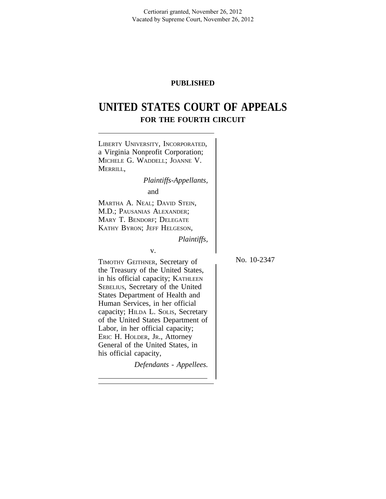Certiorari granted, November 26, 2012 Vacated by Supreme Court, November 26, 2012

# **PUBLISHED**

# **UNITED STATES COURT OF APPEALS FOR THE FOURTH CIRCUIT**

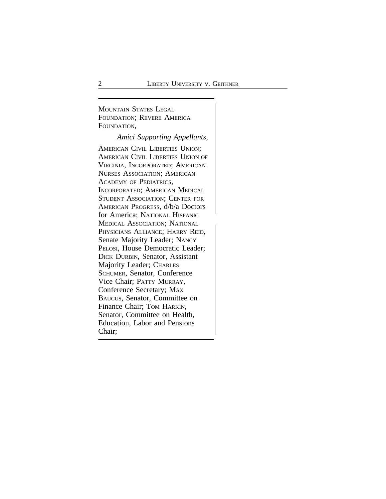<sup>M</sup>OUNTAIN STATES LEGAL FOUNDATION; REVERE AMERICA FOUNDATION,

*Amici Supporting Appellants,*

AMERICAN CIVIL LIBERTIES UNION; AMERICAN CIVIL LIBERTIES UNION OF VIRGINIA, INCORPORATED; AMERICAN NURSES ASSOCIATION; AMERICAN ACADEMY OF PEDIATRICS, INCORPORATED; AMERICAN MEDICAL STUDENT ASSOCIATION; CENTER FOR AMERICAN PROGRESS, d/b/a Doctors for America; NATIONAL HISPANIC <sup>M</sup>EDICAL ASSOCIATION; NATIONAL PHYSICIANS ALLIANCE; HARRY REID, Senate Majority Leader; NANCY PELOSI, House Democratic Leader; DICK DURBIN, Senator, Assistant Majority Leader; CHARLES SCHUMER, Senator, Conference Vice Chair; PATTY MURRAY, Conference Secretary; MAX BAUCUS, Senator, Committee on Finance Chair; TOM HARKIN, Senator, Committee on Health, Education, Labor and Pensions Chair;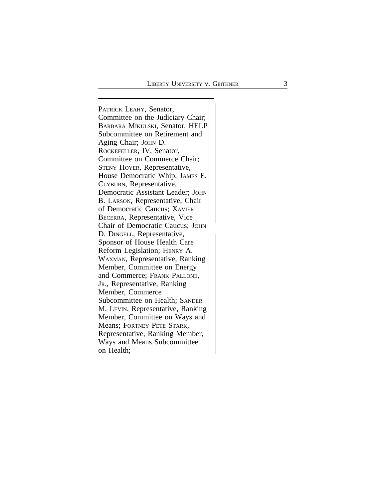PATRICK LEAHY, Senator,  $\vert$ Committee on the Judiciary Chair; BARBARA MIKULSKI, Senator, HELP Subcommittee on Retirement and Aging Chair; JOHN D. ROCKEFELLER, IV, Senator, Committee on Commerce Chair; STENY HOYER, Representative, House Democratic Whip; JAMES E. CLYBURN, Representative, Democratic Assistant Leader; JOHN B. LARSON, Representative, Chair of Democratic Caucus; XAVIER BECERRA, Representative, Vice Chair of Democratic Caucus; JOHN D. DINGELL, Representative, Sponsor of House Health Care Reform Legislation; HENRY A. WAXMAN, Representative, Ranking Member, Committee on Energy and Commerce; FRANK PALLONE , J R., Representative, Ranking Member, Commerce Subcommittee on Health; SANDER M. LEVIN, Representative, Ranking Member, Committee on Ways and Means; FORTNEY PETE STARK, Representative, Ranking Member, Ways and Means Subcommittee on Health;  $\int$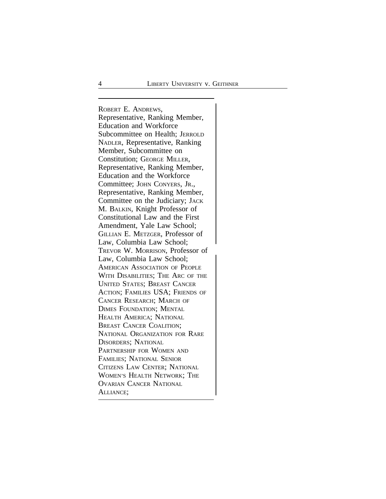<sup>R</sup>OBERT E. ANDREWS, Representative, Ranking Member, Education and Workforce Subcommittee on Health; JERROLD NADLER, Representative, Ranking Member, Subcommittee on Constitution; GEORGE MILLER, Representative, Ranking Member, Education and the Workforce Committee; JOHN CONYERS, JR., Representative, Ranking Member, Committee on the Judiciary; JACK M. BALKIN, Knight Professor of Constitutional Law and the First Amendment, Yale Law School; GILLIAN E. METZGER, Professor of Law, Columbia Law School; <sup>T</sup>REVOR W. MORRISON, Professor of Law, Columbia Law School; AMERICAN ASSOCIATION OF PEOPLE WITH DISABILITIES; THE ARC OF THE UNITED STATES; BREAST CANCER ACTION; FAMILIES USA; FRIENDS OF CANCER RESEARCH; MARCH OF DIMES FOUNDATION; MENTAL HEALTH AMERICA; NATIONAL BREAST CANCER COALITION; NATIONAL ORGANIZATION FOR RARE DISORDERS; NATIONAL PARTNERSHIP FOR WOMEN AND FAMILIES; NATIONAL SENIOR CITIZENS LAW CENTER; NATIONAL WOMEN'S HEALTH NETWORK; THE OVARIAN CANCER NATIONAL <sup>A</sup>LLIANCE;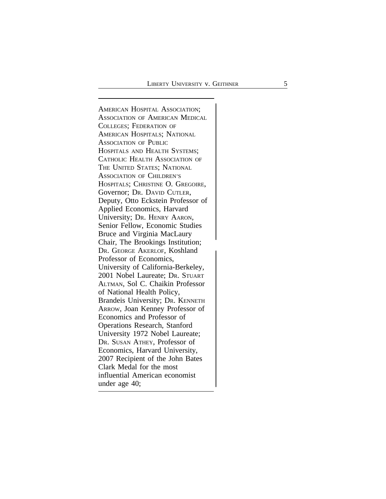<sup>A</sup>MERICAN HOSPITAL ASSOCIATION; ASSOCIATION OF AMERICAN MEDICAL COLLEGES; FEDERATION OF AMERICAN HOSPITALS; NATIONAL ASSOCIATION OF PUBLIC HOSPITALS AND HEALTH SYSTEMS; CATHOLIC HEALTH ASSOCIATION OF THE UNITED STATES; NATIONAL ASSOCIATION OF CHILDREN'S HOSPITALS; CHRISTINE O. GREGOIRE, Governor; DR. DAVID CUTLER, Deputy, Otto Eckstein Professor of Applied Economics, Harvard University; DR. HENRY AARON, Senior Fellow, Economic Studies Bruce and Virginia MacLaury Chair, The Brookings Institution; <sup>D</sup>R. GEORGE AKERLOF, Koshland Professor of Economics, University of California-Berkeley, 2001 Nobel Laureate; DR. STUART ALTMAN, Sol C. Chaikin Professor of National Health Policy, Brandeis University; DR. KENNETH ARROW, Joan Kenney Professor of Economics and Professor of Operations Research, Stanford University 1972 Nobel Laureate; DR. SUSAN ATHEY, Professor of Economics, Harvard University, 2007 Recipient of the John Bates Clark Medal for the most influential American economist under age 40;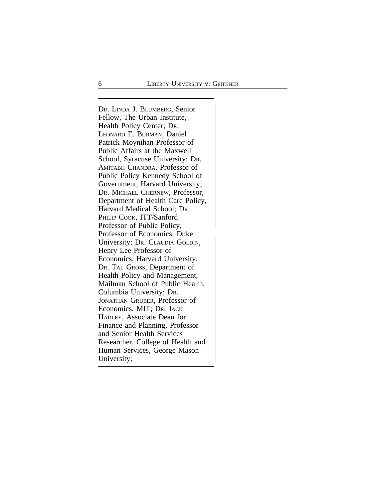<sup>D</sup>R. LINDA J. BLUMBERG, Senior Fellow, The Urban Institute, Health Policy Center; DR. LEONARD E. BURMAN, Daniel Patrick Moynihan Professor of Public Affairs at the Maxwell School, Syracuse University; DR. AMITABH CHANDRA, Professor of Public Policy Kennedy School of Government, Harvard University; DR. MICHAEL CHERNEW, Professor, Department of Health Care Policy, Harvard Medical School; DR. PHILIP COOK, ITT/Sanford Professor of Public Policy, Professor of Economics, Duke University; DR. CLAUDIA GOLDIN, Henry Lee Professor of Economics, Harvard University; DR. TAL GROSS, Department of Health Policy and Management, Mailman School of Public Health, Columbia University; DR. JONATHAN GRUBER, Professor of Economics, MIT; DR. JACK HADLEY, Associate Dean for Finance and Planning, Professor and Senior Health Services Researcher, College of Health and Human Services, George Mason University;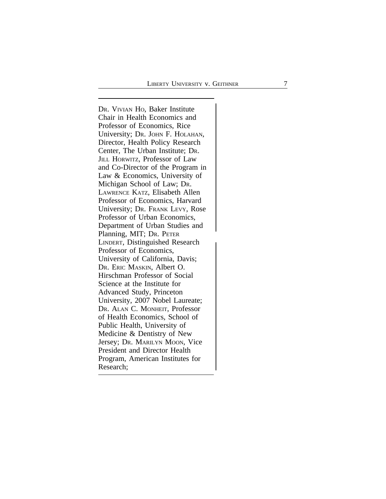D R. VIVIAN H O, Baker Institute  $\vert$ Chair in Health Economics and Professor of Economics, Rice University; Dr. JOHN F. HOLAHAN, Director, Health Policy Research Center, The Urban Institute; D R . JILL HORWITZ, Professor of Law and Co-Director of the Program in Law & Economics, University of Michigan School of Law; D R . LAWRENCE KATZ, Elisabeth Allen Professor of Economics, Harvard University; D R. FRANK LEVY, Rose Professor of Urban Economics, Department of Urban Studies and Planning, MIT; D R. PETER  $\left\{ \right.$ LINDERT, Distinguished Research Professor of Economics, University of California, Davis; DR. ERIC MASKIN, Albert O. Hirschman Professor of Social Science at the Institute for Advanced Study, Princeton University, 2007 Nobel Laureate; DR. ALAN C. MONHEIT, Professor of Health Economics, School of Public Health, University of Medicine & Dentistry of New Jersey; D R. MARILYN MOON, Vice President and Director Health Program, American Institutes for Research;  $\int$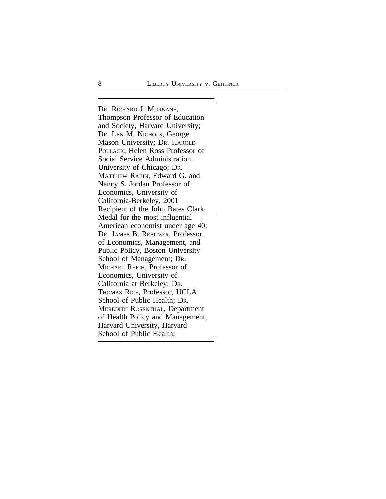<sup>D</sup>R. RICHARD J. MURNANE, Thompson Professor of Education and Society, Harvard University; DR. LEN M. NICHOLS, George Mason University; DR. HAROLD POLLACK, Helen Ross Professor of Social Service Administration, University of Chicago; DR. MATTHEW RABIN, Edward G. and Nancy S. Jordan Professor of Economics, University of California-Berkeley, 2001 Recipient of the John Bates Clark Medal for the most influential American economist under age 40; DR. JAMES B. REBITZER, Professor of Economics, Management, and Public Policy, Boston University School of Management; DR. MICHAEL REICH, Professor of Economics, University of California at Berkeley; DR. THOMAS RICE, Professor, UCLA School of Public Health; DR. MEREDITH ROSENTHAL, Department of Health Policy and Management, Harvard University, Harvard School of Public Health;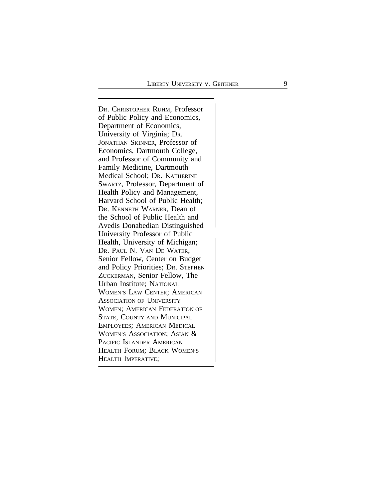D R. CHRISTOPHER RUHM, Professor  $\vert$ of Public Policy and Economics, Department of Economics, University of Virginia; D R . JONATHAN SKINNER, Professor of Economics, Dartmouth College, and Professor of Community and Family Medicine, Dartmouth Medical School; D R. KATHERINE SWARTZ, Professor, Department of Health Policy and Management, Harvard School of Public Health; DR. KENNETH WARNER, Dean of the School of Public Health and Avedis Donabedian Distinguished University Professor of Public  $\left\{ \right.$ Health, University of Michigan; DR. PAUL N. VAN DE WATER, Senior Fellow, Center on Budget and Policy Priorities; D R. STEPHEN ZUCKERMAN, Senior Fellow, The Urban Institute; NATIONAL WOMEN'S LAW CENTER; AMERICAN ASSOCIATION OF UNIVERSITY WOMEN; AMERICAN FEDERATION OF STATE, COUNTY AND MUNICIPAL EMPLOYEES; AMERICAN MEDICAL WOMEN'S ASSOCIATION; ASIAN & PACIFIC ISLANDER AMERICAN HEALTH FORUM; BLACK WOMEN'S HEALTH IMPERATIVE;  $\int$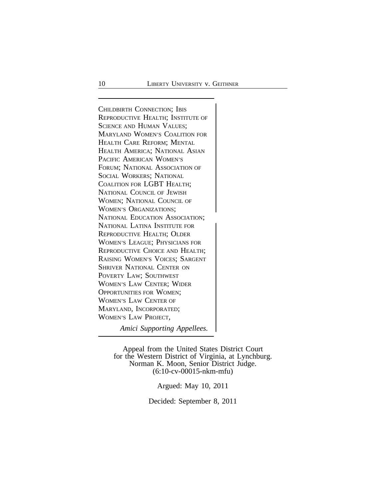<sup>C</sup>HILDBIRTH CONNECTION; IBIS REPRODUCTIVE HEALTH; INSTITUTE OF SCIENCE AND HUMAN VALUES; MARYLAND WOMEN'S COALITION FOR HEALTH CARE REFORM; MENTAL HEALTH AMERICA; NATIONAL ASIAN PACIFIC AMERICAN WOMEN'S FORUM; NATIONAL ASSOCIATION OF SOCIAL WORKERS; NATIONAL COALITION FOR LGBT HEALTH; NATIONAL COUNCIL OF JEWISH WOMEN; NATIONAL COUNCIL OF WOMEN'S ORGANIZATIONS; <sup>N</sup>ATIONAL EDUCATION ASSOCIATION; NATIONAL LATINA INSTITUTE FOR REPRODUCTIVE HEALTH; OLDER WOMEN'S LEAGUE; PHYSICIANS FOR REPRODUCTIVE CHOICE AND HEALTH; RAISING WOMEN'S VOICES; SARGENT SHRIVER NATIONAL CENTER ON POVERTY LAW; SOUTHWEST WOMEN'S LAW CENTER; WIDER OPPORTUNITIES FOR WOMEN; WOMEN'S LAW CENTER OF MARYLAND, INCORPORATED; WOMEN'S LAW PROJECT,

*Amici Supporting Appellees.*

Appeal from the United States District Court for the Western District of Virginia, at Lynchburg. Norman K. Moon, Senior District Judge. (6:10-cv-00015-nkm-mfu)

Argued: May 10, 2011

Decided: September 8, 2011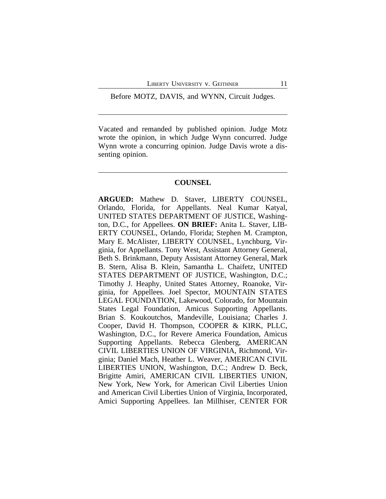Before MOTZ, DAVIS, and WYNN, Circuit Judges.

Vacated and remanded by published opinion. Judge Motz wrote the opinion, in which Judge Wynn concurred. Judge Wynn wrote a concurring opinion. Judge Davis wrote a dissenting opinion.

#### **COUNSEL**

**ARGUED:** Mathew D. Staver, LIBERTY COUNSEL, Orlando, Florida, for Appellants. Neal Kumar Katyal, UNITED STATES DEPARTMENT OF JUSTICE, Washington, D.C., for Appellees. **ON BRIEF:** Anita L. Staver, LIB-ERTY COUNSEL, Orlando, Florida; Stephen M. Crampton, Mary E. McAlister, LIBERTY COUNSEL, Lynchburg, Virginia, for Appellants. Tony West, Assistant Attorney General, Beth S. Brinkmann, Deputy Assistant Attorney General, Mark B. Stern, Alisa B. Klein, Samantha L. Chaifetz, UNITED STATES DEPARTMENT OF JUSTICE, Washington, D.C.; Timothy J. Heaphy, United States Attorney, Roanoke, Virginia, for Appellees. Joel Spector, MOUNTAIN STATES LEGAL FOUNDATION, Lakewood, Colorado, for Mountain States Legal Foundation, Amicus Supporting Appellants. Brian S. Koukoutchos, Mandeville, Louisiana; Charles J. Cooper, David H. Thompson, COOPER & KIRK, PLLC, Washington, D.C., for Revere America Foundation, Amicus Supporting Appellants. Rebecca Glenberg, AMERICAN CIVIL LIBERTIES UNION OF VIRGINIA, Richmond, Virginia; Daniel Mach, Heather L. Weaver, AMERICAN CIVIL LIBERTIES UNION, Washington, D.C.; Andrew D. Beck, Brigitte Amiri, AMERICAN CIVIL LIBERTIES UNION, New York, New York, for American Civil Liberties Union and American Civil Liberties Union of Virginia, Incorporated, Amici Supporting Appellees. Ian Millhiser, CENTER FOR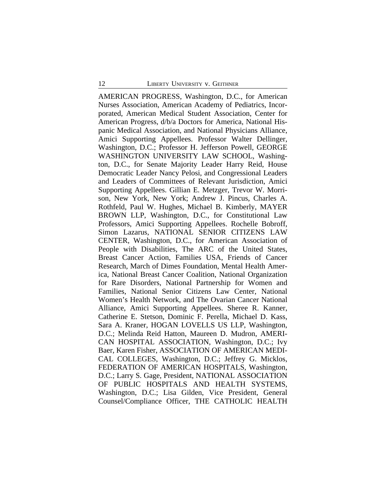AMERICAN PROGRESS, Washington, D.C., for American Nurses Association, American Academy of Pediatrics, Incorporated, American Medical Student Association, Center for American Progress, d/b/a Doctors for America, National Hispanic Medical Association, and National Physicians Alliance, Amici Supporting Appellees. Professor Walter Dellinger, Washington, D.C.; Professor H. Jefferson Powell, GEORGE WASHINGTON UNIVERSITY LAW SCHOOL, Washington, D.C., for Senate Majority Leader Harry Reid, House Democratic Leader Nancy Pelosi, and Congressional Leaders and Leaders of Committees of Relevant Jurisdiction, Amici Supporting Appellees. Gillian E. Metzger, Trevor W. Morrison, New York, New York; Andrew J. Pincus, Charles A. Rothfeld, Paul W. Hughes, Michael B. Kimberly, MAYER BROWN LLP, Washington, D.C., for Constitutional Law Professors, Amici Supporting Appellees. Rochelle Bobroff, Simon Lazarus, NATIONAL SENIOR CITIZENS LAW CENTER, Washington, D.C., for American Association of People with Disabilities, The ARC of the United States, Breast Cancer Action, Families USA, Friends of Cancer Research, March of Dimes Foundation, Mental Health America, National Breast Cancer Coalition, National Organization for Rare Disorders, National Partnership for Women and Families, National Senior Citizens Law Center, National Women's Health Network, and The Ovarian Cancer National Alliance, Amici Supporting Appellees. Sheree R. Kanner, Catherine E. Stetson, Dominic F. Perella, Michael D. Kass, Sara A. Kraner, HOGAN LOVELLS US LLP, Washington, D.C.; Melinda Reid Hatton, Maureen D. Mudron, AMERI-CAN HOSPITAL ASSOCIATION, Washington, D.C.; Ivy Baer, Karen Fisher, ASSOCIATION OF AMERICAN MEDI-CAL COLLEGES, Washington, D.C.; Jeffrey G. Micklos, FEDERATION OF AMERICAN HOSPITALS, Washington, D.C.; Larry S. Gage, President, NATIONAL ASSOCIATION OF PUBLIC HOSPITALS AND HEALTH SYSTEMS, Washington, D.C.; Lisa Gilden, Vice President, General Counsel/Compliance Officer, THE CATHOLIC HEALTH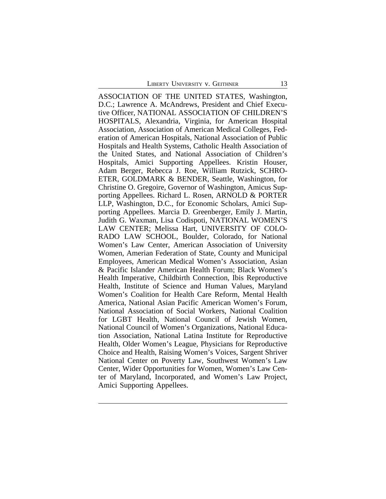ASSOCIATION OF THE UNITED STATES, Washington, D.C.; Lawrence A. McAndrews, President and Chief Executive Officer, NATIONAL ASSOCIATION OF CHILDREN'S HOSPITALS, Alexandria, Virginia, for American Hospital Association, Association of American Medical Colleges, Federation of American Hospitals, National Association of Public Hospitals and Health Systems, Catholic Health Association of the United States, and National Association of Children's Hospitals, Amici Supporting Appellees. Kristin Houser, Adam Berger, Rebecca J. Roe, William Rutzick, SCHRO-ETER, GOLDMARK & BENDER, Seattle, Washington, for Christine O. Gregoire, Governor of Washington, Amicus Supporting Appellees. Richard L. Rosen, ARNOLD & PORTER LLP, Washington, D.C., for Economic Scholars, Amici Supporting Appellees. Marcia D. Greenberger, Emily J. Martin, Judith G. Waxman, Lisa Codispoti, NATIONAL WOMEN'S LAW CENTER; Melissa Hart, UNIVERSITY OF COLO-RADO LAW SCHOOL, Boulder, Colorado, for National Women's Law Center, American Association of University Women, Amerian Federation of State, County and Municipal Employees, American Medical Women's Association, Asian & Pacific Islander American Health Forum; Black Women's Health Imperative, Childbirth Connection, Ibis Reproductive Health, Institute of Science and Human Values, Maryland Women's Coalition for Health Care Reform, Mental Health America, National Asian Pacific American Women's Forum, National Association of Social Workers, National Coalition for LGBT Health, National Council of Jewish Women, National Council of Women's Organizations, National Education Association, National Latina Institute for Reproductive Health, Older Women's League, Physicians for Reproductive Choice and Health, Raising Women's Voices, Sargent Shriver National Center on Poverty Law, Southwest Women's Law Center, Wider Opportunities for Women, Women's Law Center of Maryland, Incorporated, and Women's Law Project, Amici Supporting Appellees.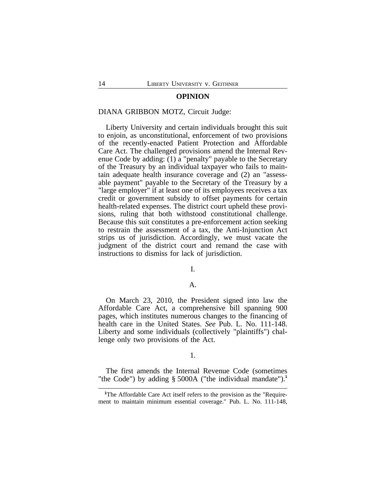#### **OPINION**

# DIANA GRIBBON MOTZ, Circuit Judge:

Liberty University and certain individuals brought this suit to enjoin, as unconstitutional, enforcement of two provisions of the recently-enacted Patient Protection and Affordable Care Act. The challenged provisions amend the Internal Revenue Code by adding: (1) a "penalty" payable to the Secretary of the Treasury by an individual taxpayer who fails to maintain adequate health insurance coverage and (2) an "assessable payment" payable to the Secretary of the Treasury by a "large employer" if at least one of its employees receives a tax credit or government subsidy to offset payments for certain health-related expenses. The district court upheld these provisions, ruling that both withstood constitutional challenge. Because this suit constitutes a pre-enforcement action seeking to restrain the assessment of a tax, the Anti-Injunction Act strips us of jurisdiction. Accordingly, we must vacate the judgment of the district court and remand the case with instructions to dismiss for lack of jurisdiction.

#### I.

#### A.

On March 23, 2010, the President signed into law the Affordable Care Act, a comprehensive bill spanning 900 pages, which institutes numerous changes to the financing of health care in the United States. *See* Pub. L. No. 111-148. Liberty and some individuals (collectively "plaintiffs") challenge only two provisions of the Act.

# 1.

The first amends the Internal Revenue Code (sometimes "the Code") by adding § 5000A ("the individual mandate").**<sup>1</sup>**

<sup>&</sup>lt;sup>1</sup>The Affordable Care Act itself refers to the provision as the "Requirement to maintain minimum essential coverage." Pub. L. No. 111-148,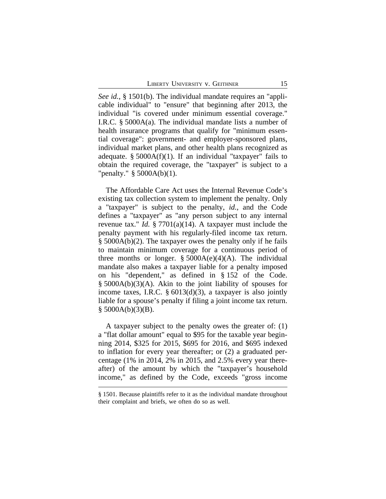*See id.*, § 1501(b). The individual mandate requires an "applicable individual" to "ensure" that beginning after 2013, the individual "is covered under minimum essential coverage." I.R.C. § 5000A(a). The individual mandate lists a number of health insurance programs that qualify for "minimum essential coverage": government- and employer-sponsored plans, individual market plans, and other health plans recognized as adequate.  $§$  5000A(f)(1). If an individual "taxpayer" fails to obtain the required coverage, the "taxpayer" is subject to a "penalty." § 5000A(b)(1).

The Affordable Care Act uses the Internal Revenue Code's existing tax collection system to implement the penalty. Only a "taxpayer" is subject to the penalty, *id.*, and the Code defines a "taxpayer" as "any person subject to any internal revenue tax." *Id.* § 7701(a)(14). A taxpayer must include the penalty payment with his regularly-filed income tax return. § 5000A(b)(2). The taxpayer owes the penalty only if he fails to maintain minimum coverage for a continuous period of three months or longer.  $\S$  5000A(e)(4)(A). The individual mandate also makes a taxpayer liable for a penalty imposed on his "dependent," as defined in § 152 of the Code. § 5000A(b)(3)(A). Akin to the joint liability of spouses for income taxes, I.R.C.  $\S 6013(d)(3)$ , a taxpayer is also jointly liable for a spouse's penalty if filing a joint income tax return.  $§$  5000A(b)(3)(B).

A taxpayer subject to the penalty owes the greater of: (1) a "flat dollar amount" equal to \$95 for the taxable year beginning 2014, \$325 for 2015, \$695 for 2016, and \$695 indexed to inflation for every year thereafter; or (2) a graduated percentage (1% in 2014, 2% in 2015, and 2.5% every year thereafter) of the amount by which the "taxpayer's household income," as defined by the Code, exceeds "gross income

<sup>§</sup> 1501. Because plaintiffs refer to it as the individual mandate throughout their complaint and briefs, we often do so as well.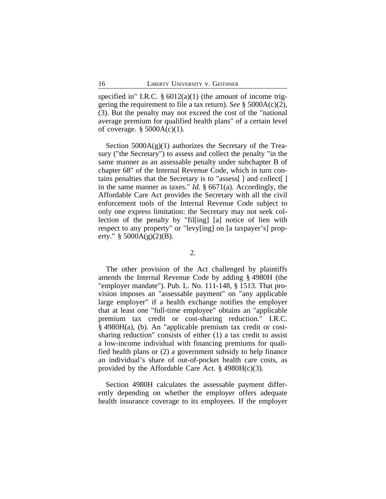specified in" I.R.C.  $\S 6012(a)(1)$  (the amount of income triggering the requirement to file a tax return). *See* § 5000A(c)(2), (3). But the penalty may not exceed the cost of the "national average premium for qualified health plans" of a certain level of coverage.  $\S$  5000A(c)(1).

Section  $5000A(g)(1)$  authorizes the Secretary of the Treasury ("the Secretary") to assess and collect the penalty "in the same manner as an assessable penalty under subchapter B of chapter 68" of the Internal Revenue Code, which in turn contains penalties that the Secretary is to "assess[ ] and collect[ ] in the same manner as taxes." *Id.* § 6671(a). Accordingly, the Affordable Care Act provides the Secretary with all the civil enforcement tools of the Internal Revenue Code subject to only one express limitation: the Secretary may not seek collection of the penalty by "fil[ing] [a] notice of lien with respect to any property" or "levy[ing] on [a taxpayer's] property."  $\S$  5000A(g)(2)(B).

2.

The other provision of the Act challenged by plaintiffs amends the Internal Revenue Code by adding § 4980H (the "employer mandate"). Pub. L. No. 111-148, § 1513. That provision imposes an "assessable payment" on "any applicable large employer" if a health exchange notifies the employer that at least one "full-time employee" obtains an "applicable premium tax credit or cost-sharing reduction." I.R.C. § 4980H(a), (b). An "applicable premium tax credit or costsharing reduction" consists of either (1) a tax credit to assist a low-income individual with financing premiums for qualified health plans or (2) a government subsidy to help finance an individual's share of out-of-pocket health care costs, as provided by the Affordable Care Act.  $\S$  4980H(c)(3).

Section 4980H calculates the assessable payment differently depending on whether the employer offers adequate health insurance coverage to its employees. If the employer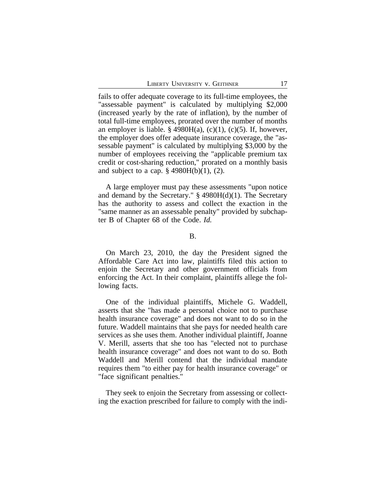fails to offer adequate coverage to its full-time employees, the "assessable payment" is calculated by multiplying \$2,000 (increased yearly by the rate of inflation), by the number of total full-time employees, prorated over the number of months an employer is liable.  $\S$  4980H(a), (c)(1), (c)(5). If, however, the employer does offer adequate insurance coverage, the "assessable payment" is calculated by multiplying \$3,000 by the number of employees receiving the "applicable premium tax credit or cost-sharing reduction," prorated on a monthly basis and subject to a cap.  $\frac{6}{7}$  4980H(b)(1), (2).

A large employer must pay these assessments "upon notice and demand by the Secretary." § 4980H(d)(1). The Secretary has the authority to assess and collect the exaction in the "same manner as an assessable penalty" provided by subchapter B of Chapter 68 of the Code. *Id.*

#### B.

On March 23, 2010, the day the President signed the Affordable Care Act into law, plaintiffs filed this action to enjoin the Secretary and other government officials from enforcing the Act. In their complaint, plaintiffs allege the following facts.

One of the individual plaintiffs, Michele G. Waddell, asserts that she "has made a personal choice not to purchase health insurance coverage" and does not want to do so in the future. Waddell maintains that she pays for needed health care services as she uses them. Another individual plaintiff, Joanne V. Merill, asserts that she too has "elected not to purchase health insurance coverage" and does not want to do so. Both Waddell and Merill contend that the individual mandate requires them "to either pay for health insurance coverage" or "face significant penalties."

They seek to enjoin the Secretary from assessing or collecting the exaction prescribed for failure to comply with the indi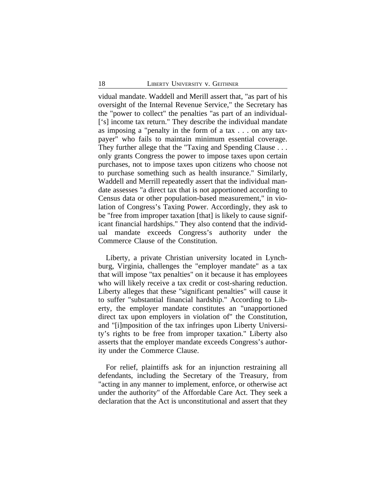vidual mandate. Waddell and Merill assert that, "as part of his oversight of the Internal Revenue Service," the Secretary has the "power to collect" the penalties "as part of an individual- ['s] income tax return." They describe the individual mandate as imposing a "penalty in the form of a tax . . . on any taxpayer" who fails to maintain minimum essential coverage. They further allege that the "Taxing and Spending Clause . . . only grants Congress the power to impose taxes upon certain purchases, not to impose taxes upon citizens who choose not to purchase something such as health insurance." Similarly, Waddell and Merrill repeatedly assert that the individual mandate assesses "a direct tax that is not apportioned according to Census data or other population-based measurement," in violation of Congress's Taxing Power. Accordingly, they ask to be "free from improper taxation [that] is likely to cause significant financial hardships." They also contend that the individual mandate exceeds Congress's authority under the Commerce Clause of the Constitution.

Liberty, a private Christian university located in Lynchburg, Virginia, challenges the "employer mandate" as a tax that will impose "tax penalties" on it because it has employees who will likely receive a tax credit or cost-sharing reduction. Liberty alleges that these "significant penalties" will cause it to suffer "substantial financial hardship." According to Liberty, the employer mandate constitutes an "unapportioned direct tax upon employers in violation of" the Constitution, and "[i]mposition of the tax infringes upon Liberty University's rights to be free from improper taxation." Liberty also asserts that the employer mandate exceeds Congress's authority under the Commerce Clause.

For relief, plaintiffs ask for an injunction restraining all defendants, including the Secretary of the Treasury, from "acting in any manner to implement, enforce, or otherwise act under the authority" of the Affordable Care Act. They seek a declaration that the Act is unconstitutional and assert that they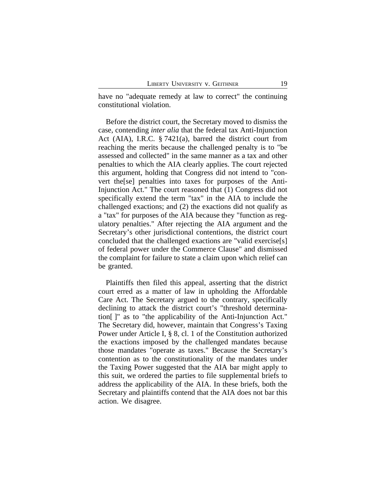have no "adequate remedy at law to correct" the continuing constitutional violation.

Before the district court, the Secretary moved to dismiss the case, contending *inter alia* that the federal tax Anti-Injunction Act (AIA), I.R.C. § 7421(a), barred the district court from reaching the merits because the challenged penalty is to "be assessed and collected" in the same manner as a tax and other penalties to which the AIA clearly applies. The court rejected this argument, holding that Congress did not intend to "convert the[se] penalties into taxes for purposes of the Anti-Injunction Act." The court reasoned that (1) Congress did not specifically extend the term "tax" in the AIA to include the challenged exactions; and (2) the exactions did not qualify as a "tax" for purposes of the AIA because they "function as regulatory penalties." After rejecting the AIA argument and the Secretary's other jurisdictional contentions, the district court concluded that the challenged exactions are "valid exercise[s] of federal power under the Commerce Clause" and dismissed the complaint for failure to state a claim upon which relief can be granted.

Plaintiffs then filed this appeal, asserting that the district court erred as a matter of law in upholding the Affordable Care Act. The Secretary argued to the contrary, specifically declining to attack the district court's "threshold determination[ ]" as to "the applicability of the Anti-Injunction Act." The Secretary did, however, maintain that Congress's Taxing Power under Article I, § 8, cl. 1 of the Constitution authorized the exactions imposed by the challenged mandates because those mandates "operate as taxes." Because the Secretary's contention as to the constitutionality of the mandates under the Taxing Power suggested that the AIA bar might apply to this suit, we ordered the parties to file supplemental briefs to address the applicability of the AIA. In these briefs, both the Secretary and plaintiffs contend that the AIA does not bar this action. We disagree.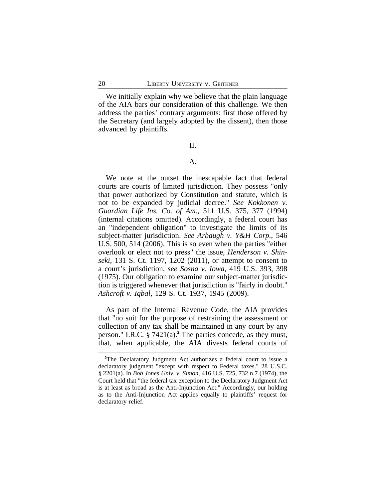We initially explain why we believe that the plain language of the AIA bars our consideration of this challenge. We then address the parties' contrary arguments: first those offered by the Secretary (and largely adopted by the dissent), then those advanced by plaintiffs.

#### II.

# A.

We note at the outset the inescapable fact that federal courts are courts of limited jurisdiction. They possess "only that power authorized by Constitution and statute, which is not to be expanded by judicial decree." *See Kokkonen v. Guardian Life Ins. Co. of Am.*, 511 U.S. 375, 377 (1994) (internal citations omitted). Accordingly, a federal court has an "independent obligation" to investigate the limits of its subject-matter jurisdiction. *See Arbaugh v. Y&H Corp.*, 546 U.S. 500, 514 (2006). This is so even when the parties "either overlook or elect not to press" the issue, *Henderson v. Shinseki*, 131 S. Ct. 1197, 1202 (2011), or attempt to consent to a court's jurisdiction, *see Sosna v. Iowa*, 419 U.S. 393, 398 (1975). Our obligation to examine our subject-matter jurisdiction is triggered whenever that jurisdiction is "fairly in doubt." *Ashcroft v. Iqbal*, 129 S. Ct. 1937, 1945 (2009).

As part of the Internal Revenue Code, the AIA provides that "no suit for the purpose of restraining the assessment or collection of any tax shall be maintained in any court by any person." I.R.C. § 7421(a).**<sup>2</sup>** The parties concede, as they must, that, when applicable, the AIA divests federal courts of

**<sup>2</sup>**The Declaratory Judgment Act authorizes a federal court to issue a declaratory judgment "except with respect to Federal taxes." 28 U.S.C. § 2201(a). In *Bob Jones Univ. v. Simon*, 416 U.S. 725, 732 n.7 (1974), the Court held that "the federal tax exception to the Declaratory Judgment Act is at least as broad as the Anti-Injunction Act." Accordingly, our holding as to the Anti-Injunction Act applies equally to plaintiffs' request for declaratory relief.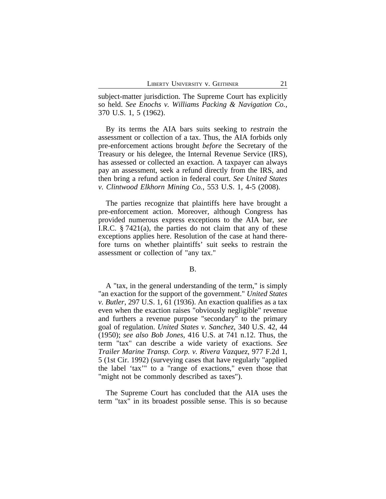subject-matter jurisdiction. The Supreme Court has explicitly so held. *See Enochs v. Williams Packing & Navigation Co.*, 370 U.S. 1, 5 (1962).

By its terms the AIA bars suits seeking to *restrain* the assessment or collection of a tax. Thus, the AIA forbids only pre-enforcement actions brought *before* the Secretary of the Treasury or his delegee, the Internal Revenue Service (IRS), has assessed or collected an exaction. A taxpayer can always pay an assessment, seek a refund directly from the IRS, and then bring a refund action in federal court. *See United States v. Clintwood Elkhorn Mining Co.*, 553 U.S. 1, 4-5 (2008).

The parties recognize that plaintiffs here have brought a pre-enforcement action. Moreover, although Congress has provided numerous express exceptions to the AIA bar, *see* I.R.C. § 7421(a), the parties do not claim that any of these exceptions applies here. Resolution of the case at hand therefore turns on whether plaintiffs' suit seeks to restrain the assessment or collection of "any tax."

A "tax, in the general understanding of the term," is simply "an exaction for the support of the government." *United States v. Butler*, 297 U.S. 1, 61 (1936). An exaction qualifies as a tax even when the exaction raises "obviously negligible" revenue and furthers a revenue purpose "secondary" to the primary goal of regulation. *United States v. Sanchez*, 340 U.S. 42, 44 (1950); *see also Bob Jones*, 416 U.S. at 741 n.12. Thus, the term "tax" can describe a wide variety of exactions. *See Trailer Marine Transp. Corp. v. Rivera Vazquez*, 977 F.2d 1, 5 (1st Cir. 1992) (surveying cases that have regularly "applied the label 'tax'" to a "range of exactions," even those that "might not be commonly described as taxes").

The Supreme Court has concluded that the AIA uses the term "tax" in its broadest possible sense. This is so because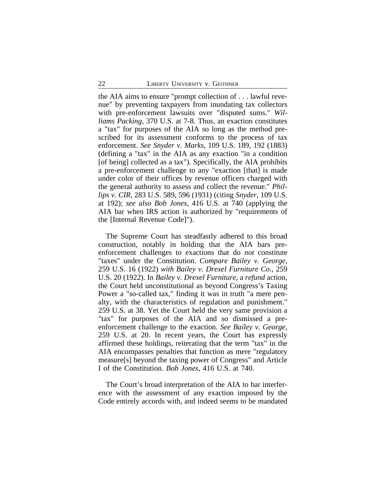the AIA aims to ensure "prompt collection of . . . lawful revenue" by preventing taxpayers from inundating tax collectors with pre-enforcement lawsuits over "disputed sums." *Williams Packing*, 370 U.S. at 7-8. Thus, an exaction constitutes a "tax" for purposes of the AIA so long as the method prescribed for its assessment conforms to the process of tax enforcement. *See Snyder v. Marks*, 109 U.S. 189, 192 (1883) (defining a "tax" in the AIA as any exaction "in a condition [of being] collected as a tax"). Specifically, the AIA prohibits a pre-enforcement challenge to any "exaction [that] is made under color of their offices by revenue officers charged with the general authority to assess and collect the revenue." *Phillips v. CIR*, 283 U.S. 589, 596 (1931) (citing *Snyder*, 109 U.S. at 192); *see also Bob Jones*, 416 U.S. at 740 (applying the AIA bar when IRS action is authorized by "requirements of the [Internal Revenue Code]").

The Supreme Court has steadfastly adhered to this broad construction, notably in holding that the AIA bars preenforcement challenges to exactions that do *not* constitute "taxes" under the Constitution. *Compare Bailey v. George*, 259 U.S. 16 (1922) *with Bailey v. Drexel Furniture Co.*, 259 U.S. 20 (1922). In *Bailey v. Drexel Furniture*, a *refund* action, the Court held unconstitutional as beyond Congress's Taxing Power a "so-called tax," finding it was in truth "a mere penalty, with the characteristics of regulation and punishment." 259 U.S. at 38. Yet the Court held the very same provision a "tax" for purposes of the AIA and so dismissed a preenforcement challenge to the exaction. *See Bailey v. George*, 259 U.S. at 20. In recent years, the Court has expressly affirmed these holdings, reiterating that the term "tax" in the AIA encompasses penalties that function as mere "regulatory measure[s] beyond the taxing power of Congress" and Article I of the Constitution. *Bob Jones*, 416 U.S. at 740.

The Court's broad interpretation of the AIA to bar interference with the assessment of any exaction imposed by the Code entirely accords with, and indeed seems to be mandated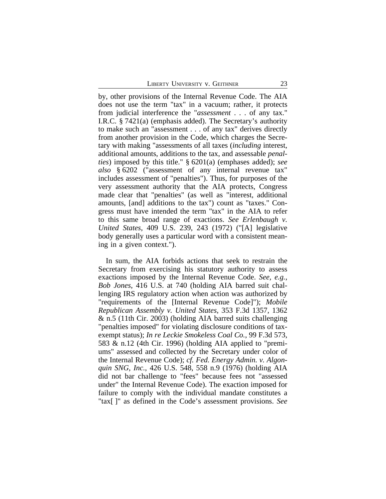by, other provisions of the Internal Revenue Code. The AIA does not use the term "tax" in a vacuum; rather, it protects from judicial interference the "*assessment* . . . of any tax." I.R.C. § 7421(a) (emphasis added). The Secretary's authority to make such an "assessment . . . of any tax" derives directly from another provision in the Code, which charges the Secretary with making "assessments of all taxes (*including* interest, additional amounts, additions to the tax, and assessable *penalties*) imposed by this title." § 6201(a) (emphases added); *see also* § 6202 ("assessment of any internal revenue tax" includes assessment of "penalties"). Thus, for purposes of the very assessment authority that the AIA protects, Congress made clear that "penalties" (as well as "interest, additional amounts, [and] additions to the tax") count as "taxes." Congress must have intended the term "tax" in the AIA to refer to this same broad range of exactions. *See Erlenbaugh v. United States*, 409 U.S. 239, 243 (1972) ("[A] legislative body generally uses a particular word with a consistent meaning in a given context.").

In sum, the AIA forbids actions that seek to restrain the Secretary from exercising his statutory authority to assess exactions imposed by the Internal Revenue Code. *See, e.g.*, *Bob Jones*, 416 U.S. at 740 (holding AIA barred suit challenging IRS regulatory action when action was authorized by "requirements of the [Internal Revenue Code]"); *Mobile Republican Assembly v. United States*, 353 F.3d 1357, 1362 & n.5 (11th Cir. 2003) (holding AIA barred suits challenging "penalties imposed" for violating disclosure conditions of taxexempt status); *In re Leckie Smokeless Coal Co.*, 99 F.3d 573, 583 & n.12 (4th Cir. 1996) (holding AIA applied to "premiums" assessed and collected by the Secretary under color of the Internal Revenue Code); *cf. Fed. Energy Admin. v. Algonquin SNG, Inc.*, 426 U.S. 548, 558 n.9 (1976) (holding AIA did not bar challenge to "fees" because fees not "assessed under" the Internal Revenue Code). The exaction imposed for failure to comply with the individual mandate constitutes a "tax[ ]" as defined in the Code's assessment provisions. *See*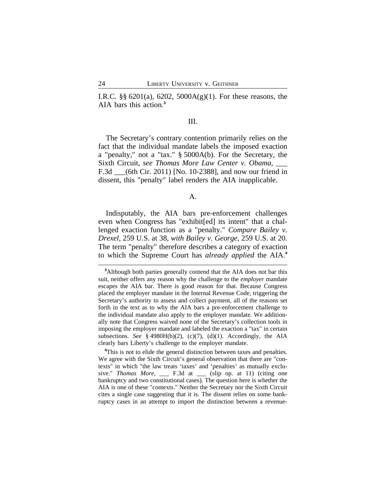I.R.C. §§ 6201(a), 6202, 5000A(g)(1). For these reasons, the AIA bars this action.**<sup>3</sup>**

# III.

The Secretary's contrary contention primarily relies on the fact that the individual mandate labels the imposed exaction a "penalty," not a "tax." § 5000A(b). For the Secretary, the Sixth Circuit, *see Thomas More Law Center v. Obama*, \_\_\_ F.3d \_\_\_(6th Cir. 2011) [No. 10-2388], and now our friend in dissent, this "penalty" label renders the AIA inapplicable.

A.

Indisputably, the AIA bars pre-enforcement challenges even when Congress has "exhibit[ed] its intent" that a challenged exaction function as a "penalty." *Compare Bailey v. Drexel*, 259 U.S. at 38, *with Bailey v. George*, 259 U.S. at 20. The term "penalty" therefore describes a category of exaction to which the Supreme Court has *already applied* the AIA.**<sup>4</sup>**

**<sup>3</sup>**Although both parties generally contend that the AIA does not bar this suit, neither offers any reason why the challenge to the *employer* mandate escapes the AIA bar. There is good reason for that. Because Congress placed the employer mandate in the Internal Revenue Code, triggering the Secretary's authority to assess and collect payment, all of the reasons set forth in the text as to why the AIA bars a pre-enforcement challenge to the individual mandate also apply to the employer mandate. We additionally note that Congress waived none of the Secretary's collection tools in imposing the employer mandate and labeled the exaction a "tax" in certain subsections. *See* § 4980H(b)(2), (c)(7), (d)(1). Accordingly, the AIA clearly bars Liberty's challenge to the employer mandate.

<sup>&</sup>lt;sup>4</sup>This is not to elide the general distinction between taxes and penalties. We agree with the Sixth Circuit's general observation that there are "contexts" in which "the law treats 'taxes' and 'penalties' as mutually exclusive." *Thomas More*, \_\_\_ F.3d at \_\_\_ (slip op. at 11) (citing one bankruptcy and two constitutional cases). The question here is whether the AIA is one of these "contexts." Neither the Secretary nor the Sixth Circuit cites a single case suggesting that it is. The dissent relies on some bankruptcy cases in an attempt to import the distinction between a revenue-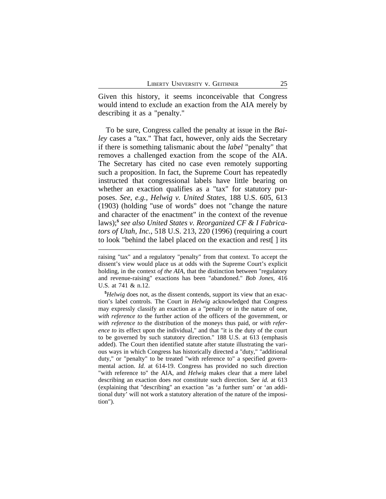Given this history, it seems inconceivable that Congress would intend to exclude an exaction from the AIA merely by describing it as a "penalty."

To be sure, Congress called the penalty at issue in the *Bailey* cases a "tax." That fact, however, only aids the Secretary if there is something talismanic about the *label* "penalty" that removes a challenged exaction from the scope of the AIA. The Secretary has cited no case even remotely supporting such a proposition. In fact, the Supreme Court has repeatedly instructed that congressional labels have little bearing on whether an exaction qualifies as a "tax" for statutory purposes. *See, e.g., Helwig v. United States*, 188 U.S. 605, 613 (1903) (holding "use of words" does not "change the nature and character of the enactment" in the context of the revenue laws);**<sup>5</sup>** *see also United States v. Reorganized CF & I Fabricators of Utah, Inc.*, 518 U.S. 213, 220 (1996) (requiring a court to look "behind the label placed on the exaction and rest[ ] its

raising "tax" and a regulatory "penalty" from that context. To accept the dissent's view would place us at odds with the Supreme Court's explicit holding, in the context *of the AIA*, that the distinction between "regulatory and revenue-raising" exactions has been "abandoned." *Bob Jones*, 416 U.S. at 741 & n.12.

**<sup>5</sup>***Helwig* does not, as the dissent contends, support its view that an exaction's label controls. The Court in *Helwig* acknowledged that Congress may expressly classify an exaction as a "penalty or in the nature of one, *with reference to* the further action of the officers of the government, or *with reference to* the distribution of the moneys thus paid, or *with reference to* its effect upon the individual," and that "it is the duty of the court to be governed by such statutory direction." 188 U.S. at 613 (emphasis added). The Court then identified statute after statute illustrating the various ways in which Congress has historically directed a "duty," "additional duty," or "penalty" to be treated "with reference to" a specified governmental action. *Id.* at 614-19. Congress has provided no such direction "with reference to" the AIA, and *Helwig* makes clear that a mere label describing an exaction does *not* constitute such direction. *See id.* at 613 (explaining that "describing" an exaction "as 'a further sum' or 'an additional duty' will not work a statutory alteration of the nature of the imposition").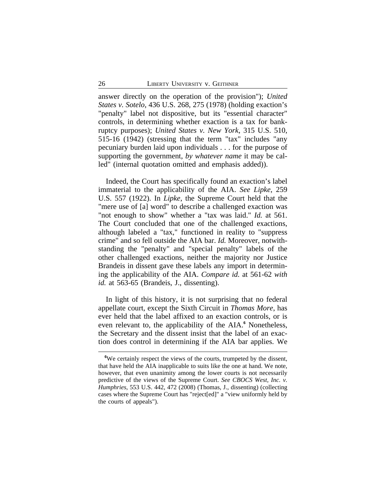answer directly on the operation of the provision"); *United States v. Sotelo*, 436 U.S. 268, 275 (1978) (holding exaction's "penalty" label not dispositive, but its "essential character" controls, in determining whether exaction is a tax for bankruptcy purposes); *United States v. New York*, 315 U.S. 510, 515-16 (1942) (stressing that the term "tax" includes "any pecuniary burden laid upon individuals . . . for the purpose of supporting the government, *by whatever name* it may be called" (internal quotation omitted and emphasis added)).

Indeed, the Court has specifically found an exaction's label immaterial to the applicability of the AIA. *See Lipke*, 259 U.S. 557 (1922). In *Lipke*, the Supreme Court held that the "mere use of [a] word" to describe a challenged exaction was "not enough to show" whether a "tax was laid." *Id.* at 561. The Court concluded that one of the challenged exactions, although labeled a "tax," functioned in reality to "suppress crime" and so fell outside the AIA bar. *Id.* Moreover, notwithstanding the "penalty" and "special penalty" labels of the other challenged exactions, neither the majority nor Justice Brandeis in dissent gave these labels any import in determining the applicability of the AIA. *Compare id.* at 561-62 *with id.* at 563-65 (Brandeis, J., dissenting).

In light of this history, it is not surprising that no federal appellate court, except the Sixth Circuit in *Thomas More*, has ever held that the label affixed to an exaction controls, or is even relevant to, the applicability of the AIA.**<sup>6</sup>** Nonetheless, the Secretary and the dissent insist that the label of an exaction does control in determining if the AIA bar applies. We

**<sup>6</sup>**We certainly respect the views of the courts, trumpeted by the dissent, that have held the AIA inapplicable to suits like the one at hand. We note, however, that even unanimity among the lower courts is not necessarily predictive of the views of the Supreme Court. *See CBOCS West, Inc. v. Humphries*, 553 U.S. 442, 472 (2008) (Thomas, J., dissenting) (collecting cases where the Supreme Court has "reject[ed]" a "view uniformly held by the courts of appeals").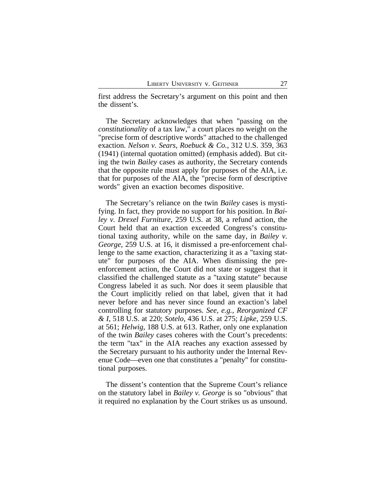first address the Secretary's argument on this point and then the dissent's.

The Secretary acknowledges that when "passing on the *constitutionality* of a tax law," a court places no weight on the "precise form of descriptive words" attached to the challenged exaction. *Nelson v. Sears, Roebuck & Co.*, 312 U.S. 359, 363 (1941) (internal quotation omitted) (emphasis added). But citing the twin *Bailey* cases as authority, the Secretary contends that the opposite rule must apply for purposes of the AIA, i.e. that for purposes of the AIA, the "precise form of descriptive words" given an exaction becomes dispositive.

The Secretary's reliance on the twin *Bailey* cases is mystifying. In fact, they provide no support for his position. In *Bailey v. Drexel Furniture*, 259 U.S. at 38, a refund action, the Court held that an exaction exceeded Congress's constitutional taxing authority, while on the same day, in *Bailey v. George*, 259 U.S. at 16, it dismissed a pre-enforcement challenge to the same exaction, characterizing it as a "taxing statute" for purposes of the AIA. When dismissing the preenforcement action, the Court did not state or suggest that it classified the challenged statute as a "taxing statute" because Congress labeled it as such. Nor does it seem plausible that the Court implicitly relied on that label, given that it had never before and has never since found an exaction's label controlling for statutory purposes. *See, e.g., Reorganized CF & I*, 518 U.S. at 220; *Sotelo*, 436 U.S. at 275; *Lipke*, 259 U.S. at 561; *Helwig*, 188 U.S. at 613. Rather, only one explanation of the twin *Bailey* cases coheres with the Court's precedents: the term "tax" in the AIA reaches any exaction assessed by the Secretary pursuant to his authority under the Internal Revenue Code—even one that constitutes a "penalty" for constitutional purposes.

The dissent's contention that the Supreme Court's reliance on the statutory label in *Bailey v. George* is so "obvious" that it required no explanation by the Court strikes us as unsound.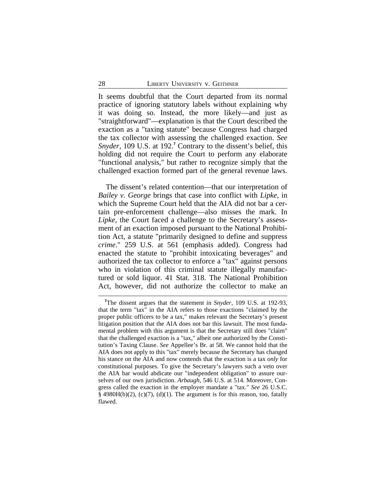It seems doubtful that the Court departed from its normal practice of ignoring statutory labels without explaining why it was doing so. Instead, the more likely—and just as "straightforward"—explanation is that the Court described the exaction as a "taxing statute" because Congress had charged the tax collector with assessing the challenged exaction. *See* Snyder, 109 U.S. at 192.<sup>7</sup> Contrary to the dissent's belief, this holding did not require the Court to perform any elaborate "functional analysis," but rather to recognize simply that the challenged exaction formed part of the general revenue laws.

The dissent's related contention—that our interpretation of *Bailey v. George* brings that case into conflict with *Lipke*, in which the Supreme Court held that the AIA did not bar a certain pre-enforcement challenge—also misses the mark. In *Lipke*, the Court faced a challenge to the Secretary's assessment of an exaction imposed pursuant to the National Prohibition Act, a statute "primarily designed to define and suppress *crime*." 259 U.S. at 561 (emphasis added). Congress had enacted the statute to "prohibit intoxicating beverages" and authorized the tax collector to enforce a "tax" against persons who in violation of this criminal statute illegally manufactured or sold liquor. 41 Stat. 318. The National Prohibition Act, however, did not authorize the collector to make an

**<sup>7</sup>**The dissent argues that the statement in *Snyder*, 109 U.S. at 192-93, that the term "tax" in the AIA refers to those exactions "claimed by the proper public officers to be a tax," makes relevant the Secretary's present litigation position that the AIA does not bar this lawsuit. The most fundamental problem with this argument is that the Secretary still does "claim" that the challenged exaction is a "tax," albeit one authorized by the Constitution's Taxing Clause. *See* Appellee's Br. at 58. We cannot hold that the AIA does not apply to this "tax" merely because the Secretary has changed his stance on the AIA and now contends that the exaction is a tax *only* for constitutional purposes. To give the Secretary's lawyers such a veto over the AIA bar would abdicate our "independent obligation" to assure ourselves of our own jurisdiction. *Arbaugh*, 546 U.S. at 514. Moreover, Congress called the exaction in the employer mandate a "tax." *See* 26 U.S.C.  $§$  4980H(b)(2), (c)(7), (d)(1). The argument is for this reason, too, fatally flawed.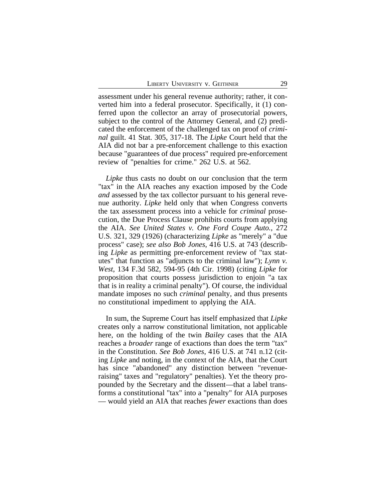assessment under his general revenue authority; rather, it converted him into a federal prosecutor. Specifically, it (1) conferred upon the collector an array of prosecutorial powers, subject to the control of the Attorney General, and (2) predicated the enforcement of the challenged tax on proof of *criminal* guilt. 41 Stat. 305, 317-18. The *Lipke* Court held that the AIA did not bar a pre-enforcement challenge to this exaction because "guarantees of due process" required pre-enforcement review of "penalties for crime." 262 U.S. at 562.

*Lipke* thus casts no doubt on our conclusion that the term "tax" in the AIA reaches any exaction imposed by the Code *and* assessed by the tax collector pursuant to his general revenue authority. *Lipke* held only that when Congress converts the tax assessment process into a vehicle for *criminal* prosecution, the Due Process Clause prohibits courts from applying the AIA. *See United States v. One Ford Coupe Auto.*, 272 U.S. 321, 329 (1926) (characterizing *Lipke* as "merely" a "due process" case); *see also Bob Jones*, 416 U.S. at 743 (describing *Lipke* as permitting pre-enforcement review of "tax statutes" that function as "adjuncts to the criminal law"); *Lynn v. West*, 134 F.3d 582, 594-95 (4th Cir. 1998) (citing *Lipke* for proposition that courts possess jurisdiction to enjoin "a tax that is in reality a criminal penalty"). Of course, the individual mandate imposes no such *criminal* penalty, and thus presents no constitutional impediment to applying the AIA.

In sum, the Supreme Court has itself emphasized that *Lipke* creates only a narrow constitutional limitation, not applicable here, on the holding of the twin *Bailey* cases that the AIA reaches a *broader* range of exactions than does the term "tax" in the Constitution. *See Bob Jones*, 416 U.S. at 741 n.12 (citing *Lipke* and noting, in the context of the AIA, that the Court has since "abandoned" any distinction between "revenueraising" taxes and "regulatory" penalties). Yet the theory propounded by the Secretary and the dissent—that a label transforms a constitutional "tax" into a "penalty" for AIA purposes — would yield an AIA that reaches *fewer* exactions than does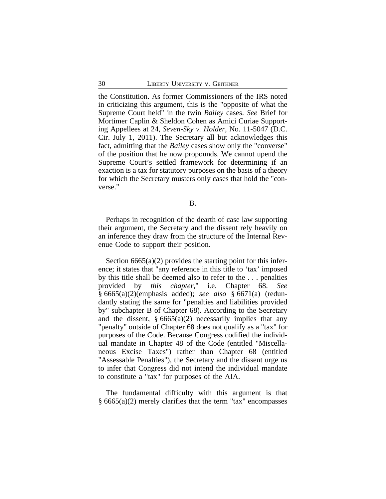the Constitution. As former Commissioners of the IRS noted in criticizing this argument, this is the "opposite of what the Supreme Court held" in the twin *Bailey* cases. *See* Brief for Mortimer Caplin & Sheldon Cohen as Amici Curiae Supporting Appellees at 24, *Seven-Sky v. Holder*, No. 11-5047 (D.C. Cir. July 1, 2011). The Secretary all but acknowledges this fact, admitting that the *Bailey* cases show only the "converse" of the position that he now propounds. We cannot upend the Supreme Court's settled framework for determining if an exaction is a tax for statutory purposes on the basis of a theory for which the Secretary musters only cases that hold the "converse."

B.

Perhaps in recognition of the dearth of case law supporting their argument, the Secretary and the dissent rely heavily on an inference they draw from the structure of the Internal Revenue Code to support their position.

Section  $6665(a)(2)$  provides the starting point for this inference; it states that "any reference in this title to 'tax' imposed by this title shall be deemed also to refer to the . . . penalties provided by *this chapter*," i.e. Chapter 68. *See* § 6665(a)(2)(emphasis added); *see also* § 6671(a) (redundantly stating the same for "penalties and liabilities provided by" subchapter B of Chapter 68). According to the Secretary and the dissent,  $\S 6665(a)(2)$  necessarily implies that any "penalty" outside of Chapter 68 does not qualify as a "tax" for purposes of the Code. Because Congress codified the individual mandate in Chapter 48 of the Code (entitled "Miscellaneous Excise Taxes") rather than Chapter 68 (entitled "Assessable Penalties"), the Secretary and the dissent urge us to infer that Congress did not intend the individual mandate to constitute a "tax" for purposes of the AIA.

The fundamental difficulty with this argument is that § 6665(a)(2) merely clarifies that the term "tax" encompasses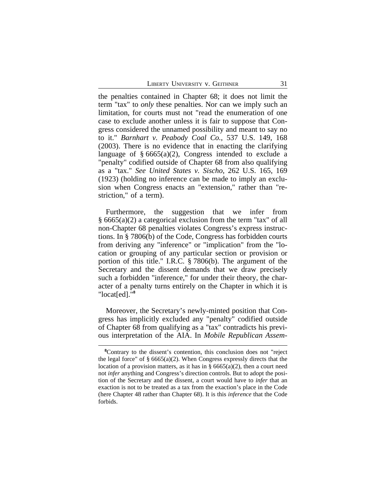the penalties contained in Chapter 68; it does not limit the term "tax" to *only* these penalties. Nor can we imply such an limitation, for courts must not "read the enumeration of one case to exclude another unless it is fair to suppose that Congress considered the unnamed possibility and meant to say no to it." *Barnhart v. Peabody Coal Co.*, 537 U.S. 149, 168 (2003). There is no evidence that in enacting the clarifying language of  $§ 6665(a)(2)$ , Congress intended to exclude a "penalty" codified outside of Chapter 68 from also qualifying as a "tax." *See United States v. Sischo*, 262 U.S. 165, 169 (1923) (holding no inference can be made to imply an exclusion when Congress enacts an "extension," rather than "restriction," of a term).

Furthermore, the suggestion that we infer from § 6665(a)(2) a categorical exclusion from the term "tax" of all non-Chapter 68 penalties violates Congress's express instructions. In § 7806(b) of the Code, Congress has forbidden courts from deriving any "inference" or "implication" from the "location or grouping of any particular section or provision or portion of this title." I.R.C. § 7806(b). The argument of the Secretary and the dissent demands that we draw precisely such a forbidden "inference," for under their theory, the character of a penalty turns entirely on the Chapter in which it is "locat[ed]."**<sup>8</sup>**

Moreover, the Secretary's newly-minted position that Congress has implicitly excluded any "penalty" codified outside of Chapter 68 from qualifying as a "tax" contradicts his previous interpretation of the AIA. In *Mobile Republican Assem-*

**<sup>8</sup>**Contrary to the dissent's contention, this conclusion does not "reject the legal force" of  $\S$  6665(a)(2). When Congress expressly directs that the location of a provision matters, as it has in  $\S$  6665(a)(2), then a court need not *infer* anything and Congress's direction controls. But to adopt the position of the Secretary and the dissent, a court would have to *infer* that an exaction is not to be treated as a tax from the exaction's place in the Code (here Chapter 48 rather than Chapter 68). It is this *inference* that the Code forbids.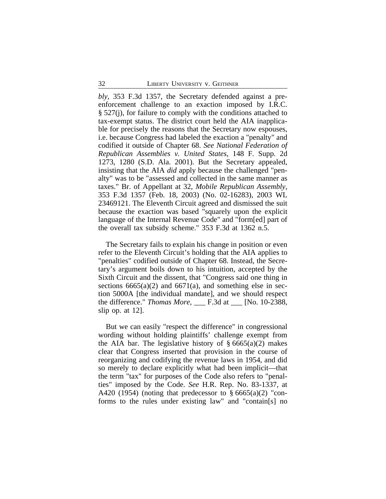*bly*, 353 F.3d 1357, the Secretary defended against a preenforcement challenge to an exaction imposed by I.R.C. § 527(j), for failure to comply with the conditions attached to tax-exempt status. The district court held the AIA inapplicable for precisely the reasons that the Secretary now espouses, i.e. because Congress had labeled the exaction a "penalty" and codified it outside of Chapter 68. *See National Federation of Republican Assemblies v. United States*, 148 F. Supp. 2d 1273, 1280 (S.D. Ala. 2001). But the Secretary appealed, insisting that the AIA *did* apply because the challenged "penalty" was to be "assessed and collected in the same manner as taxes." Br. of Appellant at 32, *Mobile Republican Assembly*, 353 F.3d 1357 (Feb. 18, 2003) (No. 02-16283), 2003 WL 23469121. The Eleventh Circuit agreed and dismissed the suit because the exaction was based "squarely upon the explicit language of the Internal Revenue Code" and "form[ed] part of the overall tax subsidy scheme." 353 F.3d at 1362 n.5.

The Secretary fails to explain his change in position or even refer to the Eleventh Circuit's holding that the AIA applies to "penalties" codified outside of Chapter 68. Instead, the Secretary's argument boils down to his intuition, accepted by the Sixth Circuit and the dissent, that "Congress said one thing in sections  $6665(a)(2)$  and  $6671(a)$ , and something else in section 5000A [the individual mandate], and we should respect the difference." *Thomas More*, \_\_\_ F.3d at \_\_\_ [No. 10-2388, slip op. at 12].

But we can easily "respect the difference" in congressional wording without holding plaintiffs' challenge exempt from the AIA bar. The legislative history of  $\S 6665(a)(2)$  makes clear that Congress inserted that provision in the course of reorganizing and codifying the revenue laws in 1954, and did so merely to declare explicitly what had been implicit—that the term "tax" for purposes of the Code also refers to "penalties" imposed by the Code. *See* H.R. Rep. No. 83-1337, at A420 (1954) (noting that predecessor to  $\S 6665(a)(2)$  "conforms to the rules under existing law" and "contain[s] no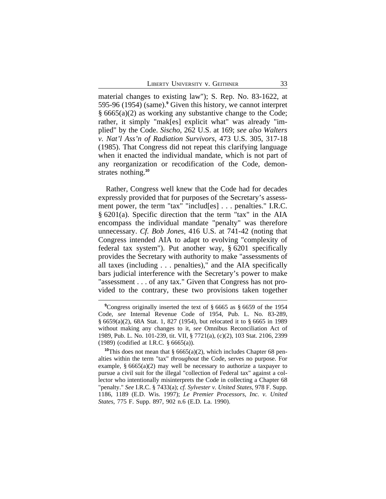material changes to existing law"); S. Rep. No. 83-1622, at 595-96 (1954) (same).**<sup>9</sup>** Given this history, we cannot interpret § 6665(a)(2) as working any substantive change to the Code; rather, it simply "mak[es] explicit what" was already "implied" by the Code. *Sischo*, 262 U.S. at 169; *see also Walters v. Nat'l Ass'n of Radiation Survivors*, 473 U.S. 305, 317-18 (1985). That Congress did not repeat this clarifying language when it enacted the individual mandate, which is not part of any reorganization or recodification of the Code, demonstrates nothing.**<sup>10</sup>**

Rather, Congress well knew that the Code had for decades expressly provided that for purposes of the Secretary's assessment power, the term "tax" "includ[es] . . . penalties." I.R.C. § 6201(a). Specific direction that the term "tax" in the AIA encompass the individual mandate "penalty" was therefore unnecessary. *Cf. Bob Jones*, 416 U.S. at 741-42 (noting that Congress intended AIA to adapt to evolving "complexity of federal tax system"). Put another way, § 6201 specifically provides the Secretary with authority to make "assessments of all taxes (including . . . penalties)," and the AIA specifically bars judicial interference with the Secretary's power to make "assessment . . . of any tax." Given that Congress has not provided to the contrary, these two provisions taken together

<sup>&</sup>lt;sup>9</sup>Congress originally inserted the text of § 6665 as § 6659 of the 1954 Code, *see* Internal Revenue Code of 1954, Pub. L. No. 83-289, § 6659(a)(2), 68A Stat. 1, 827 (1954), but relocated it to § 6665 in 1989 without making any changes to it, *see* Omnibus Reconciliation Act of 1989, Pub. L. No. 101-239, tit. VII, § 7721(a), (c)(2), 103 Stat. 2106, 2399 (1989) (codified at I.R.C. § 6665(a)).

<sup>&</sup>lt;sup>10</sup>This does not mean that §  $6665(a)(2)$ , which includes Chapter 68 penalties within the term "tax" *throughout* the Code, serves no purpose. For example, § 6665(a)(2) may well be necessary to authorize a taxpayer to pursue a civil suit for the illegal "collection of Federal tax" against a collector who intentionally misinterprets the Code in collecting a Chapter 68 "penalty." *See* I.R.C. § 7433(a); *cf. Sylvester v. United States*, 978 F. Supp. 1186, 1189 (E.D. Wis. 1997); *Le Premier Processors, Inc. v. United States*, 775 F. Supp. 897, 902 n.6 (E.D. La. 1990).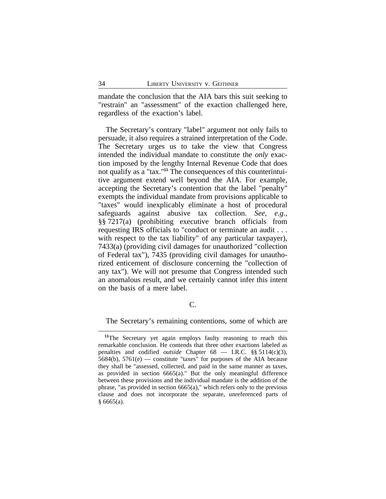mandate the conclusion that the AIA bars this suit seeking to "restrain" an "assessment" of the exaction challenged here, regardless of the exaction's label.

The Secretary's contrary "label" argument not only fails to persuade, it also requires a strained interpretation of the Code. The Secretary urges us to take the view that Congress intended the individual mandate to constitute the *only* exaction imposed by the lengthy Internal Revenue Code that does not qualify as a "tax."**11** The consequences of this counterintuitive argument extend well beyond the AIA. For example, accepting the Secretary's contention that the label "penalty" exempts the individual mandate from provisions applicable to "taxes" would inexplicably eliminate a host of procedural safeguards against abusive tax collection. *See, e.g.*, §§ 7217(a) (prohibiting executive branch officials from requesting IRS officials to "conduct or terminate an audit . . . with respect to the tax liability" of any particular taxpayer), 7433(a) (providing civil damages for unauthorized "collection of Federal tax"), 7435 (providing civil damages for unauthorized enticement of disclosure concerning the "collection of any tax"). We will not presume that Congress intended such an anomalous result, and we certainly cannot infer this intent on the basis of a mere label.

C.

The Secretary's remaining contentions, some of which are

**<sup>11</sup>**The Secretary yet again employs faulty reasoning to reach this remarkable conclusion. He contends that three other exactions labeled as penalties and codified *outside* Chapter 68 — I.R.C. §§ 5114(c)(3),  $5684(b)$ ,  $5761(e)$  — constitute "taxes" for purposes of the AIA because they shall be "assessed, collected, and paid in the same manner as taxes, as provided in section 6665(a)." But the only meaningful difference between these provisions and the individual mandate is the addition of the phrase, "as provided in section 6665(a)," which refers only to the previous clause and does not incorporate the separate, unreferenced parts of  $§ 6665(a).$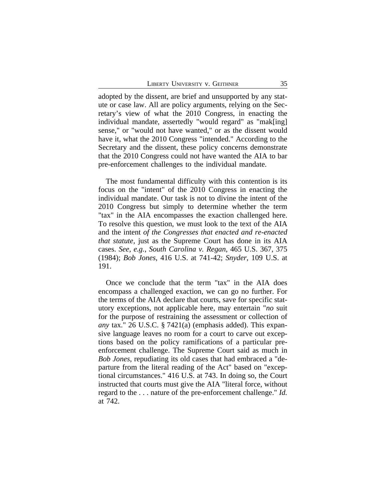adopted by the dissent, are brief and unsupported by any statute or case law. All are policy arguments, relying on the Secretary's view of what the 2010 Congress, in enacting the individual mandate, assertedly "would regard" as "mak[ing] sense," or "would not have wanted," or as the dissent would have it, what the 2010 Congress "intended." According to the Secretary and the dissent, these policy concerns demonstrate that the 2010 Congress could not have wanted the AIA to bar pre-enforcement challenges to the individual mandate.

The most fundamental difficulty with this contention is its focus on the "intent" of the 2010 Congress in enacting the individual mandate. Our task is not to divine the intent of the 2010 Congress but simply to determine whether the term "tax" in the AIA encompasses the exaction challenged here. To resolve this question, we must look to the text of the AIA and the intent *of the Congresses that enacted and re-enacted that statute*, just as the Supreme Court has done in its AIA cases. *See, e.g.*, *South Carolina v. Regan*, 465 U.S. 367, 375 (1984); *Bob Jones*, 416 U.S. at 741-42; *Snyder*, 109 U.S. at 191.

Once we conclude that the term "tax" in the AIA does encompass a challenged exaction, we can go no further. For the terms of the AIA declare that courts, save for specific statutory exceptions, not applicable here, may entertain "*no* suit for the purpose of restraining the assessment or collection of *any* tax." 26 U.S.C. § 7421(a) (emphasis added). This expansive language leaves no room for a court to carve out exceptions based on the policy ramifications of a particular preenforcement challenge. The Supreme Court said as much in *Bob Jones*, repudiating its old cases that had embraced a "departure from the literal reading of the Act" based on "exceptional circumstances." 416 U.S. at 743. In doing so, the Court instructed that courts must give the AIA "literal force, without regard to the . . . nature of the pre-enforcement challenge." *Id.* at 742.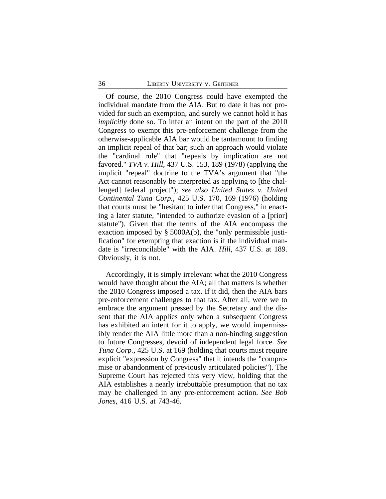Of course, the 2010 Congress could have exempted the individual mandate from the AIA. But to date it has not provided for such an exemption, and surely we cannot hold it has *implicitly* done so. To infer an intent on the part of the 2010 Congress to exempt this pre-enforcement challenge from the otherwise-applicable AIA bar would be tantamount to finding an implicit repeal of that bar; such an approach would violate the "cardinal rule" that "repeals by implication are not favored." *TVA v. Hill*, 437 U.S. 153, 189 (1978) (applying the implicit "repeal" doctrine to the TVA's argument that "the Act cannot reasonably be interpreted as applying to [the challenged] federal project"); *see also United States v. United Continental Tuna Corp.*, 425 U.S. 170, 169 (1976) (holding that courts must be "hesitant to infer that Congress," in enacting a later statute, "intended to authorize evasion of a [prior] statute"). Given that the terms of the AIA encompass the exaction imposed by § 5000A(b), the "only permissible justification" for exempting that exaction is if the individual mandate is "irreconcilable" with the AIA. *Hill*, 437 U.S. at 189. Obviously, it is not.

Accordingly, it is simply irrelevant what the 2010 Congress would have thought about the AIA; all that matters is whether the 2010 Congress imposed a tax. If it did, then the AIA bars pre-enforcement challenges to that tax. After all, were we to embrace the argument pressed by the Secretary and the dissent that the AIA applies only when a subsequent Congress has exhibited an intent for it to apply, we would impermissibly render the AIA little more than a non-binding suggestion to future Congresses, devoid of independent legal force. *See Tuna Corp.*, 425 U.S. at 169 (holding that courts must require explicit "expression by Congress" that it intends the "compromise or abandonment of previously articulated policies"). The Supreme Court has rejected this very view, holding that the AIA establishes a nearly irrebuttable presumption that no tax may be challenged in any pre-enforcement action. *See Bob Jones*, 416 U.S. at 743-46.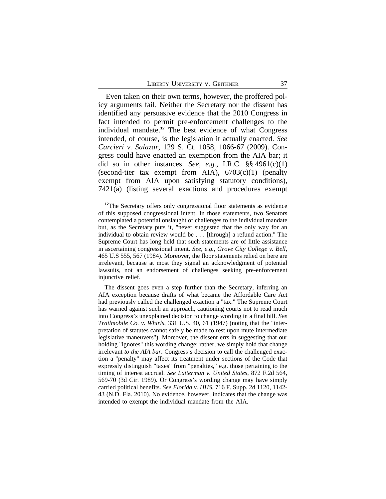Even taken on their own terms, however, the proffered policy arguments fail. Neither the Secretary nor the dissent has identified any persuasive evidence that the 2010 Congress in fact intended to permit pre-enforcement challenges to the individual mandate.**<sup>12</sup>** The best evidence of what Congress intended, of course, is the legislation it actually enacted. *See Carcieri v. Salazar*, 129 S. Ct. 1058, 1066-67 (2009). Congress could have enacted an exemption from the AIA bar; it did so in other instances. *See, e.g.*, I.R.C. §§ 4961(c)(1) (second-tier tax exempt from AIA),  $6703(c)(1)$  (penalty exempt from AIA upon satisfying statutory conditions), 7421(a) (listing several exactions and procedures exempt

**<sup>12</sup>**The Secretary offers only congressional floor statements as evidence of this supposed congressional intent. In those statements, two Senators contemplated a potential onslaught of challenges to the individual mandate but, as the Secretary puts it, "never suggested that the only way for an individual to obtain review would be . . . [through] a refund action." The Supreme Court has long held that such statements are of little assistance in ascertaining congressional intent. *See, e.g.*, *Grove City College v. Bell*, 465 U.S 555, 567 (1984). Moreover, the floor statements relied on here are irrelevant, because at most they signal an acknowledgment of potential lawsuits, not an endorsement of challenges seeking pre-enforcement injunctive relief.

The dissent goes even a step further than the Secretary, inferring an AIA exception because drafts of what became the Affordable Care Act had previously called the challenged exaction a "tax." The Supreme Court has warned against such an approach, cautioning courts not to read much into Congress's unexplained decision to change wording in a final bill. *See Trailmobile Co. v. Whirls*, 331 U.S. 40, 61 (1947) (noting that the "interpretation of statutes cannot safely be made to rest upon mute intermediate legislative maneuvers"). Moreover, the dissent errs in suggesting that our holding "ignores" this wording change; rather, we simply hold that change irrelevant *to the AIA bar*. Congress's decision to call the challenged exaction a "penalty" may affect its treatment under sections of the Code that expressly distinguish "taxes" from "penalties," e.g. those pertaining to the timing of interest accrual. *See Latterman v. United States*, 872 F.2d 564, 569-70 (3d Cir. 1989). Or Congress's wording change may have simply carried political benefits. *See Florida v. HHS*, 716 F. Supp. 2d 1120, 1142- 43 (N.D. Fla. 2010). No evidence, however, indicates that the change was intended to exempt the individual mandate from the AIA.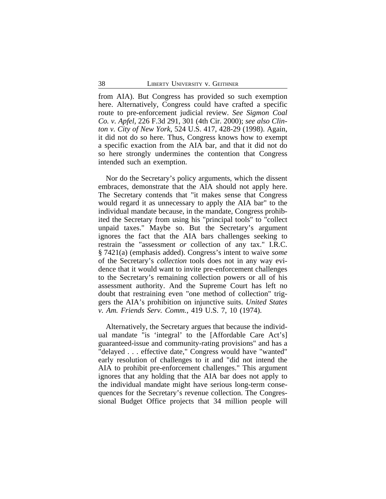from AIA). But Congress has provided so such exemption here. Alternatively, Congress could have crafted a specific route to pre-enforcement judicial review. *See Sigmon Coal Co. v. Apfel,* 226 F.3d 291, 301 (4th Cir. 2000); *see also Clinton v. City of New York*, 524 U.S. 417, 428-29 (1998). Again, it did not do so here. Thus, Congress knows how to exempt a specific exaction from the AIA bar, and that it did not do so here strongly undermines the contention that Congress intended such an exemption.

Nor do the Secretary's policy arguments, which the dissent embraces, demonstrate that the AIA should not apply here. The Secretary contends that "it makes sense that Congress would regard it as unnecessary to apply the AIA bar" to the individual mandate because, in the mandate, Congress prohibited the Secretary from using his "principal tools" to "collect unpaid taxes." Maybe so. But the Secretary's argument ignores the fact that the AIA bars challenges seeking to restrain the "assessment *or* collection of any tax." I.R.C. § 7421(a) (emphasis added). Congress's intent to waive *some* of the Secretary's *collection* tools does not in any way evidence that it would want to invite pre-enforcement challenges to the Secretary's remaining collection powers or all of his assessment authority. And the Supreme Court has left no doubt that restraining even "one method of collection" triggers the AIA's prohibition on injunctive suits. *United States v. Am. Friends Serv. Comm.*, 419 U.S. 7, 10 (1974).

Alternatively, the Secretary argues that because the individual mandate "is 'integral' to the [Affordable Care Act's] guaranteed-issue and community-rating provisions" and has a "delayed . . . effective date," Congress would have "wanted" early resolution of challenges to it and "did not intend the AIA to prohibit pre-enforcement challenges." This argument ignores that any holding that the AIA bar does not apply to the individual mandate might have serious long-term consequences for the Secretary's revenue collection. The Congressional Budget Office projects that 34 million people will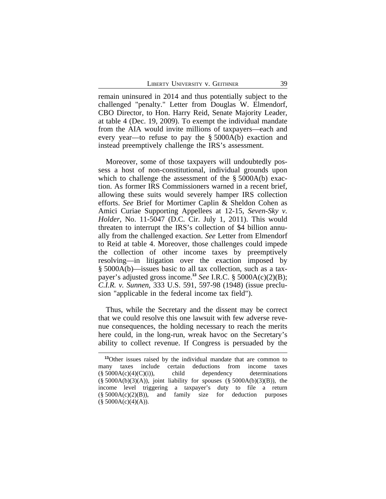remain uninsured in 2014 and thus potentially subject to the challenged "penalty." Letter from Douglas W. Elmendorf, CBO Director, to Hon. Harry Reid, Senate Majority Leader, at table 4 (Dec. 19, 2009). To exempt the individual mandate from the AIA would invite millions of taxpayers—each and every year—to refuse to pay the § 5000A(b) exaction and instead preemptively challenge the IRS's assessment.

Moreover, some of those taxpayers will undoubtedly possess a host of non-constitutional, individual grounds upon which to challenge the assessment of the § 5000A(b) exaction. As former IRS Commissioners warned in a recent brief, allowing these suits would severely hamper IRS collection efforts. *See* Brief for Mortimer Caplin & Sheldon Cohen as Amici Curiae Supporting Appellees at 12-15, *Seven-Sky v. Holder*, No. 11-5047 (D.C. Cir. July 1, 2011). This would threaten to interrupt the IRS's collection of \$4 billion annually from the challenged exaction. *See* Letter from Elmendorf to Reid at table 4. Moreover, those challenges could impede the collection of other income taxes by preemptively resolving—in litigation over the exaction imposed by § 5000A(b)—issues basic to all tax collection, such as a taxpayer's adjusted gross income.**<sup>13</sup>** *See* I.R.C. § 5000A(c)(2)(B); *C.I.R. v. Sunnen*, 333 U.S. 591, 597-98 (1948) (issue preclusion "applicable in the federal income tax field").

Thus, while the Secretary and the dissent may be correct that we could resolve this one lawsuit with few adverse revenue consequences, the holding necessary to reach the merits here could, in the long-run, wreak havoc on the Secretary's ability to collect revenue. If Congress is persuaded by the

**<sup>13</sup>**Other issues raised by the individual mandate that are common to many taxes include certain deductions from income taxes  $(\S 5000A(c)(4)(C)(i))$ , child dependency determinations  $(\S 5000A(b)(3)(A))$ , joint liability for spouses  $(\S 5000A(b)(3)(B))$ , the income level triggering a taxpayer's duty to file a return  $(\S 5000A(c)(2)(B))$ , and family size for deduction purposes  $($5000A(c)(4)(A)).$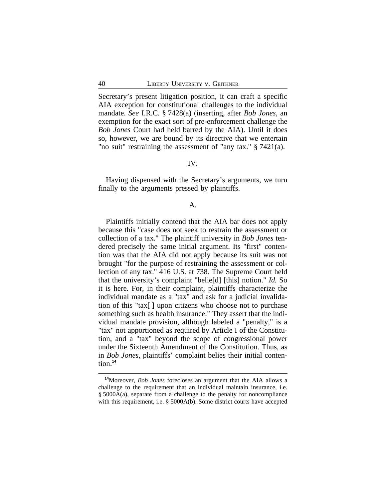Secretary's present litigation position, it can craft a specific AIA exception for constitutional challenges to the individual mandate. *See* I.R.C. § 7428(a) (inserting, after *Bob Jones*, an exemption for the exact sort of pre-enforcement challenge the *Bob Jones* Court had held barred by the AIA). Until it does so, however, we are bound by its directive that we entertain "no suit" restraining the assessment of "any tax." § 7421(a).

# IV.

Having dispensed with the Secretary's arguments, we turn finally to the arguments pressed by plaintiffs.

# A.

Plaintiffs initially contend that the AIA bar does not apply because this "case does not seek to restrain the assessment or collection of a tax." The plaintiff university in *Bob Jones* tendered precisely the same initial argument. Its "first" contention was that the AIA did not apply because its suit was not brought "for the purpose of restraining the assessment or collection of any tax." 416 U.S. at 738. The Supreme Court held that the university's complaint "belie[d] [this] notion." *Id.* So it is here. For, in their complaint, plaintiffs characterize the individual mandate as a "tax" and ask for a judicial invalidation of this "tax[ ] upon citizens who choose not to purchase something such as health insurance." They assert that the individual mandate provision, although labeled a "penalty," is a "tax" not apportioned as required by Article I of the Constitution, and a "tax" beyond the scope of congressional power under the Sixteenth Amendment of the Constitution. Thus, as in *Bob Jones*, plaintiffs' complaint belies their initial contention.**<sup>14</sup>**

**<sup>14</sup>**Moreover, *Bob Jones* forecloses an argument that the AIA allows a challenge to the requirement that an individual maintain insurance, i.e. § 5000A(a), separate from a challenge to the penalty for noncompliance with this requirement, i.e. § 5000A(b). Some district courts have accepted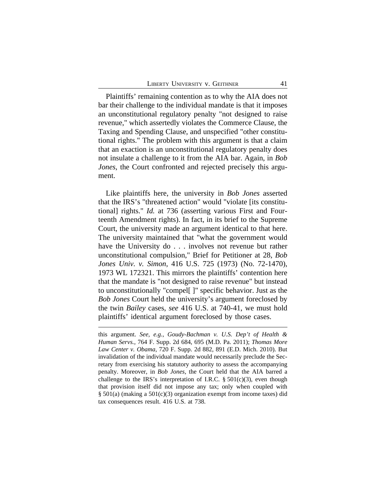Plaintiffs' remaining contention as to why the AIA does not bar their challenge to the individual mandate is that it imposes an unconstitutional regulatory penalty "not designed to raise revenue," which assertedly violates the Commerce Clause, the Taxing and Spending Clause, and unspecified "other constitutional rights." The problem with this argument is that a claim that an exaction is an unconstitutional regulatory penalty does not insulate a challenge to it from the AIA bar. Again, in *Bob Jones*, the Court confronted and rejected precisely this argument.

Like plaintiffs here, the university in *Bob Jones* asserted that the IRS's "threatened action" would "violate [its constitutional] rights." *Id.* at 736 (asserting various First and Fourteenth Amendment rights). In fact, in its brief to the Supreme Court, the university made an argument identical to that here. The university maintained that "what the government would have the University do . . . involves not revenue but rather unconstitutional compulsion," Brief for Petitioner at 28, *Bob Jones Univ. v. Simon*, 416 U.S. 725 (1973) (No. 72-1470), 1973 WL 172321. This mirrors the plaintiffs' contention here that the mandate is "not designed to raise revenue" but instead to unconstitutionally "compel[ ]" specific behavior. Just as the *Bob Jones* Court held the university's argument foreclosed by the twin *Bailey* cases, *see* 416 U.S. at 740-41, we must hold plaintiffs' identical argument foreclosed by those cases.

this argument. *See, e.g.*, *Goudy-Bachman v. U.S. Dep't of Health & Human Servs.*, 764 F. Supp. 2d 684, 695 (M.D. Pa. 2011); *Thomas More Law Center v. Obama*, 720 F. Supp. 2d 882, 891 (E.D. Mich. 2010). But invalidation of the individual mandate would necessarily preclude the Secretary from exercising his statutory authority to assess the accompanying penalty. Moreover, in *Bob Jones*, the Court held that the AIA barred a challenge to the IRS's interpretation of I.R.C.  $\S 501(c)(3)$ , even though that provision itself did not impose any tax; only when coupled with § 501(a) (making a 501(c)(3) organization exempt from income taxes) did tax consequences result. 416 U.S. at 738.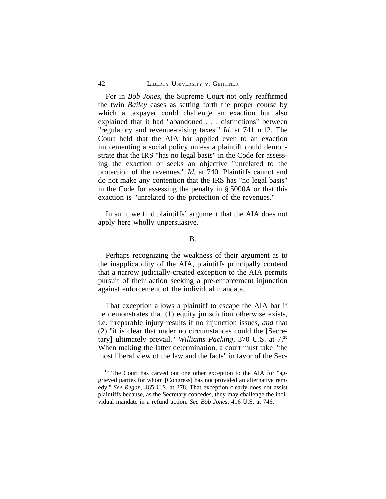For in *Bob Jones*, the Supreme Court not only reaffirmed the twin *Bailey* cases as setting forth the proper course by which a taxpayer could challenge an exaction but also explained that it had "abandoned . . . distinctions" between "regulatory and revenue-raising taxes." *Id.* at 741 n.12. The Court held that the AIA bar applied even to an exaction implementing a social policy unless a plaintiff could demonstrate that the IRS "has no legal basis" in the Code for assessing the exaction or seeks an objective "unrelated to the protection of the revenues." *Id.* at 740. Plaintiffs cannot and do not make any contention that the IRS has "no legal basis" in the Code for assessing the penalty in § 5000A or that this exaction is "unrelated to the protection of the revenues."

In sum, we find plaintiffs' argument that the AIA does not apply here wholly unpersuasive.

B.

Perhaps recognizing the weakness of their argument as to the inapplicability of the AIA, plaintiffs principally contend that a narrow judicially-created exception to the AIA permits pursuit of their action seeking a pre-enforcement injunction against enforcement of the individual mandate.

That exception allows a plaintiff to escape the AIA bar if he demonstrates that (1) equity jurisdiction otherwise exists, i.e. irreparable injury results if no injunction issues, *and* that (2) "it is clear that under no circumstances could the [Secretary] ultimately prevail." *Williams Packing*, 370 U.S. at 7.**<sup>15</sup>** When making the latter determination, a court must take "the most liberal view of the law and the facts" in favor of the Sec-

**<sup>15</sup>** The Court has carved out one other exception to the AIA for "aggrieved parties for whom [Congress] has not provided an alternative remedy." *See Regan*, 465 U.S. at 378. That exception clearly does not assist plaintiffs because, as the Secretary concedes, they may challenge the individual mandate in a refund action. *See Bob Jones*, 416 U.S. at 746.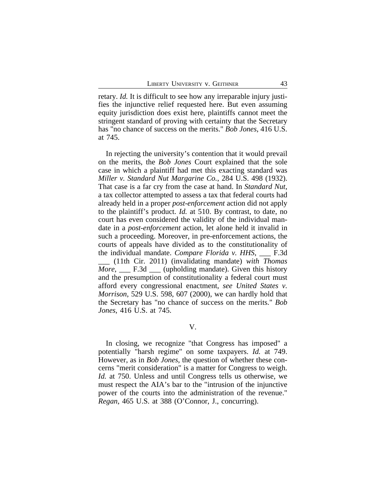retary. *Id.* It is difficult to see how any irreparable injury justifies the injunctive relief requested here. But even assuming equity jurisdiction does exist here, plaintiffs cannot meet the stringent standard of proving with certainty that the Secretary has "no chance of success on the merits." *Bob Jones*, 416 U.S. at 745.

In rejecting the university's contention that it would prevail on the merits, the *Bob Jones* Court explained that the sole case in which a plaintiff had met this exacting standard was *Miller v. Standard Nut Margarine Co.*, 284 U.S. 498 (1932). That case is a far cry from the case at hand. In *Standard Nut*, a tax collector attempted to assess a tax that federal courts had already held in a proper *post-enforcement* action did not apply to the plaintiff's product. *Id.* at 510. By contrast, to date, no court has even considered the validity of the individual mandate in a *post-enforcement* action, let alone held it invalid in such a proceeding. Moreover, in pre-enforcement actions, the courts of appeals have divided as to the constitutionality of the individual mandate. *Compare Florida v. HHS*, \_\_\_ F.3d \_\_\_ (11th Cir. 2011) (invalidating mandate) *with Thomas More*, \_\_\_ F.3d \_\_\_ (upholding mandate). Given this history and the presumption of constitutionality a federal court must afford every congressional enactment, *see United States v. Morrison*, 529 U.S. 598, 607 (2000), we can hardly hold that the Secretary has "no chance of success on the merits." *Bob Jones*, 416 U.S. at 745.

V.

In closing, we recognize "that Congress has imposed" a potentially "harsh regime" on some taxpayers. *Id.* at 749. However, as in *Bob Jones*, the question of whether these concerns "merit consideration" is a matter for Congress to weigh. *Id.* at 750. Unless and until Congress tells us otherwise, we must respect the AIA's bar to the "intrusion of the injunctive power of the courts into the administration of the revenue." *Regan*, 465 U.S. at 388 (O'Connor, J., concurring).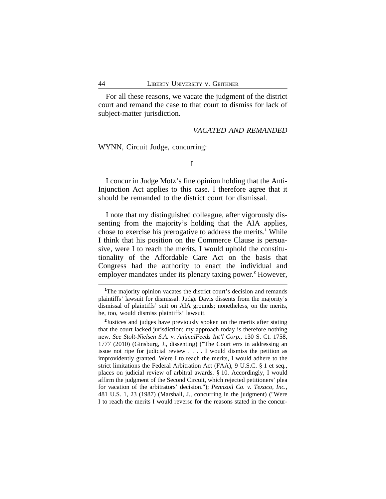For all these reasons, we vacate the judgment of the district court and remand the case to that court to dismiss for lack of subject-matter jurisdiction.

### *VACATED AND REMANDED*

WYNN, Circuit Judge, concurring:

I.

I concur in Judge Motz's fine opinion holding that the Anti-Injunction Act applies to this case. I therefore agree that it should be remanded to the district court for dismissal.

I note that my distinguished colleague, after vigorously dissenting from the majority's holding that the AIA applies, chose to exercise his prerogative to address the merits.**<sup>1</sup>** While I think that his position on the Commerce Clause is persuasive, were I to reach the merits, I would uphold the constitutionality of the Affordable Care Act on the basis that Congress had the authority to enact the individual and employer mandates under its plenary taxing power.**<sup>2</sup>** However,

<sup>&</sup>lt;sup>1</sup>The majority opinion vacates the district court's decision and remands plaintiffs' lawsuit for dismissal. Judge Davis dissents from the majority's dismissal of plaintiffs' suit on AIA grounds; nonetheless, on the merits, he, too, would dismiss plaintiffs' lawsuit.

**<sup>2</sup>** Justices and judges have previously spoken on the merits after stating that the court lacked jurisdiction; my approach today is therefore nothing new. *See Stolt-Nielsen S.A. v. AnimalFeeds Int'l Corp.*, 130 S. Ct. 1758, 1777 (2010) (Ginsburg, J., dissenting) ("The Court errs in addressing an issue not ripe for judicial review . . . . I would dismiss the petition as improvidently granted. Were I to reach the merits, I would adhere to the strict limitations the Federal Arbitration Act (FAA), 9 U.S.C. § 1 et seq., places on judicial review of arbitral awards. § 10. Accordingly, I would affirm the judgment of the Second Circuit, which rejected petitioners' plea for vacation of the arbitrators' decision."); *Pennzoil Co. v. Texaco, Inc.*, 481 U.S. 1, 23 (1987) (Marshall, J., concurring in the judgment) ("Were I to reach the merits I would reverse for the reasons stated in the concur-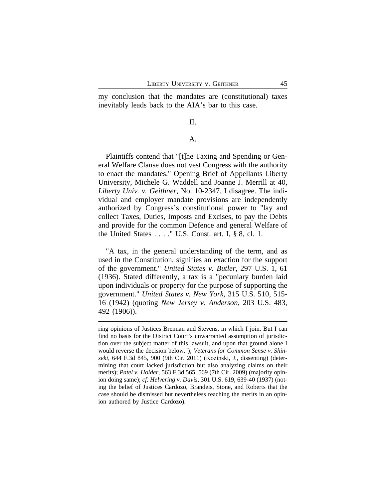my conclusion that the mandates are (constitutional) taxes inevitably leads back to the AIA's bar to this case.

# II.

# A.

Plaintiffs contend that "[t]he Taxing and Spending or General Welfare Clause does not vest Congress with the authority to enact the mandates." Opening Brief of Appellants Liberty University, Michele G. Waddell and Joanne J. Merrill at 40, *Liberty Univ. v. Geithner*, No. 10-2347. I disagree. The individual and employer mandate provisions are independently authorized by Congress's constitutional power to "lay and collect Taxes, Duties, Imposts and Excises, to pay the Debts and provide for the common Defence and general Welfare of the United States  $\dots$ ." U.S. Const. art. I, § 8, cl. 1.

"A tax, in the general understanding of the term, and as used in the Constitution, signifies an exaction for the support of the government." *United States v. Butler*, 297 U.S. 1, 61 (1936). Stated differently, a tax is a "pecuniary burden laid upon individuals or property for the purpose of supporting the government." *United States v. New York*, 315 U.S. 510, 515- 16 (1942) (quoting *New Jersey v. Anderson*, 203 U.S. 483, 492 (1906)).

ring opinions of Justices Brennan and Stevens, in which I join. But I can find no basis for the District Court's unwarranted assumption of jurisdiction over the subject matter of this lawsuit, and upon that ground alone I would reverse the decision below."); *Veterans for Common Sense v. Shinseki*, 644 F.3d 845, 900 (9th Cir. 2011) (Kozinski, J., dissenting) (determining that court lacked jurisdiction but also analyzing claims on their merits); *Patel v. Holder*, 563 F.3d 565, 569 (7th Cir. 2009) (majority opinion doing same); *cf. Helvering v. Davis*, 301 U.S. 619, 639-40 (1937) (noting the belief of Justices Cardozo, Brandeis, Stone, and Roberts that the case should be dismissed but nevertheless reaching the merits in an opinion authored by Justice Cardozo).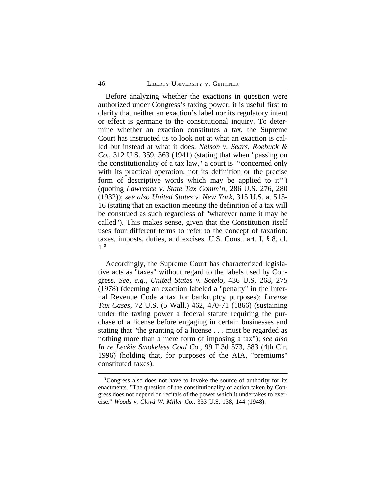Before analyzing whether the exactions in question were authorized under Congress's taxing power, it is useful first to clarify that neither an exaction's label nor its regulatory intent or effect is germane to the constitutional inquiry. To determine whether an exaction constitutes a tax, the Supreme Court has instructed us to look not at what an exaction is called but instead at what it does. *Nelson v. Sears, Roebuck & Co.*, 312 U.S. 359, 363 (1941) (stating that when "passing on the constitutionality of a tax law," a court is "'concerned only with its practical operation, not its definition or the precise form of descriptive words which may be applied to it'") (quoting *Lawrence v. State Tax Comm'n*, 286 U.S. 276, 280 (1932)); *see also United States v. New York*, 315 U.S. at 515- 16 (stating that an exaction meeting the definition of a tax will be construed as such regardless of "whatever name it may be called"). This makes sense, given that the Constitution itself uses four different terms to refer to the concept of taxation: taxes, imposts, duties, and excises. U.S. Const. art. I, § 8, cl. 1.**3**

Accordingly, the Supreme Court has characterized legislative acts as "taxes" without regard to the labels used by Congress. *See, e.g.*, *United States v. Sotelo*, 436 U.S. 268, 275 (1978) (deeming an exaction labeled a "penalty" in the Internal Revenue Code a tax for bankruptcy purposes); *License Tax Cases*, 72 U.S. (5 Wall.) 462, 470-71 (1866) (sustaining under the taxing power a federal statute requiring the purchase of a license before engaging in certain businesses and stating that "the granting of a license . . . must be regarded as nothing more than a mere form of imposing a tax"); *see also In re Leckie Smokeless Coal Co.*, 99 F.3d 573, 583 (4th Cir. 1996) (holding that, for purposes of the AIA, "premiums" constituted taxes).

**<sup>3</sup>**Congress also does not have to invoke the source of authority for its enactments. "The question of the constitutionality of action taken by Congress does not depend on recitals of the power which it undertakes to exercise." *Woods v. Cloyd W. Miller Co.*, 333 U.S. 138, 144 (1948).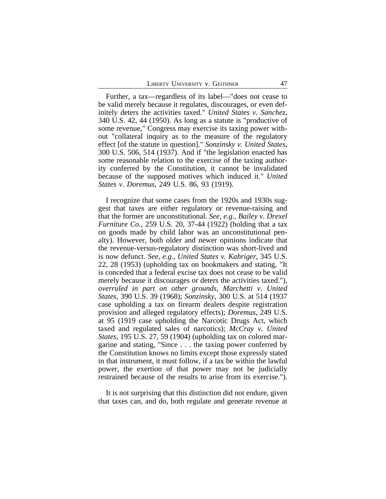Further, a tax—regardless of its label—"does not cease to be valid merely because it regulates, discourages, or even definitely deters the activities taxed." *United States v. Sanchez*, 340 U.S. 42, 44 (1950). As long as a statute is "productive of some revenue," Congress may exercise its taxing power without "collateral inquiry as to the measure of the regulatory effect [of the statute in question]." *Sonzinsky v. United States*, 300 U.S. 506, 514 (1937). And if "the legislation enacted has some reasonable relation to the exercise of the taxing authority conferred by the Constitution, it cannot be invalidated because of the supposed motives which induced it." *United States v. Doremus*, 249 U.S. 86, 93 (1919).

I recognize that some cases from the 1920s and 1930s suggest that taxes are either regulatory or revenue-raising and that the former are unconstitutional. *See, e.g.*, *Bailey v. Drexel Furniture Co.*, 259 U.S. 20, 37-44 (1922) (holding that a tax on goods made by child labor was an unconstitutional penalty). However, both older and newer opinions indicate that the revenue-versus-regulatory distinction was short-lived and is now defunct. *See, e.g.*, *United States v. Kahriger*, 345 U.S. 22, 28 (1953) (upholding tax on bookmakers and stating, "It is conceded that a federal excise tax does not cease to be valid merely because it discourages or deters the activities taxed."), *overruled in part on other grounds*, *Marchetti v. United States*, 390 U.S. 39 (1968); *Sonzinsky*, 300 U.S. at 514 (1937 case upholding a tax on firearm dealers despite registration provision and alleged regulatory effects); *Doremus*, 249 U.S. at 95 (1919 case upholding the Narcotic Drugs Act, which taxed and regulated sales of narcotics); *McCray v. United States*, 195 U.S. 27, 59 (1904) (upholding tax on colored margarine and stating, "Since . . . the taxing power conferred by the Constitution knows no limits except those expressly stated in that instrument, it must follow, if a tax be within the lawful power, the exertion of that power may not be judicially restrained because of the results to arise from its exercise.").

It is not surprising that this distinction did not endure, given that taxes can, and do, both regulate and generate revenue at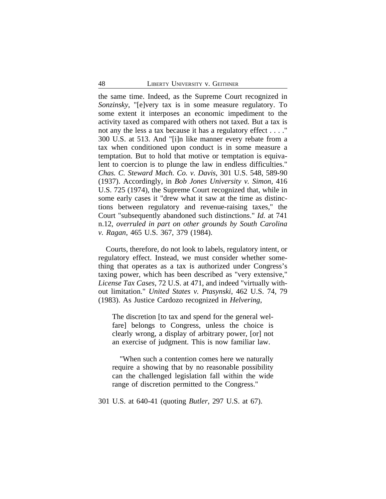the same time. Indeed, as the Supreme Court recognized in *Sonzinsky*, "[e]very tax is in some measure regulatory. To some extent it interposes an economic impediment to the activity taxed as compared with others not taxed. But a tax is not any the less a tax because it has a regulatory effect . . . ." 300 U.S. at 513. And "[i]n like manner every rebate from a tax when conditioned upon conduct is in some measure a temptation. But to hold that motive or temptation is equivalent to coercion is to plunge the law in endless difficulties." *Chas. C. Steward Mach. Co. v. Davis*, 301 U.S. 548, 589-90 (1937). Accordingly, in *Bob Jones University v. Simon*, 416 U.S. 725 (1974), the Supreme Court recognized that, while in some early cases it "drew what it saw at the time as distinctions between regulatory and revenue-raising taxes," the Court "subsequently abandoned such distinctions." *Id.* at 741 n.12, *overruled in part on other grounds by South Carolina v. Ragan*, 465 U.S. 367, 379 (1984).

Courts, therefore, do not look to labels, regulatory intent, or regulatory effect. Instead, we must consider whether something that operates as a tax is authorized under Congress's taxing power, which has been described as "very extensive," *License Tax Cases*, 72 U.S. at 471, and indeed "virtually without limitation." *United States v. Ptasynski*, 462 U.S. 74, 79 (1983). As Justice Cardozo recognized in *Helvering*,

The discretion [to tax and spend for the general welfare] belongs to Congress, unless the choice is clearly wrong, a display of arbitrary power, [or] not an exercise of judgment. This is now familiar law.

"When such a contention comes here we naturally require a showing that by no reasonable possibility can the challenged legislation fall within the wide range of discretion permitted to the Congress."

301 U.S. at 640-41 (quoting *Butler*, 297 U.S. at 67).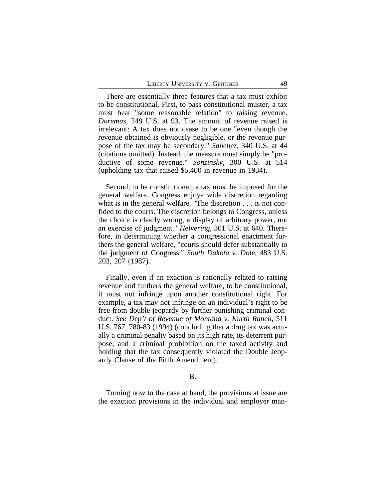There are essentially three features that a tax must exhibit to be constitutional. First, to pass constitutional muster, a tax must bear "some reasonable relation" to raising revenue. *Doremus*, 249 U.S. at 93. The amount of revenue raised is irrelevant: A tax does not cease to be one "even though the revenue obtained is obviously negligible, or the revenue purpose of the tax may be secondary." *Sanchez*, 340 U.S. at 44 (citations omitted). Instead, the measure must simply be "productive of some revenue." *Sonzinsky*, 300 U.S. at 514 (upholding tax that raised \$5,400 in revenue in 1934).

Second, to be constitutional, a tax must be imposed for the general welfare. Congress enjoys wide discretion regarding what is in the general welfare. "The discretion . . . is not confided to the courts. The discretion belongs to Congress, unless the choice is clearly wrong, a display of arbitrary power, not an exercise of judgment." *Helvering*, 301 U.S. at 640. Therefore, in determining whether a congressional enactment furthers the general welfare, "courts should defer substantially to the judgment of Congress." *South Dakota v. Dole*, 483 U.S. 203, 207 (1987).

Finally, even if an exaction is rationally related to raising revenue and furthers the general welfare, to be constitutional, it must not infringe upon another constitutional right. For example, a tax may not infringe on an individual's right to be free from double jeopardy by further punishing criminal conduct. *See Dep't of Revenue of Montana v. Kurth Ranch*, 511 U.S. 767, 780-83 (1994) (concluding that a drug tax was actually a criminal penalty based on its high rate, its deterrent purpose, and a criminal prohibition on the taxed activity and holding that the tax consequently violated the Double Jeopardy Clause of the Fifth Amendment).

#### B.

Turning now to the case at hand, the provisions at issue are the exaction provisions in the individual and employer man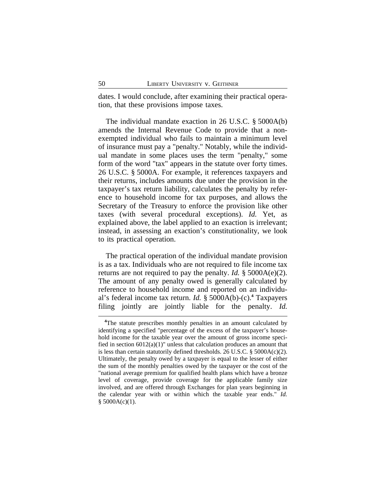dates. I would conclude, after examining their practical operation, that these provisions impose taxes.

The individual mandate exaction in 26 U.S.C. § 5000A(b) amends the Internal Revenue Code to provide that a nonexempted individual who fails to maintain a minimum level of insurance must pay a "penalty." Notably, while the individual mandate in some places uses the term "penalty," some form of the word "tax" appears in the statute over forty times. 26 U.S.C. § 5000A. For example, it references taxpayers and their returns, includes amounts due under the provision in the taxpayer's tax return liability, calculates the penalty by reference to household income for tax purposes, and allows the Secretary of the Treasury to enforce the provision like other taxes (with several procedural exceptions). *Id.* Yet, as explained above, the label applied to an exaction is irrelevant; instead, in assessing an exaction's constitutionality, we look to its practical operation.

The practical operation of the individual mandate provision is as a tax. Individuals who are not required to file income tax returns are not required to pay the penalty. *Id.* § 5000A(e)(2). The amount of any penalty owed is generally calculated by reference to household income and reported on an individual's federal income tax return. *Id.* § 5000A(b)-(c).**<sup>4</sup>** Taxpayers filing jointly are jointly liable for the penalty. *Id.*

<sup>&</sup>lt;sup>4</sup>The statute prescribes monthly penalties in an amount calculated by identifying a specified "percentage of the excess of the taxpayer's household income for the taxable year over the amount of gross income specified in section 6012(a)(1)" unless that calculation produces an amount that is less than certain statutorily defined thresholds. 26 U.S.C. § 5000A(c)(2). Ultimately, the penalty owed by a taxpayer is equal to the lesser of either the sum of the monthly penalties owed by the taxpayer or the cost of the "national average premium for qualified health plans which have a bronze level of coverage, provide coverage for the applicable family size involved, and are offered through Exchanges for plan years beginning in the calendar year with or within which the taxable year ends." *Id.*  $$5000A(c)(1).$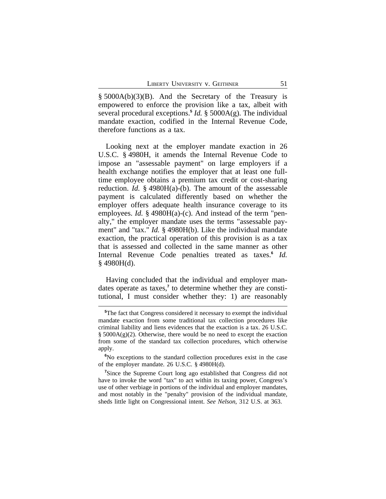§ 5000A(b)(3)(B). And the Secretary of the Treasury is empowered to enforce the provision like a tax, albeit with several procedural exceptions.**<sup>5</sup>** *Id.* § 5000A(g). The individual mandate exaction, codified in the Internal Revenue Code, therefore functions as a tax.

Looking next at the employer mandate exaction in 26 U.S.C. § 4980H, it amends the Internal Revenue Code to impose an "assessable payment" on large employers if a health exchange notifies the employer that at least one fulltime employee obtains a premium tax credit or cost-sharing reduction. *Id.* § 4980H(a)-(b). The amount of the assessable payment is calculated differently based on whether the employer offers adequate health insurance coverage to its employees. *Id.* § 4980H(a)-(c). And instead of the term "penalty," the employer mandate uses the terms "assessable payment" and "tax." *Id.* § 4980H(b). Like the individual mandate exaction, the practical operation of this provision is as a tax that is assessed and collected in the same manner as other Internal Revenue Code penalties treated as taxes.**<sup>6</sup>** *Id.*  $§$  4980H(d).

Having concluded that the individual and employer mandates operate as taxes,**<sup>7</sup>** to determine whether they are constitutional, I must consider whether they: 1) are reasonably

**<sup>5</sup>**The fact that Congress considered it necessary to exempt the individual mandate exaction from some traditional tax collection procedures like criminal liability and liens evidences that the exaction is a tax. 26 U.S.C.  $\S$  5000A(g)(2). Otherwise, there would be no need to except the exaction from some of the standard tax collection procedures, which otherwise apply.

**<sup>6</sup>**No exceptions to the standard collection procedures exist in the case of the employer mandate. 26 U.S.C. § 4980H(d).

<sup>&</sup>lt;sup>7</sup>Since the Supreme Court long ago established that Congress did not have to invoke the word "tax" to act within its taxing power, Congress's use of other verbiage in portions of the individual and employer mandates, and most notably in the "penalty" provision of the individual mandate, sheds little light on Congressional intent. *See Nelson*, 312 U.S. at 363.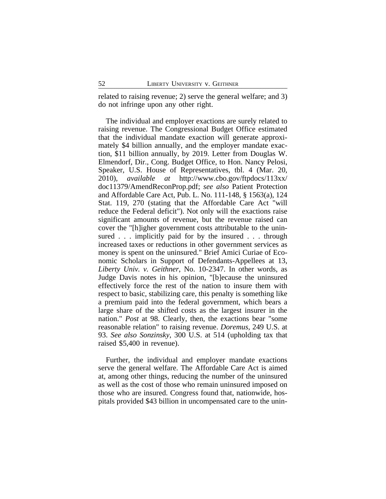related to raising revenue; 2) serve the general welfare; and 3) do not infringe upon any other right.

The individual and employer exactions are surely related to raising revenue. The Congressional Budget Office estimated that the individual mandate exaction will generate approximately \$4 billion annually, and the employer mandate exaction, \$11 billion annually, by 2019. Letter from Douglas W. Elmendorf, Dir., Cong. Budget Office, to Hon. Nancy Pelosi, Speaker, U.S. House of Representatives, tbl. 4 (Mar. 20, 2010), *available at* http://www.cbo.gov/ftpdocs/113xx/ doc11379/AmendReconProp.pdf; *see also* Patient Protection and Affordable Care Act, Pub. L. No. 111-148, § 1563(a), 124 Stat. 119, 270 (stating that the Affordable Care Act "will reduce the Federal deficit"). Not only will the exactions raise significant amounts of revenue, but the revenue raised can cover the "[h]igher government costs attributable to the uninsured . . . implicitly paid for by the insured . . . through increased taxes or reductions in other government services as money is spent on the uninsured." Brief Amici Curiae of Economic Scholars in Support of Defendants-Appellees at 13, *Liberty Univ. v. Geithner*, No. 10-2347. In other words, as Judge Davis notes in his opinion, "[b]ecause the uninsured effectively force the rest of the nation to insure them with respect to basic, stabilizing care, this penalty is something like a premium paid into the federal government, which bears a large share of the shifted costs as the largest insurer in the nation." *Post* at 98. Clearly, then, the exactions bear "some reasonable relation" to raising revenue. *Doremus*, 249 U.S. at 93. *See also Sonzinsky*, 300 U.S. at 514 (upholding tax that raised \$5,400 in revenue).

Further, the individual and employer mandate exactions serve the general welfare. The Affordable Care Act is aimed at, among other things, reducing the number of the uninsured as well as the cost of those who remain uninsured imposed on those who are insured. Congress found that, nationwide, hospitals provided \$43 billion in uncompensated care to the unin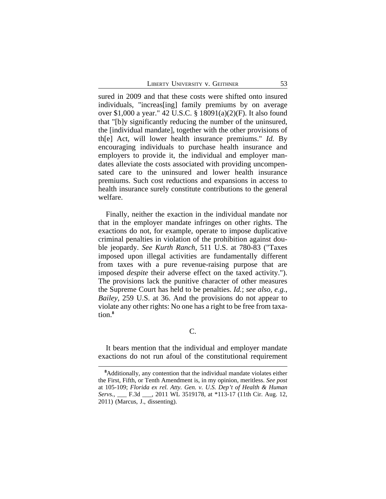sured in 2009 and that these costs were shifted onto insured individuals, "increas[ing] family premiums by on average over \$1,000 a year." 42 U.S.C. § 18091(a)(2)(F). It also found that "[b]y significantly reducing the number of the uninsured, the [individual mandate], together with the other provisions of th[e] Act, will lower health insurance premiums." *Id.* By encouraging individuals to purchase health insurance and employers to provide it, the individual and employer mandates alleviate the costs associated with providing uncompensated care to the uninsured and lower health insurance premiums. Such cost reductions and expansions in access to health insurance surely constitute contributions to the general welfare.

Finally, neither the exaction in the individual mandate nor that in the employer mandate infringes on other rights. The exactions do not, for example, operate to impose duplicative criminal penalties in violation of the prohibition against double jeopardy. *See Kurth Ranch*, 511 U.S. at 780-83 ("Taxes imposed upon illegal activities are fundamentally different from taxes with a pure revenue-raising purpose that are imposed *despite* their adverse effect on the taxed activity."). The provisions lack the punitive character of other measures the Supreme Court has held to be penalties. *Id.*; *see also, e.g.*, *Bailey*, 259 U.S. at 36. And the provisions do not appear to violate any other rights: No one has a right to be free from taxation.**<sup>8</sup>**

C.

It bears mention that the individual and employer mandate exactions do not run afoul of the constitutional requirement

**<sup>8</sup>**Additionally, any contention that the individual mandate violates either the First, Fifth, or Tenth Amendment is, in my opinion, meritless. *See post* at 105-109; *Florida ex rel. Atty. Gen. v. U.S. Dep't of Health & Human Servs.*, \_\_\_ F.3d \_\_\_, 2011 WL 3519178, at \*113-17 (11th Cir. Aug. 12, 2011) (Marcus, J., dissenting).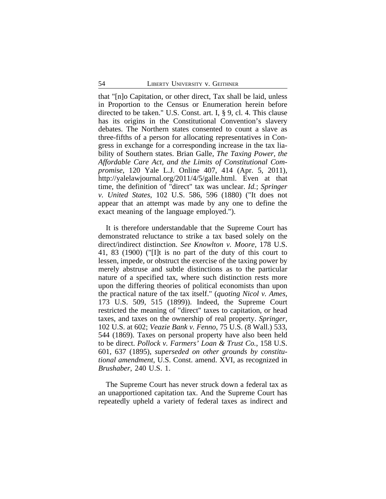that "[n]o Capitation, or other direct, Tax shall be laid, unless in Proportion to the Census or Enumeration herein before directed to be taken." U.S. Const. art. I, § 9, cl. 4. This clause has its origins in the Constitutional Convention's slavery debates. The Northern states consented to count a slave as three-fifths of a person for allocating representatives in Congress in exchange for a corresponding increase in the tax liability of Southern states. Brian Galle, *The Taxing Power, the Affordable Care Act, and the Limits of Constitutional Compromise*, 120 Yale L.J. Online 407, 414 (Apr. 5, 2011), http://yalelawjournal.org/2011/4/5/galle.html. Even at that time, the definition of "direct" tax was unclear. *Id.*; *Springer v. United States*, 102 U.S. 586, 596 (1880) ("It does not appear that an attempt was made by any one to define the exact meaning of the language employed.").

It is therefore understandable that the Supreme Court has demonstrated reluctance to strike a tax based solely on the direct/indirect distinction. *See Knowlton v. Moore*, 178 U.S. 41, 83 (1900) ("[I]t is no part of the duty of this court to lessen, impede, or obstruct the exercise of the taxing power by merely abstruse and subtle distinctions as to the particular nature of a specified tax, where such distinction rests more upon the differing theories of political economists than upon the practical nature of the tax itself." (*quoting Nicol v. Ames*, 173 U.S. 509, 515 (1899)). Indeed, the Supreme Court restricted the meaning of "direct" taxes to capitation, or head taxes, and taxes on the ownership of real property. *Springer*, 102 U.S. at 602; *Veazie Bank v. Fenno*, 75 U.S. (8 Wall.) 533, 544 (1869). Taxes on personal property have also been held to be direct. *Pollock v. Farmers' Loan & Trust Co.*, 158 U.S. 601, 637 (1895), *superseded on other grounds by constitutional amendment*, U.S. Const. amend. XVI, as recognized in *Brushaber*, 240 U.S. 1.

The Supreme Court has never struck down a federal tax as an unapportioned capitation tax. And the Supreme Court has repeatedly upheld a variety of federal taxes as indirect and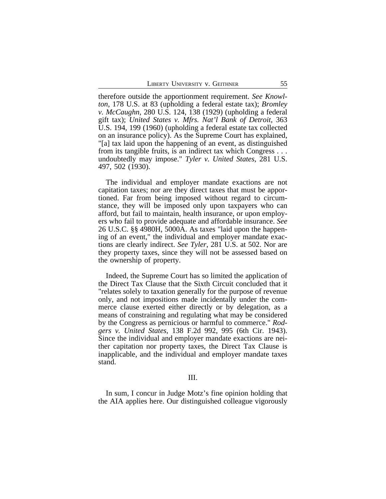therefore outside the apportionment requirement. *See Knowlton*, 178 U.S. at 83 (upholding a federal estate tax); *Bromley v. McCaughn*, 280 U.S. 124, 138 (1929) (upholding a federal gift tax); *United States v. Mfrs. Nat'l Bank of Detroit*, 363 U.S. 194, 199 (1960) (upholding a federal estate tax collected on an insurance policy). As the Supreme Court has explained, "[a] tax laid upon the happening of an event, as distinguished from its tangible fruits, is an indirect tax which Congress . . . undoubtedly may impose." *Tyler v. United States*, 281 U.S. 497, 502 (1930).

The individual and employer mandate exactions are not capitation taxes; nor are they direct taxes that must be apportioned. Far from being imposed without regard to circumstance, they will be imposed only upon taxpayers who can afford, but fail to maintain, health insurance, or upon employers who fail to provide adequate and affordable insurance. *See* 26 U.S.C. §§ 4980H, 5000A. As taxes "laid upon the happening of an event," the individual and employer mandate exactions are clearly indirect. *See Tyler*, 281 U.S. at 502. Nor are they property taxes, since they will not be assessed based on the ownership of property.

Indeed, the Supreme Court has so limited the application of the Direct Tax Clause that the Sixth Circuit concluded that it "relates solely to taxation generally for the purpose of revenue only, and not impositions made incidentally under the commerce clause exerted either directly or by delegation, as a means of constraining and regulating what may be considered by the Congress as pernicious or harmful to commerce." *Rodgers v. United States*, 138 F.2d 992, 995 (6th Cir. 1943). Since the individual and employer mandate exactions are neither capitation nor property taxes, the Direct Tax Clause is inapplicable, and the individual and employer mandate taxes stand.

### III.

In sum, I concur in Judge Motz's fine opinion holding that the AIA applies here. Our distinguished colleague vigorously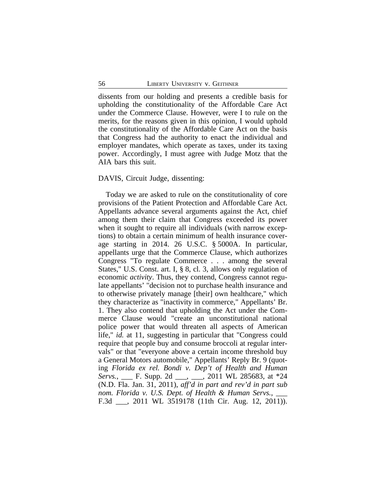dissents from our holding and presents a credible basis for upholding the constitutionality of the Affordable Care Act under the Commerce Clause. However, were I to rule on the merits, for the reasons given in this opinion, I would uphold the constitutionality of the Affordable Care Act on the basis that Congress had the authority to enact the individual and employer mandates, which operate as taxes, under its taxing power. Accordingly, I must agree with Judge Motz that the AIA bars this suit.

### DAVIS, Circuit Judge, dissenting:

Today we are asked to rule on the constitutionality of core provisions of the Patient Protection and Affordable Care Act. Appellants advance several arguments against the Act, chief among them their claim that Congress exceeded its power when it sought to require all individuals (with narrow exceptions) to obtain a certain minimum of health insurance coverage starting in 2014. 26 U.S.C. § 5000A. In particular, appellants urge that the Commerce Clause, which authorizes Congress "To regulate Commerce . . . among the several States," U.S. Const. art. I, § 8, cl. 3, allows only regulation of economic *activity*. Thus, they contend, Congress cannot regulate appellants' "decision not to purchase health insurance and to otherwise privately manage [their] own healthcare," which they characterize as "inactivity in commerce," Appellants' Br. 1. They also contend that upholding the Act under the Commerce Clause would "create an unconstitutional national police power that would threaten all aspects of American life," *id.* at 11, suggesting in particular that "Congress could require that people buy and consume broccoli at regular intervals" or that "everyone above a certain income threshold buy a General Motors automobile," Appellants' Reply Br. 9 (quoting *Florida ex rel. Bondi v. Dep't of Health and Human Servs.*, \_\_\_ F. Supp. 2d \_\_\_, \_\_\_, 2011 WL 285683, at \*24 (N.D. Fla. Jan. 31, 2011), *aff'd in part and rev'd in part sub nom. Florida v. U.S. Dept. of Health & Human Servs.,* F.3d \_\_\_, 2011 WL 3519178 (11th Cir. Aug. 12, 2011)).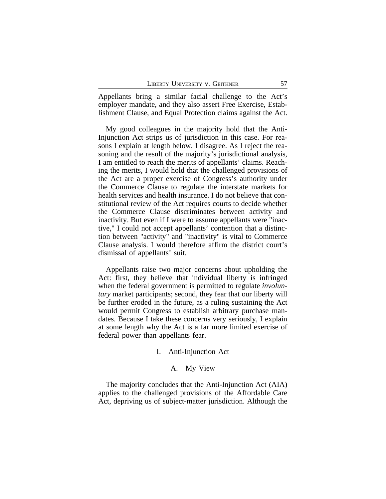Appellants bring a similar facial challenge to the Act's employer mandate, and they also assert Free Exercise, Establishment Clause, and Equal Protection claims against the Act.

My good colleagues in the majority hold that the Anti-Injunction Act strips us of jurisdiction in this case. For reasons I explain at length below, I disagree. As I reject the reasoning and the result of the majority's jurisdictional analysis, I am entitled to reach the merits of appellants' claims. Reaching the merits, I would hold that the challenged provisions of the Act are a proper exercise of Congress's authority under the Commerce Clause to regulate the interstate markets for health services and health insurance. I do not believe that constitutional review of the Act requires courts to decide whether the Commerce Clause discriminates between activity and inactivity. But even if I were to assume appellants were "inactive," I could not accept appellants' contention that a distinction between "activity" and "inactivity" is vital to Commerce Clause analysis. I would therefore affirm the district court's dismissal of appellants' suit.

Appellants raise two major concerns about upholding the Act: first, they believe that individual liberty is infringed when the federal government is permitted to regulate *involuntary* market participants; second, they fear that our liberty will be further eroded in the future, as a ruling sustaining the Act would permit Congress to establish arbitrary purchase mandates. Because I take these concerns very seriously, I explain at some length why the Act is a far more limited exercise of federal power than appellants fear.

#### I. Anti-Injunction Act

### A. My View

The majority concludes that the Anti-Injunction Act (AIA) applies to the challenged provisions of the Affordable Care Act, depriving us of subject-matter jurisdiction. Although the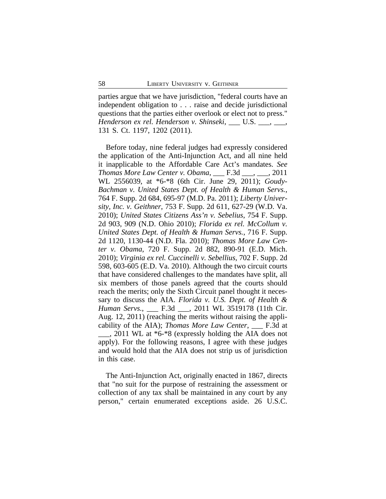parties argue that we have jurisdiction, "federal courts have an independent obligation to . . . raise and decide jurisdictional questions that the parties either overlook or elect not to press." *Henderson ex rel. Henderson v. Shinseki*, U.S.  $\ldots$ , 131 S. Ct. 1197, 1202 (2011).

Before today, nine federal judges had expressly considered the application of the Anti-Injunction Act, and all nine held it inapplicable to the Affordable Care Act's mandates. *See Thomas More Law Center v. Obama*, \_\_\_ F.3d \_\_\_, \_\_\_, 2011 WL 2556039, at \*6-\*8 (6th Cir. June 29, 2011); *Goudy-Bachman v. United States Dept. of Health & Human Servs.*, 764 F. Supp. 2d 684, 695-97 (M.D. Pa. 2011); *Liberty University, Inc. v. Geithner*, 753 F. Supp. 2d 611, 627-29 (W.D. Va. 2010); *United States Citizens Ass'n v. Sebelius*, 754 F. Supp. 2d 903, 909 (N.D. Ohio 2010); *Florida ex rel. McCollum v. United States Dept. of Health & Human Servs.*, 716 F. Supp. 2d 1120, 1130-44 (N.D. Fla. 2010); *Thomas More Law Center v. Obama*, 720 F. Supp. 2d 882, 890-91 (E.D. Mich. 2010); *Virginia ex rel. Cuccinelli v. Sebellius*, 702 F. Supp. 2d 598, 603-605 (E.D. Va. 2010). Although the two circuit courts that have considered challenges to the mandates have split, all six members of those panels agreed that the courts should reach the merits; only the Sixth Circuit panel thought it necessary to discuss the AIA. *Florida v. U.S. Dept. of Health & Human Servs.*, \_\_\_ F.3d \_\_\_, 2011 WL 3519178 (11th Cir. Aug. 12, 2011) (reaching the merits without raising the applicability of the AIA); *Thomas More Law Center*, \_\_\_ F.3d at  $\_\_\_\_$ , 2011 WL at  $*6-*8$  (expressly holding the AIA does not apply). For the following reasons, I agree with these judges and would hold that the AIA does not strip us of jurisdiction in this case.

The Anti-Injunction Act, originally enacted in 1867, directs that "no suit for the purpose of restraining the assessment or collection of any tax shall be maintained in any court by any person," certain enumerated exceptions aside. 26 U.S.C.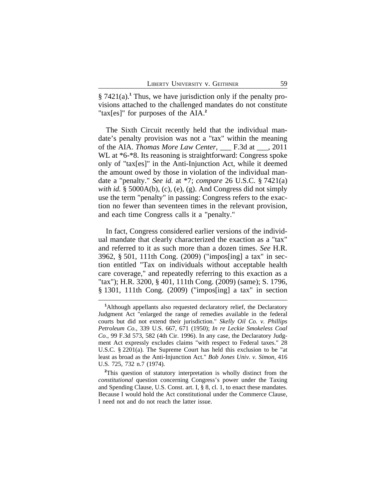§ 7421(a).<sup>1</sup> Thus, we have jurisdiction only if the penalty provisions attached to the challenged mandates do not constitute "tax[es]" for purposes of the AIA.**<sup>2</sup>**

The Sixth Circuit recently held that the individual mandate's penalty provision was not a "tax" within the meaning of the AIA. *Thomas More Law Center*, \_\_\_ F.3d at \_\_\_, 2011 WL at  $*6-*8$ . Its reasoning is straightforward: Congress spoke only of "tax[es]" in the Anti-Injunction Act, while it deemed the amount owed by those in violation of the individual mandate a "penalty." *See id.* at \*7; *compare* 26 U.S.C. § 7421(a) *with id.* § 5000A(b), (c), (e), (g). And Congress did not simply use the term "penalty" in passing: Congress refers to the exaction no fewer than seventeen times in the relevant provision, and each time Congress calls it a "penalty."

In fact, Congress considered earlier versions of the individual mandate that clearly characterized the exaction as a "tax" and referred to it as such more than a dozen times. *See* H.R. 3962, § 501, 111th Cong. (2009) ("impos[ing] a tax" in section entitled "Tax on individuals without acceptable health care coverage," and repeatedly referring to this exaction as a "tax"); H.R. 3200, § 401, 111th Cong. (2009) (same); S. 1796, § 1301, 111th Cong. (2009) ("impos[ing] a tax" in section

**<sup>2</sup>**This question of statutory interpretation is wholly distinct from the *constitutional* question concerning Congress's power under the Taxing and Spending Clause, U.S. Const. art. I, § 8, cl. 1, to enact these mandates. Because I would hold the Act constitutional under the Commerce Clause, I need not and do not reach the latter issue.

**<sup>1</sup>**Although appellants also requested declaratory relief, the Declaratory Judgment Act "enlarged the range of remedies available in the federal courts but did not extend their jurisdiction." *Skelly Oil Co. v. Phillips Petroleum Co.*, 339 U.S. 667, 671 (1950); *In re Leckie Smokeless Coal Co.*, 99 F.3d 573, 582 (4th Cir. 1996). In any case, the Declaratory Judgment Act expressly excludes claims "with respect to Federal taxes." 28 U.S.C. § 2201(a). The Supreme Court has held this exclusion to be "at least as broad as the Anti-Injunction Act." *Bob Jones Univ. v. Simon*, 416 U.S. 725, 732 n.7 (1974).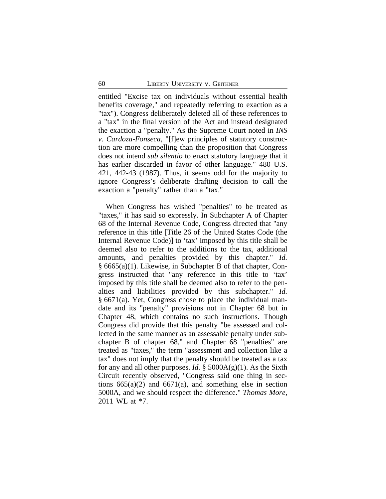entitled "Excise tax on individuals without essential health benefits coverage," and repeatedly referring to exaction as a "tax"). Congress deliberately deleted all of these references to a "tax" in the final version of the Act and instead designated the exaction a "penalty." As the Supreme Court noted in *INS v. Cardoza-Fonseca*, "[f]ew principles of statutory construction are more compelling than the proposition that Congress does not intend *sub silentio* to enact statutory language that it has earlier discarded in favor of other language." 480 U.S. 421, 442-43 (1987). Thus, it seems odd for the majority to ignore Congress's deliberate drafting decision to call the exaction a "penalty" rather than a "tax."

When Congress has wished "penalties" to be treated as "taxes," it has said so expressly. In Subchapter A of Chapter 68 of the Internal Revenue Code, Congress directed that "any reference in this title [Title 26 of the United States Code (the Internal Revenue Code)] to 'tax' imposed by this title shall be deemed also to refer to the additions to the tax, additional amounts, and penalties provided by this chapter." *Id.* § 6665(a)(1). Likewise, in Subchapter B of that chapter, Congress instructed that "any reference in this title to 'tax' imposed by this title shall be deemed also to refer to the penalties and liabilities provided by this subchapter." *Id.* § 6671(a). Yet, Congress chose to place the individual mandate and its "penalty" provisions not in Chapter 68 but in Chapter 48, which contains no such instructions. Though Congress did provide that this penalty "be assessed and collected in the same manner as an assessable penalty under subchapter B of chapter 68," and Chapter 68 "penalties" are treated as "taxes," the term "assessment and collection like a tax" does not imply that the penalty should be treated as a tax for any and all other purposes. *Id.* § 5000A(g)(1). As the Sixth Circuit recently observed, "Congress said one thing in sections  $665(a)(2)$  and  $6671(a)$ , and something else in section 5000A, and we should respect the difference." *Thomas More*, 2011 WL at \*7.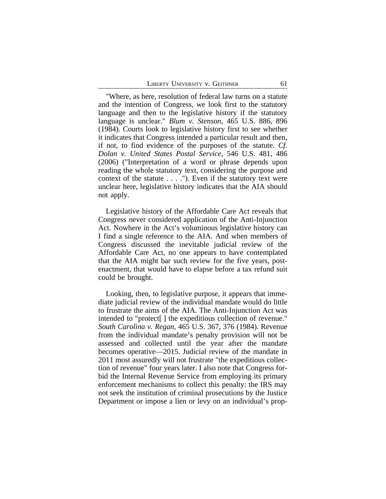"Where, as here, resolution of federal law turns on a statute and the intention of Congress, we look first to the statutory language and then to the legislative history if the statutory language is unclear." *Blum v. Stenson*, 465 U.S. 886, 896 (1984). Courts look to legislative history first to see whether it indicates that Congress intended a particular result and then, if not, to find evidence of the purposes of the statute. *Cf. Dolan v. United States Postal Service*, 546 U.S. 481, 486 (2006) ("Interpretation of a word or phrase depends upon reading the whole statutory text, considering the purpose and context of the statute . . . ."). Even if the statutory text were unclear here, legislative history indicates that the AIA should not apply.

Legislative history of the Affordable Care Act reveals that Congress never considered application of the Anti-Injunction Act. Nowhere in the Act's voluminous legislative history can I find a single reference to the AIA. And when members of Congress discussed the inevitable judicial review of the Affordable Care Act, no one appears to have contemplated that the AIA might bar such review for the five years, postenactment, that would have to elapse before a tax refund suit could be brought.

Looking, then, to legislative purpose, it appears that immediate judicial review of the individual mandate would do little to frustrate the aims of the AIA. The Anti-Injunction Act was intended to "protect[ ] the expeditious collection of revenue." *South Carolina v. Regan*, 465 U.S. 367, 376 (1984). Revenue from the individual mandate's penalty provision will not be assessed and collected until the year after the mandate becomes operative—2015. Judicial review of the mandate in 2011 most assuredly will not frustrate "the expeditious collection of revenue" four years later. I also note that Congress forbid the Internal Revenue Service from employing its primary enforcement mechanisms to collect this penalty: the IRS may not seek the institution of criminal prosecutions by the Justice Department or impose a lien or levy on an individual's prop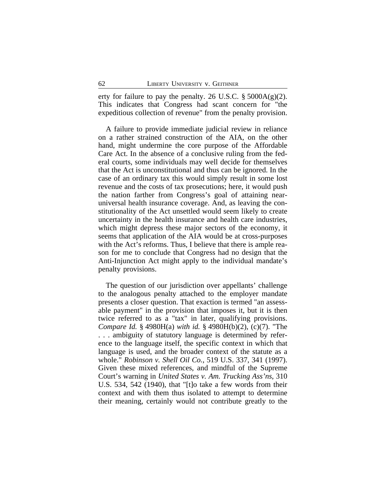erty for failure to pay the penalty. 26 U.S.C.  $\S$  5000A(g)(2). This indicates that Congress had scant concern for "the expeditious collection of revenue" from the penalty provision.

A failure to provide immediate judicial review in reliance on a rather strained construction of the AIA, on the other hand, might undermine the core purpose of the Affordable Care Act. In the absence of a conclusive ruling from the federal courts, some individuals may well decide for themselves that the Act is unconstitutional and thus can be ignored. In the case of an ordinary tax this would simply result in some lost revenue and the costs of tax prosecutions; here, it would push the nation farther from Congress's goal of attaining nearuniversal health insurance coverage. And, as leaving the constitutionality of the Act unsettled would seem likely to create uncertainty in the health insurance and health care industries, which might depress these major sectors of the economy, it seems that application of the AIA would be at cross-purposes with the Act's reforms. Thus, I believe that there is ample reason for me to conclude that Congress had no design that the Anti-Injunction Act might apply to the individual mandate's penalty provisions.

The question of our jurisdiction over appellants' challenge to the analogous penalty attached to the employer mandate presents a closer question. That exaction is termed "an assessable payment" in the provision that imposes it, but it is then twice referred to as a "tax" in later, qualifying provisions. *Compare Id.* § 4980H(a) *with id.* § 4980H(b)(2), (c)(7). "The . . . ambiguity of statutory language is determined by reference to the language itself, the specific context in which that language is used, and the broader context of the statute as a whole." *Robinson v. Shell Oil Co.*, 519 U.S. 337, 341 (1997). Given these mixed references, and mindful of the Supreme Court's warning in *United States v. Am. Trucking Ass'ns*, 310 U.S. 534, 542 (1940), that "[t]o take a few words from their context and with them thus isolated to attempt to determine their meaning, certainly would not contribute greatly to the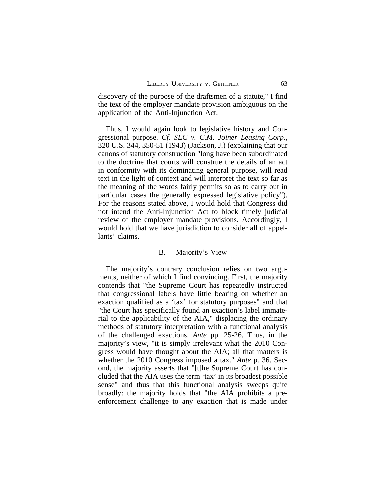discovery of the purpose of the draftsmen of a statute," I find the text of the employer mandate provision ambiguous on the application of the Anti-Injunction Act.

Thus, I would again look to legislative history and Congressional purpose. *Cf. SEC v. C.M. Joiner Leasing Corp.*, 320 U.S. 344, 350-51 (1943) (Jackson, J.) (explaining that our canons of statutory construction "long have been subordinated to the doctrine that courts will construe the details of an act in conformity with its dominating general purpose, will read text in the light of context and will interpret the text so far as the meaning of the words fairly permits so as to carry out in particular cases the generally expressed legislative policy"). For the reasons stated above, I would hold that Congress did not intend the Anti-Injunction Act to block timely judicial review of the employer mandate provisions. Accordingly, I would hold that we have jurisdiction to consider all of appellants' claims.

## B. Majority's View

The majority's contrary conclusion relies on two arguments, neither of which I find convincing. First, the majority contends that "the Supreme Court has repeatedly instructed that congressional labels have little bearing on whether an exaction qualified as a 'tax' for statutory purposes" and that "the Court has specifically found an exaction's label immaterial to the applicability of the AIA," displacing the ordinary methods of statutory interpretation with a functional analysis of the challenged exactions. *Ante* pp. 25-26. Thus, in the majority's view, "it is simply irrelevant what the 2010 Congress would have thought about the AIA; all that matters is whether the 2010 Congress imposed a tax." *Ante* p. 36. Second, the majority asserts that "[t]he Supreme Court has concluded that the AIA uses the term 'tax' in its broadest possible sense" and thus that this functional analysis sweeps quite broadly: the majority holds that "the AIA prohibits a preenforcement challenge to any exaction that is made under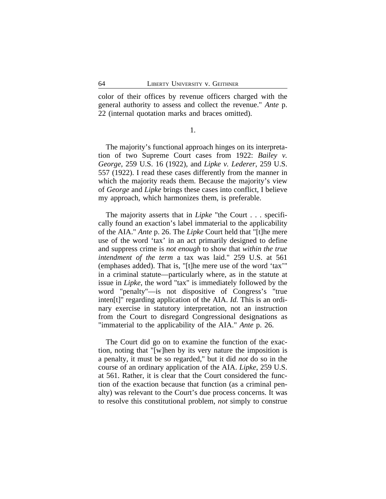color of their offices by revenue officers charged with the general authority to assess and collect the revenue." *Ante* p. 22 (internal quotation marks and braces omitted).

1.

The majority's functional approach hinges on its interpretation of two Supreme Court cases from 1922: *Bailey v. George*, 259 U.S. 16 (1922), and *Lipke v. Lederer*, 259 U.S. 557 (1922). I read these cases differently from the manner in which the majority reads them. Because the majority's view of *George* and *Lipke* brings these cases into conflict, I believe my approach, which harmonizes them, is preferable.

The majority asserts that in *Lipke* "the Court . . . specifically found an exaction's label immaterial to the applicability of the AIA." *Ante* p. 26. The *Lipke* Court held that "[t]he mere use of the word 'tax' in an act primarily designed to define and suppress crime is *not enough* to show that *within the true intendment of the term* a tax was laid." 259 U.S. at 561 (emphases added). That is, "[t]he mere use of the word 'tax'" in a criminal statute—particularly where, as in the statute at issue in *Lipke*, the word "tax" is immediately followed by the word "penalty"—is not dispositive of Congress's "true inten[t]" regarding application of the AIA. *Id.* This is an ordinary exercise in statutory interpretation, not an instruction from the Court to disregard Congressional designations as "immaterial to the applicability of the AIA." *Ante* p. 26.

The Court did go on to examine the function of the exaction, noting that "[w]hen by its very nature the imposition is a penalty, it must be so regarded," but it did *not* do so in the course of an ordinary application of the AIA. *Lipke*, 259 U.S. at 561. Rather, it is clear that the Court considered the function of the exaction because that function (as a criminal penalty) was relevant to the Court's due process concerns. It was to resolve this constitutional problem, *not* simply to construe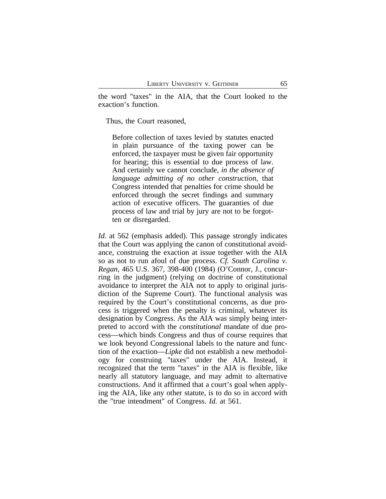the word "taxes" in the AIA, that the Court looked to the exaction's function.

Thus, the Court reasoned,

Before collection of taxes levied by statutes enacted in plain pursuance of the taxing power can be enforced, the taxpayer must be given fair opportunity for hearing; this is essential to due process of law. And certainly we cannot conclude, *in the absence of language admitting of no other construction*, that Congress intended that penalties for crime should be enforced through the secret findings and summary action of executive officers. The guaranties of due process of law and trial by jury are not to be forgotten or disregarded.

*Id.* at 562 (emphasis added). This passage strongly indicates that the Court was applying the canon of constitutional avoidance, construing the exaction at issue together with the AIA so as not to run afoul of due process. *Cf. South Carolina v. Regan*, 465 U.S. 367, 398-400 (1984) (O'Connor, J., concurring in the judgment) (relying on doctrine of constitutional avoidance to interpret the AIA not to apply to original jurisdiction of the Supreme Court). The functional analysis was required by the Court's constitutional concerns, as due process is triggered when the penalty is criminal, whatever its designation by Congress. As the AIA was simply being interpreted to accord with the *constitutional* mandate of due process—which binds Congress and thus of course requires that we look beyond Congressional labels to the nature and function of the exaction—*Lipke* did not establish a new methodology for construing "taxes" under the AIA. Instead, it recognized that the term "taxes" in the AIA is flexible, like nearly all statutory language, and may admit to alternative constructions. And it affirmed that a court's goal when applying the AIA, like any other statute, is to do so in accord with the "true intendment" of Congress. *Id.* at 561.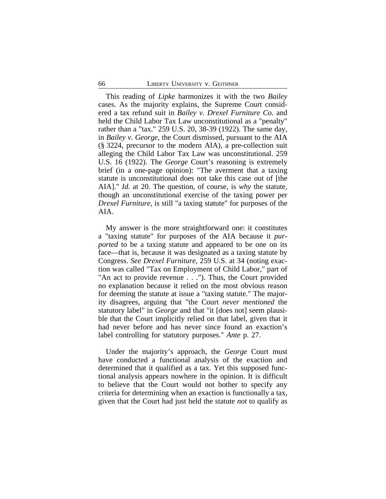This reading of *Lipke* harmonizes it with the two *Bailey* cases. As the majority explains, the Supreme Court considered a tax refund suit in *Bailey v. Drexel Furniture Co.* and held the Child Labor Tax Law unconstitutional as a "penalty" rather than a "tax." 259 U.S. 20, 38-39 (1922). The same day, in *Bailey v. George*, the Court dismissed, pursuant to the AIA (§ 3224, precursor to the modern AIA), a pre-collection suit alleging the Child Labor Tax Law was unconstitutional. 259 U.S. 16 (1922). The *George* Court's reasoning is extremely brief (in a one-page opinion): "The averment that a taxing statute is unconstitutional does not take this case out of [the AIA]." *Id.* at 20. The question, of course, is *why* the statute, though an unconstitutional exercise of the taxing power per *Drexel Furniture*, is still "a taxing statute" for purposes of the AIA.

My answer is the more straightforward one: it constitutes a "taxing statute" for purposes of the AIA because it *purported* to be a taxing statute and appeared to be one on its face—that is, because it was designated as a taxing statute by Congress. *See Drexel Furniture*, 259 U.S. at 34 (noting exaction was called "Tax on Employment of Child Labor," part of "An act to provide revenue . . ."). Thus, the Court provided no explanation because it relied on the most obvious reason for deeming the statute at issue a "taxing statute." The majority disagrees, arguing that "the Court *never mentioned* the statutory label" in *George* and that "it [does not] seem plausible that the Court implicitly relied on that label, given that it had never before and has never since found an exaction's label controlling for statutory purposes." *Ante* p. 27.

Under the majority's approach, the *George* Court must have conducted a functional analysis of the exaction and determined that it qualified as a tax. Yet this supposed functional analysis appears nowhere in the opinion. It is difficult to believe that the Court would not bother to specify any criteria for determining when an exaction is functionally a tax, given that the Court had just held the statute *not* to qualify as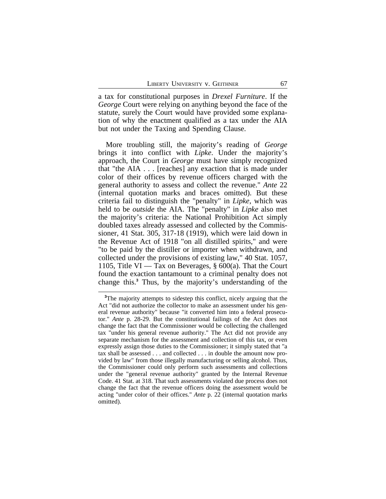a tax for constitutional purposes in *Drexel Furniture*. If the *George* Court were relying on anything beyond the face of the statute, surely the Court would have provided some explanation of why the enactment qualified as a tax under the AIA but not under the Taxing and Spending Clause.

More troubling still, the majority's reading of *George* brings it into conflict with *Lipke*. Under the majority's approach, the Court in *George* must have simply recognized that "the AIA . . . [reaches] any exaction that is made under color of their offices by revenue officers charged with the general authority to assess and collect the revenue." *Ante* 22 (internal quotation marks and braces omitted). But these criteria fail to distinguish the "penalty" in *Lipke*, which was held to be *outside* the AIA. The "penalty" in *Lipke* also met the majority's criteria: the National Prohibition Act simply doubled taxes already assessed and collected by the Commissioner, 41 Stat. 305, 317-18 (1919), which were laid down in the Revenue Act of 1918 "on all distilled spirits," and were "to be paid by the distiller or importer when withdrawn, and collected under the provisions of existing law," 40 Stat. 1057, 1105, Title VI — Tax on Beverages,  $\S 600(a)$ . That the Court found the exaction tantamount to a criminal penalty does not change this.**<sup>3</sup>** Thus, by the majority's understanding of the

<sup>&</sup>lt;sup>3</sup>The majority attempts to sidestep this conflict, nicely arguing that the Act "did not authorize the collector to make an assessment under his general revenue authority" because "it converted him into a federal prosecutor." *Ante* p. 28-29. But the constitutional failings of the Act does not change the fact that the Commissioner would be collecting the challenged tax "under his general revenue authority." The Act did not provide any separate mechanism for the assessment and collection of this tax, or even expressly assign those duties to the Commissioner; it simply stated that "a tax shall be assessed . . . and collected . . . in double the amount now provided by law" from those illegally manufacturing or selling alcohol. Thus, the Commissioner could only perform such assessments and collections under the "general revenue authority" granted by the Internal Revenue Code. 41 Stat. at 318. That such assessments violated due process does not change the fact that the revenue officers doing the assessment would be acting "under color of their offices." *Ante* p. 22 (internal quotation marks omitted).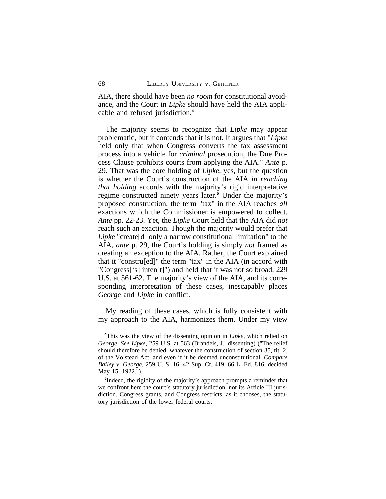AIA, there should have been *no room* for constitutional avoidance, and the Court in *Lipke* should have held the AIA applicable and refused jurisdiction.**<sup>4</sup>**

The majority seems to recognize that *Lipke* may appear problematic, but it contends that it is not. It argues that "*Lipke* held only that when Congress converts the tax assessment process into a vehicle for *criminal* prosecution, the Due Process Clause prohibits courts from applying the AIA." *Ante* p. 29. That was the core holding of *Lipke*, yes, but the question is whether the Court's construction of the AIA *in reaching that holding* accords with the majority's rigid interpretative regime constructed ninety years later.**<sup>5</sup>** Under the majority's proposed construction, the term "tax" in the AIA reaches *all* exactions which the Commissioner is empowered to collect. *Ante* pp. 22-23. Yet, the *Lipke* Court held that the AIA did *not* reach such an exaction. Though the majority would prefer that *Lipke* "create[d] only a narrow constitutional limitation" to the AIA, *ante* p. 29, the Court's holding is simply *not* framed as creating an exception to the AIA. Rather, the Court explained that it "constru[ed]" the term "tax" in the AIA (in accord with "Congress['s] inten[t]") and held that it was not so broad. 229 U.S. at 561-62. The majority's view of the AIA, and its corresponding interpretation of these cases, inescapably places *George* and *Lipke* in conflict.

My reading of these cases, which is fully consistent with my approach to the AIA, harmonizes them. Under my view

**<sup>4</sup>**This was the view of the dissenting opinion in *Lipke*, which relied on *George*. *See Lipke*, 259 U.S. at 563 (Brandeis, J., dissenting) ("The relief should therefore be denied, whatever the construction of section 35, tit. 2, of the Volstead Act, and even if it be deemed unconstitutional. *Compare Bailey v. George*, 259 U. S. 16, 42 Sup. Ct. 419, 66 L. Ed. 816, decided May 15, 1922.").

**<sup>5</sup>** Indeed, the rigidity of the majority's approach prompts a reminder that we confront here the court's statutory jurisdiction, not its Article III jurisdiction. Congress grants, and Congress restricts, as it chooses, the statutory jurisdiction of the lower federal courts.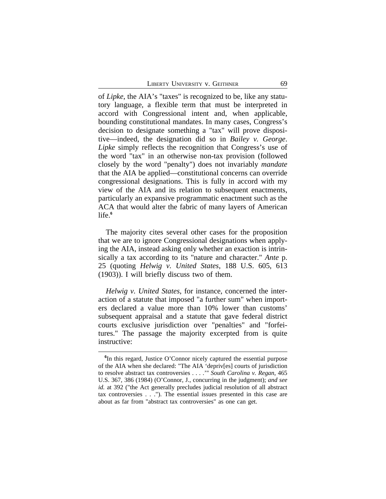of *Lipke*, the AIA's "taxes" is recognized to be, like any statutory language, a flexible term that must be interpreted in accord with Congressional intent and, when applicable, bounding constitutional mandates. In many cases, Congress's decision to designate something a "tax" will prove dispositive—indeed, the designation did so in *Bailey v. George*. *Lipke* simply reflects the recognition that Congress's use of the word "tax" in an otherwise non-tax provision (followed closely by the word "penalty") does not invariably *mandate* that the AIA be applied—constitutional concerns can override congressional designations. This is fully in accord with my view of the AIA and its relation to subsequent enactments, particularly an expansive programmatic enactment such as the ACA that would alter the fabric of many layers of American life.**<sup>6</sup>**

The majority cites several other cases for the proposition that we are to ignore Congressional designations when applying the AIA, instead asking only whether an exaction is intrinsically a tax according to its "nature and character." *Ante* p. 25 (quoting *Helwig v. United States*, 188 U.S. 605, 613 (1903)). I will briefly discuss two of them.

*Helwig v. United States*, for instance, concerned the interaction of a statute that imposed "a further sum" when importers declared a value more than 10% lower than customs' subsequent appraisal and a statute that gave federal district courts exclusive jurisdiction over "penalties" and "forfeitures." The passage the majority excerpted from is quite instructive:

**<sup>6</sup>** In this regard, Justice O'Connor nicely captured the essential purpose of the AIA when she declared: "The AIA 'depriv[es] courts of jurisdiction to resolve abstract tax controversies . . . .'" *South Carolina v. Regan*, 465 U.S. 367, 386 (1984) (O'Connor, J., concurring in the judgment); *and see id.* at 392 ("the Act generally precludes judicial resolution of all abstract tax controversies . . ."). The essential issues presented in this case are about as far from "abstract tax controversies" as one can get.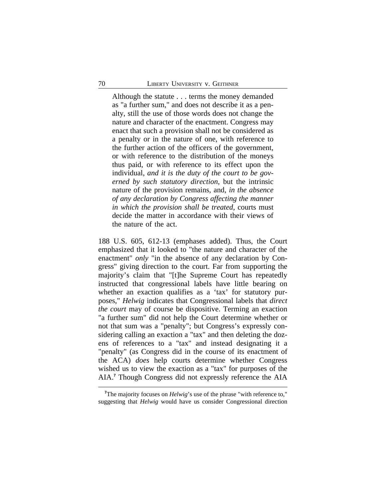Although the statute . . . terms the money demanded as "a further sum," and does not describe it as a penalty, still the use of those words does not change the nature and character of the enactment. Congress may enact that such a provision shall not be considered as a penalty or in the nature of one, with reference to the further action of the officers of the government, or with reference to the distribution of the moneys thus paid, or with reference to its effect upon the individual, *and it is the duty of the court to be governed by such statutory direction*, but the intrinsic nature of the provision remains, and, *in the absence of any declaration by Congress affecting the manner in which the provision shall be treated*, courts must decide the matter in accordance with their views of the nature of the act.

188 U.S. 605, 612-13 (emphases added). Thus, the Court emphasized that it looked to "the nature and character of the enactment" *only* "in the absence of any declaration by Congress" giving direction to the court. Far from supporting the majority's claim that "[t]he Supreme Court has repeatedly instructed that congressional labels have little bearing on whether an exaction qualifies as a 'tax' for statutory purposes," *Helwig* indicates that Congressional labels that *direct the court* may of course be dispositive. Terming an exaction "a further sum" did not help the Court determine whether or not that sum was a "penalty"; but Congress's expressly considering calling an exaction a "tax" and then deleting the dozens of references to a "tax" and instead designating it a "penalty" (as Congress did in the course of its enactment of the ACA) *does* help courts determine whether Congress wished us to view the exaction as a "tax" for purposes of the AIA.**<sup>7</sup>** Though Congress did not expressly reference the AIA

**<sup>7</sup>**The majority focuses on *Helwig*'s use of the phrase "with reference to," suggesting that *Helwig* would have us consider Congressional direction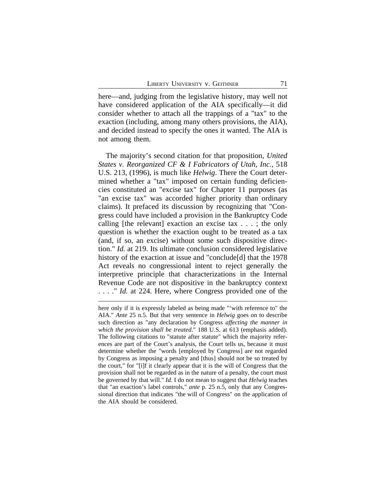here—and, judging from the legislative history, may well not have considered application of the AIA specifically—it did consider whether to attach all the trappings of a "tax" to the exaction (including, among many others provisions, the AIA), and decided instead to specify the ones it wanted. The AIA is not among them.

The majority's second citation for that proposition, *United States v. Reorganized CF & I Fabricators of Utah, Inc.*, 518 U.S. 213, (1996), is much like *Helwig*. There the Court determined whether a "tax" imposed on certain funding deficiencies constituted an "excise tax" for Chapter 11 purposes (as "an excise tax" was accorded higher priority than ordinary claims). It prefaced its discussion by recognizing that "Congress could have included a provision in the Bankruptcy Code calling [the relevant] exaction an excise tax . . . ; the only question is whether the exaction ought to be treated as a tax (and, if so, an excise) without some such dispositive direction." *Id.* at 219. Its ultimate conclusion considered legislative history of the exaction at issue and "conclude<sup>[d]</sup> that the 1978 Act reveals no congressional intent to reject generally the interpretive principle that characterizations in the Internal Revenue Code are not dispositive in the bankruptcy context . . . ." *Id.* at 224. Here, where Congress provided one of the

here only if it is expressly labeled as being made "'with reference to" the AIA." *Ante* 25 n.5. But that very sentence in *Helwig* goes on to describe such direction as "any declaration by Congress *affecting the manner in which the provision shall be treated*." 188 U.S. at 613 (emphasis added). The following citations to "statute after statute" which the majority references are part of the Court's analysis, the Court tells us, because it must determine whether the "words [employed by Congress] are not regarded by Congress as imposing a penalty and [thus] should not be so treated by the court," for "[i]f it clearly appear that it is the will of Congress that the provision shall not be regarded as in the nature of a penalty, the court must be governed by that will." *Id.* I do not mean to suggest that *Helwig* teaches that "an exaction's label controls," *ante* p. 25 n.5, only that any Congressional direction that indicates "the will of Congress" on the application of the AIA should be considered.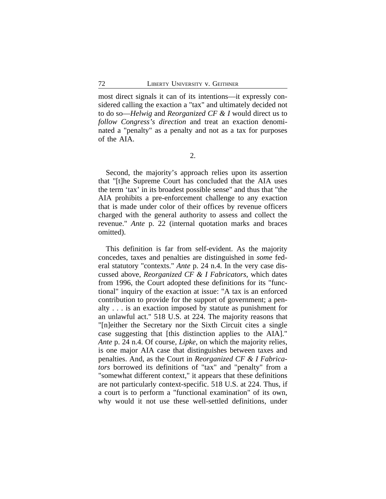most direct signals it can of its intentions—it expressly considered calling the exaction a "tax" and ultimately decided not to do so—*Helwig* and *Reorganized CF & I* would direct us to *follow Congress's direction* and treat an exaction denominated a "penalty" as a penalty and not as a tax for purposes of the AIA.

2.

Second, the majority's approach relies upon its assertion that "[t]he Supreme Court has concluded that the AIA uses the term 'tax' in its broadest possible sense" and thus that "the AIA prohibits a pre-enforcement challenge to any exaction that is made under color of their offices by revenue officers charged with the general authority to assess and collect the revenue." *Ante* p. 22 (internal quotation marks and braces omitted).

This definition is far from self-evident. As the majority concedes, taxes and penalties are distinguished in *some* federal statutory "contexts." *Ante* p. 24 n.4. In the very case discussed above, *Reorganized CF & I Fabricators*, which dates from 1996, the Court adopted these definitions for its "functional" inquiry of the exaction at issue: "A tax is an enforced contribution to provide for the support of government; a penalty . . . is an exaction imposed by statute as punishment for an unlawful act." 518 U.S. at 224. The majority reasons that "[n]either the Secretary nor the Sixth Circuit cites a single case suggesting that [this distinction applies to the AIA]." *Ante* p. 24 n.4. Of course, *Lipke*, on which the majority relies, is one major AIA case that distinguishes between taxes and penalties. And, as the Court in *Reorganized CF & I Fabricators* borrowed its definitions of "tax" and "penalty" from a "somewhat different context," it appears that these definitions are not particularly context-specific. 518 U.S. at 224. Thus, if a court is to perform a "functional examination" of its own, why would it not use these well-settled definitions, under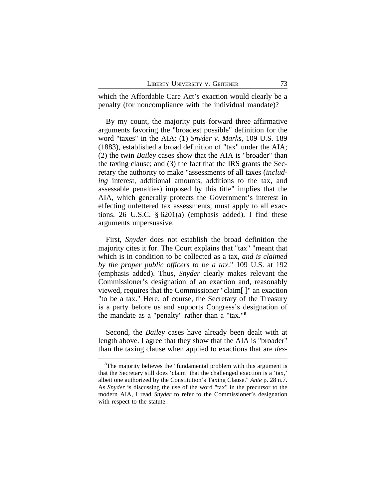which the Affordable Care Act's exaction would clearly be a penalty (for noncompliance with the individual mandate)?

By my count, the majority puts forward three affirmative arguments favoring the "broadest possible" definition for the word "taxes" in the AIA: (1) *Snyder v. Marks*, 109 U.S. 189 (1883), established a broad definition of "tax" under the AIA; (2) the twin *Bailey* cases show that the AIA is "broader" than the taxing clause; and (3) the fact that the IRS grants the Secretary the authority to make "assessments of all taxes (*including* interest, additional amounts, additions to the tax, and assessable penalties) imposed by this title" implies that the AIA, which generally protects the Government's interest in effecting unfettered tax assessments, must apply to all exactions. 26 U.S.C. § 6201(a) (emphasis added). I find these arguments unpersuasive.

First, *Snyder* does not establish the broad definition the majority cites it for. The Court explains that "tax" "meant that which is in condition to be collected as a tax, *and is claimed by the proper public officers to be a tax*." 109 U.S. at 192 (emphasis added). Thus, *Snyder* clearly makes relevant the Commissioner's designation of an exaction and, reasonably viewed, requires that the Commissioner "claim[ ]" an exaction "to be a tax." Here, of course, the Secretary of the Treasury is a party before us and supports Congress's designation of the mandate as a "penalty" rather than a "tax."**<sup>8</sup>**

Second, the *Bailey* cases have already been dealt with at length above. I agree that they show that the AIA is "broader" than the taxing clause when applied to exactions that are *des-*

<sup>&</sup>lt;sup>8</sup>The majority believes the "fundamental problem with this argument is that the Secretary still does 'claim' that the challenged exaction is a 'tax,' albeit one authorized by the Constitution's Taxing Clause." *Ante* p. 28 n.7. As *Snyder* is discussing the use of the word "tax" in the precursor to the modern AIA, I read *Snyder* to refer to the Commissioner's designation with respect to the statute.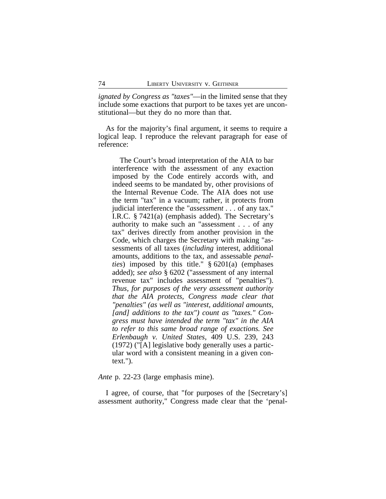*ignated by Congress as "taxes"*—in the limited sense that they include some exactions that purport to be taxes yet are unconstitutional—but they do no more than that.

As for the majority's final argument, it seems to require a logical leap. I reproduce the relevant paragraph for ease of reference:

The Court's broad interpretation of the AIA to bar interference with the assessment of any exaction imposed by the Code entirely accords with, and indeed seems to be mandated by, other provisions of the Internal Revenue Code. The AIA does not use the term "tax" in a vacuum; rather, it protects from judicial interference the "*assessment* . . . of any tax." I.R.C. § 7421(a) (emphasis added). The Secretary's authority to make such an "assessment . . . of any tax" derives directly from another provision in the Code, which charges the Secretary with making "assessments of all taxes (*including* interest, additional amounts, additions to the tax, and assessable *penalties*) imposed by this title." § 6201(a) (emphases added); *see also* § 6202 ("assessment of any internal revenue tax" includes assessment of "penalties"). *Thus, for purposes of the very assessment authority that the AIA protects, Congress made clear that "penalties" (as well as "interest, additional amounts, [and] additions to the tax") count as "taxes." Congress must have intended the term "tax" in the AIA to refer to this same broad range of exactions. See Erlenbaugh v. United States*, 409 U.S. 239, 243 (1972) ("[A] legislative body generally uses a particular word with a consistent meaning in a given context.").

*Ante* p. 22-23 (large emphasis mine).

I agree, of course, that "for purposes of the [Secretary's] assessment authority," Congress made clear that the 'penal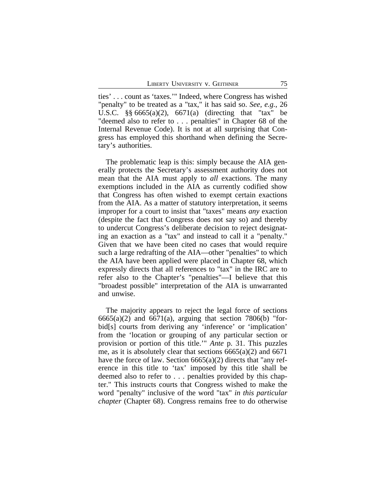ties' . . . count as 'taxes.'" Indeed, where Congress has wished "penalty" to be treated as a "tax," it has said so. *See, e.g.*, 26 U.S.C. §§ 6665(a)(2), 6671(a) (directing that "tax" be "deemed also to refer to . . . penalties" in Chapter 68 of the Internal Revenue Code). It is not at all surprising that Congress has employed this shorthand when defining the Secretary's authorities.

The problematic leap is this: simply because the AIA generally protects the Secretary's assessment authority does not mean that the AIA must apply to *all* exactions. The many exemptions included in the AIA as currently codified show that Congress has often wished to exempt certain exactions from the AIA. As a matter of statutory interpretation, it seems improper for a court to insist that "taxes" means *any* exaction (despite the fact that Congress does not say so) and thereby to undercut Congress's deliberate decision to reject designating an exaction as a "tax" and instead to call it a "penalty." Given that we have been cited no cases that would require such a large redrafting of the AIA—other "penalties" to which the AIA have been applied were placed in Chapter 68, which expressly directs that all references to "tax" in the IRC are to refer also to the Chapter's "penalties"—I believe that this "broadest possible" interpretation of the AIA is unwarranted and unwise.

The majority appears to reject the legal force of sections  $6665(a)(2)$  and  $6671(a)$ , arguing that section 7806(b) "forbid[s] courts from deriving any 'inference' or 'implication' from the 'location or grouping of any particular section or provision or portion of this title.'" *Ante* p. 31. This puzzles me, as it is absolutely clear that sections 6665(a)(2) and 6671 have the force of law. Section 6665(a)(2) directs that "any reference in this title to 'tax' imposed by this title shall be deemed also to refer to . . . penalties provided by this chapter." This instructs courts that Congress wished to make the word "penalty" inclusive of the word "tax" *in this particular chapter* (Chapter 68). Congress remains free to do otherwise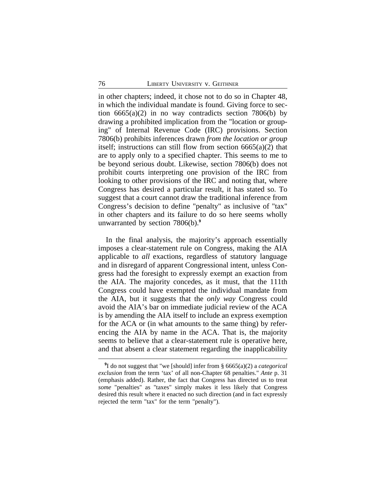in other chapters; indeed, it chose not to do so in Chapter 48, in which the individual mandate is found. Giving force to section  $6665(a)(2)$  in no way contradicts section 7806(b) by drawing a prohibited implication from the "location or grouping" of Internal Revenue Code (IRC) provisions. Section 7806(b) prohibits inferences drawn *from the location or group* itself; instructions can still flow from section 6665(a)(2) that are to apply only to a specified chapter. This seems to me to be beyond serious doubt. Likewise, section 7806(b) does not prohibit courts interpreting one provision of the IRC from looking to other provisions of the IRC and noting that, where Congress has desired a particular result, it has stated so. To suggest that a court cannot draw the traditional inference from Congress's decision to define "penalty" as inclusive of "tax" in other chapters and its failure to do so here seems wholly unwarranted by section 7806(b).**<sup>9</sup>**

In the final analysis, the majority's approach essentially imposes a clear-statement rule on Congress, making the AIA applicable to *all* exactions, regardless of statutory language and in disregard of apparent Congressional intent, unless Congress had the foresight to expressly exempt an exaction from the AIA. The majority concedes, as it must, that the 111th Congress could have exempted the individual mandate from the AIA, but it suggests that the *only way* Congress could avoid the AIA's bar on immediate judicial review of the ACA is by amending the AIA itself to include an express exemption for the ACA or (in what amounts to the same thing) by referencing the AIA by name in the ACA. That is, the majority seems to believe that a clear-statement rule is operative here, and that absent a clear statement regarding the inapplicability

**<sup>9</sup>** I do not suggest that "we [should] infer from § 6665(a)(2) a *categorical exclusion* from the term 'tax' of all non-Chapter 68 penalties." *Ante* p. 31 (emphasis added). Rather, the fact that Congress has directed us to treat *some* "penalties" as "taxes" simply makes it less likely that Congress desired this result where it enacted no such direction (and in fact expressly rejected the term "tax" for the term "penalty").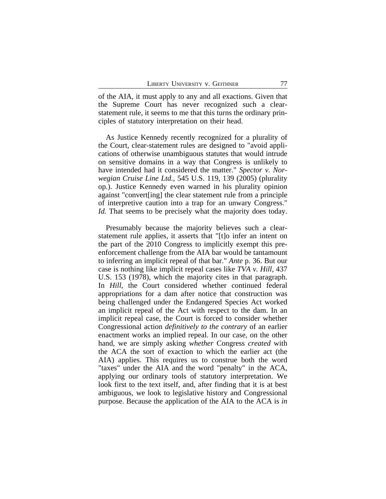of the AIA, it must apply to any and all exactions. Given that the Supreme Court has never recognized such a clearstatement rule, it seems to me that this turns the ordinary principles of statutory interpretation on their head.

As Justice Kennedy recently recognized for a plurality of the Court, clear-statement rules are designed to "avoid applications of otherwise unambiguous statutes that would intrude on sensitive domains in a way that Congress is unlikely to have intended had it considered the matter." *Spector v. Norwegian Cruise Line Ltd.*, 545 U.S. 119, 139 (2005) (plurality op.). Justice Kennedy even warned in his plurality opinion against "convert[ing] the clear statement rule from a principle of interpretive caution into a trap for an unwary Congress." *Id.* That seems to be precisely what the majority does today.

Presumably because the majority believes such a clearstatement rule applies, it asserts that "[t]o infer an intent on the part of the 2010 Congress to implicitly exempt this preenforcement challenge from the AIA bar would be tantamount to inferring an implicit repeal of that bar." *Ante* p. 36. But our case is nothing like implicit repeal cases like *TVA v. Hill*, 437 U.S. 153 (1978), which the majority cites in that paragraph. In *Hill*, the Court considered whether continued federal appropriations for a dam after notice that construction was being challenged under the Endangered Species Act worked an implicit repeal of the Act with respect to the dam. In an implicit repeal case, the Court is forced to consider whether Congressional action *definitively to the contrary* of an earlier enactment works an implied repeal. In our case, on the other hand, we are simply asking *whether* Congress *created* with the ACA the sort of exaction to which the earlier act (the AIA) applies. This requires us to construe both the word "taxes" under the AIA and the word "penalty" in the ACA, applying our ordinary tools of statutory interpretation. We look first to the text itself, and, after finding that it is at best ambiguous, we look to legislative history and Congressional purpose. Because the application of the AIA to the ACA is *in*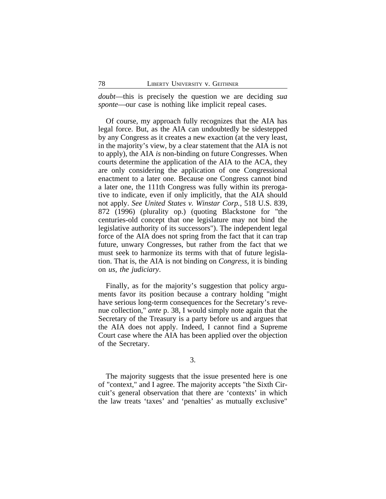*doubt*—this is precisely the question we are deciding *sua sponte*—our case is nothing like implicit repeal cases.

Of course, my approach fully recognizes that the AIA has legal force. But, as the AIA can undoubtedly be sidestepped by any Congress as it creates a new exaction (at the very least, in the majority's view, by a clear statement that the AIA is not to apply), the AIA *is* non-binding on future Congresses. When courts determine the application of the AIA to the ACA, they are only considering the application of one Congressional enactment to a later one. Because one Congress cannot bind a later one, the 111th Congress was fully within its prerogative to indicate, even if only implicitly, that the AIA should not apply. *See United States v. Winstar Corp.*, 518 U.S. 839, 872 (1996) (plurality op.) (quoting Blackstone for "the centuries-old concept that one legislature may not bind the legislative authority of its successors"). The independent legal force of the AIA does not spring from the fact that it can trap future, unwary Congresses, but rather from the fact that we must seek to harmonize its terms with that of future legislation. That is, the AIA is not binding on *Congress*, it is binding on *us, the judiciary*.

Finally, as for the majority's suggestion that policy arguments favor its position because a contrary holding "might have serious long-term consequences for the Secretary's revenue collection," *ante* p. 38, I would simply note again that the Secretary of the Treasury is a party before us and argues that the AIA does not apply. Indeed, I cannot find a Supreme Court case where the AIA has been applied over the objection of the Secretary.

3.

The majority suggests that the issue presented here is one of "context," and I agree. The majority accepts "the Sixth Circuit's general observation that there are 'contexts' in which the law treats 'taxes' and 'penalties' as mutually exclusive"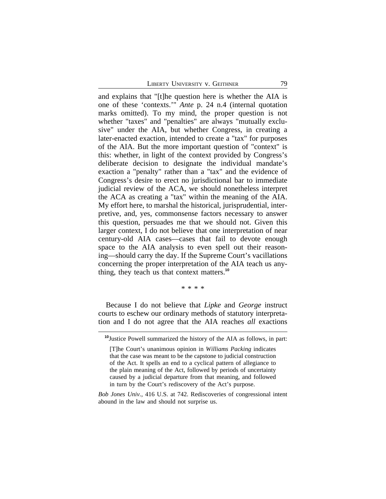and explains that "[t]he question here is whether the AIA is one of these 'contexts.'" *Ante* p. 24 n.4 (internal quotation marks omitted). To my mind, the proper question is not whether "taxes" and "penalties" are always "mutually exclusive" under the AIA, but whether Congress, in creating a later-enacted exaction, intended to create a "tax" for purposes of the AIA. But the more important question of "context" is this: whether, in light of the context provided by Congress's deliberate decision to designate the individual mandate's exaction a "penalty" rather than a "tax" and the evidence of Congress's desire to erect no jurisdictional bar to immediate judicial review of the ACA, we should nonetheless interpret the ACA as creating a "tax" within the meaning of the AIA. My effort here, to marshal the historical, jurisprudential, interpretive, and, yes, commonsense factors necessary to answer this question, persuades me that we should not. Given this larger context, I do not believe that one interpretation of near century-old AIA cases—cases that fail to devote enough space to the AIA analysis to even spell out their reasoning—should carry the day. If the Supreme Court's vacillations concerning the proper interpretation of the AIA teach us anything, they teach us that context matters.**<sup>10</sup>**

\* \* \* \*

Because I do not believe that *Lipke* and *George* instruct courts to eschew our ordinary methods of statutory interpretation and I do not agree that the AIA reaches *all* exactions

*Bob Jones Univ.*, 416 U.S. at 742. Rediscoveries of congressional intent abound in the law and should not surprise us.

**<sup>10</sup>**Justice Powell summarized the history of the AIA as follows, in part:

<sup>[</sup>T]he Court's unanimous opinion in *Williams Packing* indicates that the case was meant to be the capstone to judicial construction of the Act. It spells an end to a cyclical pattern of allegiance to the plain meaning of the Act, followed by periods of uncertainty caused by a judicial departure from that meaning, and followed in turn by the Court's rediscovery of the Act's purpose.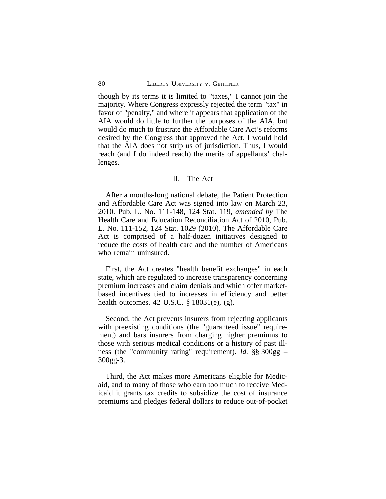though by its terms it is limited to "taxes," I cannot join the majority. Where Congress expressly rejected the term "tax" in favor of "penalty," and where it appears that application of the AIA would do little to further the purposes of the AIA, but would do much to frustrate the Affordable Care Act's reforms desired by the Congress that approved the Act, I would hold that the AIA does not strip us of jurisdiction. Thus, I would reach (and I do indeed reach) the merits of appellants' challenges.

### II. The Act

After a months-long national debate, the Patient Protection and Affordable Care Act was signed into law on March 23, 2010. Pub. L. No. 111-148, 124 Stat. 119, *amended by* The Health Care and Education Reconciliation Act of 2010, Pub. L. No. 111-152, 124 Stat. 1029 (2010). The Affordable Care Act is comprised of a half-dozen initiatives designed to reduce the costs of health care and the number of Americans who remain uninsured.

First, the Act creates "health benefit exchanges" in each state, which are regulated to increase transparency concerning premium increases and claim denials and which offer marketbased incentives tied to increases in efficiency and better health outcomes. 42 U.S.C. § 18031(e), (g).

Second, the Act prevents insurers from rejecting applicants with preexisting conditions (the "guaranteed issue" requirement) and bars insurers from charging higher premiums to those with serious medical conditions or a history of past illness (the "community rating" requirement). *Id.* §§ 300gg – 300gg-3.

Third, the Act makes more Americans eligible for Medicaid, and to many of those who earn too much to receive Medicaid it grants tax credits to subsidize the cost of insurance premiums and pledges federal dollars to reduce out-of-pocket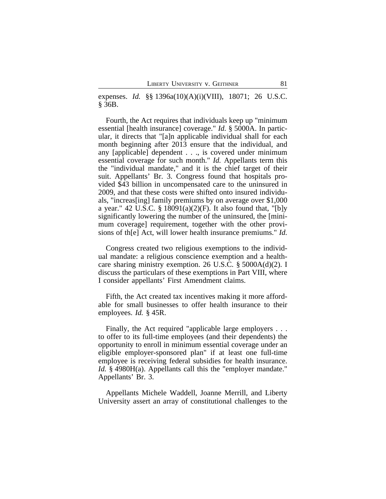expenses. *Id.* §§ 1396a(10)(A)(i)(VIII), 18071; 26 U.S.C. § 36B.

Fourth, the Act requires that individuals keep up "minimum essential [health insurance] coverage." *Id.* § 5000A. In particular, it directs that "[a]n applicable individual shall for each month beginning after 2013 ensure that the individual, and any [applicable] dependent . . ., is covered under minimum essential coverage for such month." *Id.* Appellants term this the "individual mandate," and it is the chief target of their suit. Appellants' Br. 3. Congress found that hospitals provided \$43 billion in uncompensated care to the uninsured in 2009, and that these costs were shifted onto insured individuals, "increas[ing] family premiums by on average over \$1,000 a year." 42 U.S.C. § 18091(a)(2)(F). It also found that, "[b]y significantly lowering the number of the uninsured, the [minimum coverage] requirement, together with the other provisions of th[e] Act, will lower health insurance premiums." *Id.*

Congress created two religious exemptions to the individual mandate: a religious conscience exemption and a healthcare sharing ministry exemption. 26 U.S.C. § 5000A(d)(2). I discuss the particulars of these exemptions in Part VIII, where I consider appellants' First Amendment claims.

Fifth, the Act created tax incentives making it more affordable for small businesses to offer health insurance to their employees. *Id.* § 45R.

Finally, the Act required "applicable large employers . . . to offer to its full-time employees (and their dependents) the opportunity to enroll in minimum essential coverage under an eligible employer-sponsored plan" if at least one full-time employee is receiving federal subsidies for health insurance. *Id.* § 4980H(a). Appellants call this the "employer mandate." Appellants' Br. 3.

Appellants Michele Waddell, Joanne Merrill, and Liberty University assert an array of constitutional challenges to the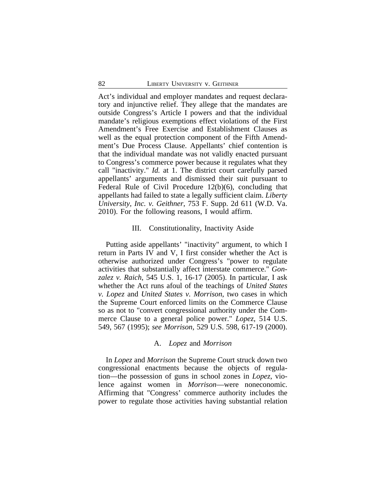Act's individual and employer mandates and request declaratory and injunctive relief. They allege that the mandates are outside Congress's Article I powers and that the individual mandate's religious exemptions effect violations of the First Amendment's Free Exercise and Establishment Clauses as well as the equal protection component of the Fifth Amendment's Due Process Clause. Appellants' chief contention is that the individual mandate was not validly enacted pursuant to Congress's commerce power because it regulates what they call "inactivity." *Id.* at 1. The district court carefully parsed appellants' arguments and dismissed their suit pursuant to Federal Rule of Civil Procedure 12(b)(6), concluding that appellants had failed to state a legally sufficient claim. *Liberty University, Inc. v. Geithner*, 753 F. Supp. 2d 611 (W.D. Va. 2010). For the following reasons, I would affirm.

## III. Constitutionality, Inactivity Aside

Putting aside appellants' "inactivity" argument, to which I return in Parts IV and V, I first consider whether the Act is otherwise authorized under Congress's "power to regulate activities that substantially affect interstate commerce." *Gonzalez v. Raich*, 545 U.S. 1, 16-17 (2005). In particular, I ask whether the Act runs afoul of the teachings of *United States v. Lopez* and *United States v. Morrison*, two cases in which the Supreme Court enforced limits on the Commerce Clause so as not to "convert congressional authority under the Commerce Clause to a general police power." *Lopez*, 514 U.S. 549, 567 (1995); *see Morrison*, 529 U.S. 598, 617-19 (2000).

#### A. *Lopez* and *Morrison*

In *Lopez* and *Morrison* the Supreme Court struck down two congressional enactments because the objects of regulation—the possession of guns in school zones in *Lopez*, violence against women in *Morrison*—were noneconomic. Affirming that "Congress' commerce authority includes the power to regulate those activities having substantial relation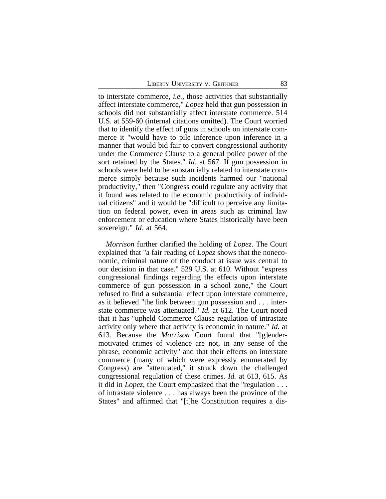to interstate commerce, *i.e.*, those activities that substantially affect interstate commerce," *Lopez* held that gun possession in schools did not substantially affect interstate commerce. 514 U.S. at 559-60 (internal citations omitted). The Court worried that to identify the effect of guns in schools on interstate commerce it "would have to pile inference upon inference in a manner that would bid fair to convert congressional authority under the Commerce Clause to a general police power of the sort retained by the States." *Id.* at 567. If gun possession in schools were held to be substantially related to interstate commerce simply because such incidents harmed our "national productivity," then "Congress could regulate any activity that it found was related to the economic productivity of individual citizens" and it would be "difficult to perceive any limitation on federal power, even in areas such as criminal law enforcement or education where States historically have been sovereign." *Id.* at 564.

*Morrison* further clarified the holding of *Lopez*. The Court explained that "a fair reading of *Lopez* shows that the noneconomic, criminal nature of the conduct at issue was central to our decision in that case." 529 U.S. at 610. Without "express congressional findings regarding the effects upon interstate commerce of gun possession in a school zone," the Court refused to find a substantial effect upon interstate commerce, as it believed "the link between gun possession and . . . interstate commerce was attenuated." *Id.* at 612. The Court noted that it has "upheld Commerce Clause regulation of intrastate activity only where that activity is economic in nature." *Id.* at 613. Because the *Morrison* Court found that "[g]endermotivated crimes of violence are not, in any sense of the phrase, economic activity" and that their effects on interstate commerce (many of which were expressly enumerated by Congress) are "attenuated," it struck down the challenged congressional regulation of these crimes. *Id.* at 613, 615. As it did in *Lopez*, the Court emphasized that the "regulation . . . of intrastate violence . . . has always been the province of the States" and affirmed that "[t]he Constitution requires a dis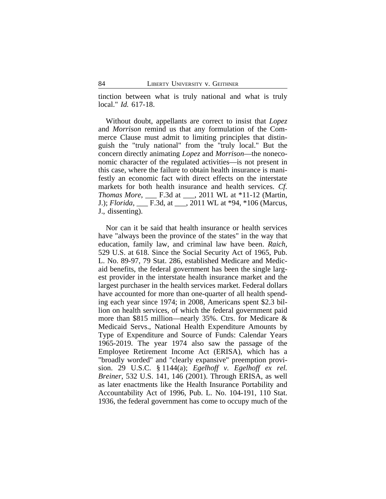tinction between what is truly national and what is truly local." *Id.* 617-18.

Without doubt, appellants are correct to insist that *Lopez* and *Morrison* remind us that any formulation of the Commerce Clause must admit to limiting principles that distinguish the "truly national" from the "truly local." But the concern directly animating *Lopez* and *Morrison*—the noneconomic character of the regulated activities—is not present in this case, where the failure to obtain health insurance is manifestly an economic fact with direct effects on the interstate markets for both health insurance and health services. *Cf. Thomas More*, \_\_\_ F.3d at \_\_\_, 2011 WL at \*11-12 (Martin, J.); *Florida*, \_\_\_ F.3d, at \_\_\_, 2011 WL at \*94, \*106 (Marcus, J., dissenting).

Nor can it be said that health insurance or health services have "always been the province of the states" in the way that education, family law, and criminal law have been. *Raich*, 529 U.S. at 618. Since the Social Security Act of 1965, Pub. L. No. 89-97, 79 Stat. 286, established Medicare and Medicaid benefits, the federal government has been the single largest provider in the interstate health insurance market and the largest purchaser in the health services market. Federal dollars have accounted for more than one-quarter of all health spending each year since 1974; in 2008, Americans spent \$2.3 billion on health services, of which the federal government paid more than \$815 million—nearly 35%. Ctrs. for Medicare & Medicaid Servs., National Health Expenditure Amounts by Type of Expenditure and Source of Funds: Calendar Years 1965-2019. The year 1974 also saw the passage of the Employee Retirement Income Act (ERISA), which has a "broadly worded" and "clearly expansive" preemption provision. 29 U.S.C. § 1144(a); *Egelhoff v. Egelhoff ex rel. Breiner*, 532 U.S. 141, 146 (2001). Through ERISA, as well as later enactments like the Health Insurance Portability and Accountability Act of 1996, Pub. L. No. 104-191, 110 Stat. 1936, the federal government has come to occupy much of the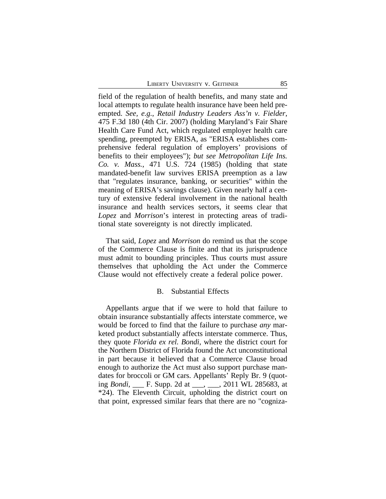field of the regulation of health benefits, and many state and local attempts to regulate health insurance have been held preempted. *See, e.g.*, *Retail Industry Leaders Ass'n v. Fielder*, 475 F.3d 180 (4th Cir. 2007) (holding Maryland's Fair Share Health Care Fund Act, which regulated employer health care spending, preempted by ERISA, as "ERISA establishes comprehensive federal regulation of employers' provisions of benefits to their employees"); *but see Metropolitan Life Ins. Co. v. Mass.*, 471 U.S. 724 (1985) (holding that state mandated-benefit law survives ERISA preemption as a law that "regulates insurance, banking, or securities" within the meaning of ERISA's savings clause). Given nearly half a century of extensive federal involvement in the national health insurance and health services sectors, it seems clear that *Lopez* and *Morrison*'s interest in protecting areas of traditional state sovereignty is not directly implicated.

That said, *Lopez* and *Morrison* do remind us that the scope of the Commerce Clause is finite and that its jurisprudence must admit to bounding principles. Thus courts must assure themselves that upholding the Act under the Commerce Clause would not effectively create a federal police power.

## B. Substantial Effects

Appellants argue that if we were to hold that failure to obtain insurance substantially affects interstate commerce, we would be forced to find that the failure to purchase *any* marketed product substantially affects interstate commerce. Thus, they quote *Florida ex rel. Bondi*, where the district court for the Northern District of Florida found the Act unconstitutional in part because it believed that a Commerce Clause broad enough to authorize the Act must also support purchase mandates for broccoli or GM cars. Appellants' Reply Br. 9 (quoting *Bondi*, \_\_\_ F. Supp. 2d at \_\_\_, \_\_\_, 2011 WL 285683, at \*24). The Eleventh Circuit, upholding the district court on that point, expressed similar fears that there are no "cogniza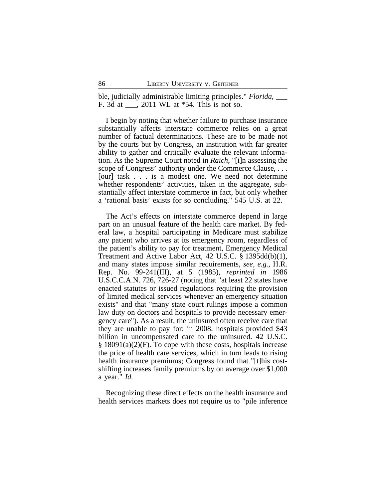ble, judicially administrable limiting principles." *Florida*, \_\_\_ F. 3d at \_\_\_, 2011 WL at \*54. This is not so.

I begin by noting that whether failure to purchase insurance substantially affects interstate commerce relies on a great number of factual determinations. These are to be made not by the courts but by Congress, an institution with far greater ability to gather and critically evaluate the relevant information. As the Supreme Court noted in *Raich*, "[i]n assessing the scope of Congress' authority under the Commerce Clause, . . . [our] task . . . is a modest one. We need not determine whether respondents' activities, taken in the aggregate, substantially affect interstate commerce in fact, but only whether a 'rational basis' exists for so concluding." 545 U.S. at 22.

The Act's effects on interstate commerce depend in large part on an unusual feature of the health care market. By federal law, a hospital participating in Medicare must stabilize any patient who arrives at its emergency room, regardless of the patient's ability to pay for treatment, Emergency Medical Treatment and Active Labor Act, 42 U.S.C. § 1395dd(b)(1), and many states impose similar requirements, *see, e.g.*, H.R. Rep. No. 99-241(III), at 5 (1985), *reprinted in* 1986 U.S.C.C.A.N. 726, 726-27 (noting that "at least 22 states have enacted statutes or issued regulations requiring the provision of limited medical services whenever an emergency situation exists" and that "many state court rulings impose a common law duty on doctors and hospitals to provide necessary emergency care"). As a result, the uninsured often receive care that they are unable to pay for: in 2008, hospitals provided \$43 billion in uncompensated care to the uninsured. 42 U.S.C.  $§$  18091(a)(2)(F). To cope with these costs, hospitals increase the price of health care services, which in turn leads to rising health insurance premiums; Congress found that "[t]his costshifting increases family premiums by on average over \$1,000 a year." *Id.*

Recognizing these direct effects on the health insurance and health services markets does not require us to "pile inference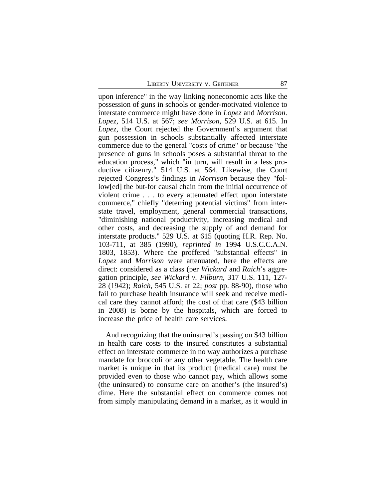upon inference" in the way linking noneconomic acts like the possession of guns in schools or gender-motivated violence to interstate commerce might have done in *Lopez* and *Morrison*. *Lopez*, 514 U.S. at 567; *see Morrison*, 529 U.S. at 615. In *Lopez*, the Court rejected the Government's argument that gun possession in schools substantially affected interstate commerce due to the general "costs of crime" or because "the presence of guns in schools poses a substantial threat to the education process," which "in turn, will result in a less productive citizenry." 514 U.S. at 564. Likewise, the Court rejected Congress's findings in *Morrison* because they "follow[ed] the but-for causal chain from the initial occurrence of violent crime . . . to every attenuated effect upon interstate commerce," chiefly "deterring potential victims" from interstate travel, employment, general commercial transactions, "diminishing national productivity, increasing medical and other costs, and decreasing the supply of and demand for interstate products." 529 U.S. at 615 (quoting H.R. Rep. No. 103-711, at 385 (1990), *reprinted in* 1994 U.S.C.C.A.N. 1803, 1853). Where the proffered "substantial effects" in *Lopez* and *Morrison* were attenuated, here the effects are direct: considered as a class (per *Wickard* and *Raich*'s aggregation principle, *see Wickard v. Filburn*, 317 U.S. 111, 127- 28 (1942); *Raich*, 545 U.S. at 22; *post* pp. 88-90), those who fail to purchase health insurance will seek and receive medical care they cannot afford; the cost of that care (\$43 billion in 2008) is borne by the hospitals, which are forced to increase the price of health care services.

And recognizing that the uninsured's passing on \$43 billion in health care costs to the insured constitutes a substantial effect on interstate commerce in no way authorizes a purchase mandate for broccoli or any other vegetable. The health care market is unique in that its product (medical care) must be provided even to those who cannot pay, which allows some (the uninsured) to consume care on another's (the insured's) dime. Here the substantial effect on commerce comes not from simply manipulating demand in a market, as it would in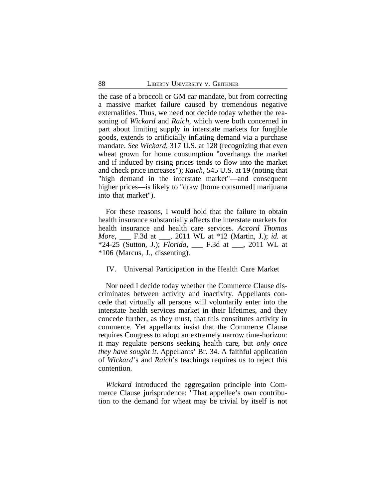the case of a broccoli or GM car mandate, but from correcting a massive market failure caused by tremendous negative externalities. Thus, we need not decide today whether the reasoning of *Wickard* and *Raich*, which were both concerned in part about limiting supply in interstate markets for fungible goods, extends to artificially inflating demand via a purchase mandate. *See Wickard*, 317 U.S. at 128 (recognizing that even wheat grown for home consumption "overhangs the market and if induced by rising prices tends to flow into the market and check price increases"); *Raich*, 545 U.S. at 19 (noting that "high demand in the interstate market"—and consequent higher prices—is likely to "draw [home consumed] marijuana into that market").

For these reasons, I would hold that the failure to obtain health insurance substantially affects the interstate markets for health insurance and health care services. *Accord Thomas More*, \_\_\_ F.3d at \_\_\_, 2011 WL at \*12 (Martin, J.); *id.* at \*24-25 (Sutton, J.); *Florida*, \_\_\_ F.3d at \_\_\_, 2011 WL at \*106 (Marcus, J., dissenting).

### IV. Universal Participation in the Health Care Market

Nor need I decide today whether the Commerce Clause discriminates between activity and inactivity. Appellants concede that virtually all persons will voluntarily enter into the interstate health services market in their lifetimes, and they concede further, as they must, that this constitutes activity in commerce. Yet appellants insist that the Commerce Clause requires Congress to adopt an extremely narrow time-horizon: it may regulate persons seeking health care, but *only once they have sought it*. Appellants' Br. 34. A faithful application of *Wickard*'s and *Raich*'s teachings requires us to reject this contention.

*Wickard* introduced the aggregation principle into Commerce Clause jurisprudence: "That appellee's own contribution to the demand for wheat may be trivial by itself is not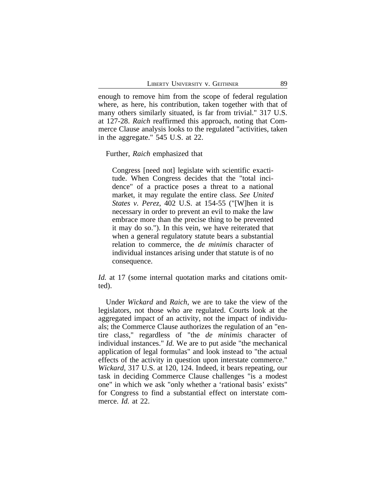enough to remove him from the scope of federal regulation where, as here, his contribution, taken together with that of many others similarly situated, is far from trivial." 317 U.S. at 127-28. *Raich* reaffirmed this approach, noting that Commerce Clause analysis looks to the regulated "activities, taken in the aggregate." 545 U.S. at 22.

Further, *Raich* emphasized that

Congress [need not] legislate with scientific exactitude. When Congress decides that the "total incidence" of a practice poses a threat to a national market, it may regulate the entire class. *See United States v. Perez*, 402 U.S. at 154-55 ("[W]hen it is necessary in order to prevent an evil to make the law embrace more than the precise thing to be prevented it may do so."). In this vein, we have reiterated that when a general regulatory statute bears a substantial relation to commerce, the *de minimis* character of individual instances arising under that statute is of no consequence.

*Id.* at 17 (some internal quotation marks and citations omitted).

Under *Wickard* and *Raich*, we are to take the view of the legislators, not those who are regulated. Courts look at the aggregated impact of an activity, not the impact of individuals; the Commerce Clause authorizes the regulation of an "entire class," regardless of "the *de minimis* character of individual instances." *Id.* We are to put aside "the mechanical application of legal formulas" and look instead to "the actual effects of the activity in question upon interstate commerce." *Wickard*, 317 U.S. at 120, 124. Indeed, it bears repeating, our task in deciding Commerce Clause challenges "is a modest one" in which we ask "only whether a 'rational basis' exists" for Congress to find a substantial effect on interstate commerce. *Id.* at 22.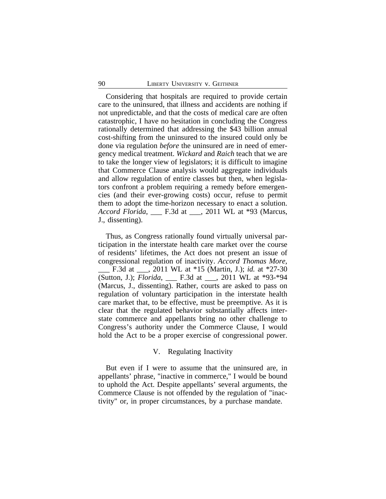Considering that hospitals are required to provide certain care to the uninsured, that illness and accidents are nothing if not unpredictable, and that the costs of medical care are often catastrophic, I have no hesitation in concluding the Congress rationally determined that addressing the \$43 billion annual cost-shifting from the uninsured to the insured could only be done via regulation *before* the uninsured are in need of emergency medical treatment. *Wickard* and *Raich* teach that we are to take the longer view of legislators; it is difficult to imagine that Commerce Clause analysis would aggregate individuals and allow regulation of entire classes but then, when legislators confront a problem requiring a remedy before emergencies (and their ever-growing costs) occur, refuse to permit them to adopt the time-horizon necessary to enact a solution. *Accord Florida*, **F.3d at** , 2011 WL at \*93 (Marcus, J., dissenting).

Thus, as Congress rationally found virtually universal participation in the interstate health care market over the course of residents' lifetimes, the Act does not present an issue of congressional regulation of inactivity. *Accord Thomas More*, \_\_\_ F.3d at \_\_\_, 2011 WL at \*15 (Martin, J.); *id.* at \*27-30 (Sutton, J.); *Florida*, \_\_\_ F.3d at \_\_\_, 2011 WL at \*93-\*94 (Marcus, J., dissenting). Rather, courts are asked to pass on regulation of voluntary participation in the interstate health care market that, to be effective, must be preemptive. As it is clear that the regulated behavior substantially affects interstate commerce and appellants bring no other challenge to Congress's authority under the Commerce Clause, I would hold the Act to be a proper exercise of congressional power.

## V. Regulating Inactivity

But even if I were to assume that the uninsured are, in appellants' phrase, "inactive in commerce," I would be bound to uphold the Act. Despite appellants' several arguments, the Commerce Clause is not offended by the regulation of "inactivity" or, in proper circumstances, by a purchase mandate.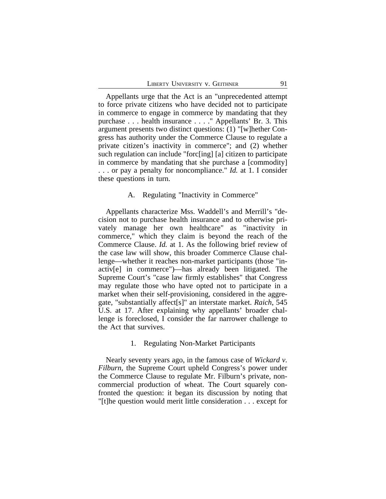Appellants urge that the Act is an "unprecedented attempt to force private citizens who have decided not to participate in commerce to engage in commerce by mandating that they purchase . . . health insurance . . . ." Appellants' Br. 3. This argument presents two distinct questions: (1) "[w]hether Congress has authority under the Commerce Clause to regulate a private citizen's inactivity in commerce"; and (2) whether such regulation can include "forc[ing] [a] citizen to participate in commerce by mandating that she purchase a [commodity] . . . or pay a penalty for noncompliance." *Id.* at 1. I consider these questions in turn.

## A. Regulating "Inactivity in Commerce"

Appellants characterize Mss. Waddell's and Merrill's "decision not to purchase health insurance and to otherwise privately manage her own healthcare" as "inactivity in commerce," which they claim is beyond the reach of the Commerce Clause. *Id.* at 1. As the following brief review of the case law will show, this broader Commerce Clause challenge—whether it reaches non-market participants (those "inactiv[e] in commerce")—has already been litigated. The Supreme Court's "case law firmly establishes" that Congress may regulate those who have opted not to participate in a market when their self-provisioning, considered in the aggregate, "substantially affect[s]" an interstate market. *Raich*, 545 U.S. at 17. After explaining why appellants' broader challenge is foreclosed, I consider the far narrower challenge to the Act that survives.

## 1. Regulating Non-Market Participants

Nearly seventy years ago, in the famous case of *Wickard v. Filburn*, the Supreme Court upheld Congress's power under the Commerce Clause to regulate Mr. Filburn's private, noncommercial production of wheat. The Court squarely confronted the question: it began its discussion by noting that "[t]he question would merit little consideration . . . except for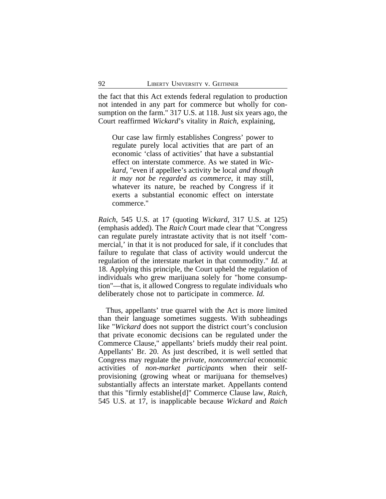the fact that this Act extends federal regulation to production not intended in any part for commerce but wholly for consumption on the farm." 317 U.S. at 118. Just six years ago, the Court reaffirmed *Wickard*'s vitality in *Raich*, explaining,

Our case law firmly establishes Congress' power to regulate purely local activities that are part of an economic 'class of activities' that have a substantial effect on interstate commerce. As we stated in *Wickard*, "even if appellee's activity be local *and though it may not be regarded as commerce*, it may still, whatever its nature, be reached by Congress if it exerts a substantial economic effect on interstate commerce."

*Raich*, 545 U.S. at 17 (quoting *Wickard*, 317 U.S. at 125) (emphasis added). The *Raich* Court made clear that "Congress can regulate purely intrastate activity that is not itself 'commercial,' in that it is not produced for sale, if it concludes that failure to regulate that class of activity would undercut the regulation of the interstate market in that commodity." *Id.* at 18. Applying this principle, the Court upheld the regulation of individuals who grew marijuana solely for "home consumption"—that is, it allowed Congress to regulate individuals who deliberately chose not to participate in commerce. *Id.*

Thus, appellants' true quarrel with the Act is more limited than their language sometimes suggests. With subheadings like "*Wickard* does not support the district court's conclusion that private economic decisions can be regulated under the Commerce Clause," appellants' briefs muddy their real point. Appellants' Br. 20. As just described, it is well settled that Congress may regulate the *private, noncommercial* economic activities of *non-market participants* when their selfprovisioning (growing wheat or marijuana for themselves) substantially affects an interstate market. Appellants contend that this "firmly establishe[d]" Commerce Clause law, *Raich*, 545 U.S. at 17, is inapplicable because *Wickard* and *Raich*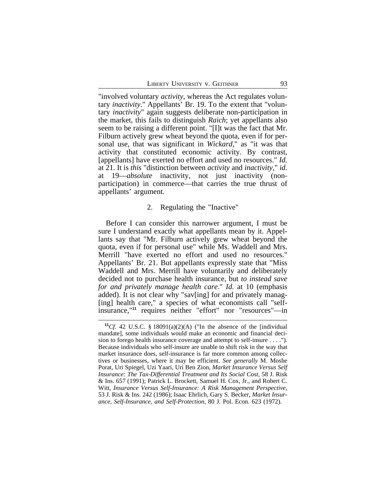"involved voluntary *activity*, whereas the Act regulates voluntary *inactivity*." Appellants' Br. 19. To the extent that "voluntary *inactivity*" again suggests deliberate non-participation in the market, this fails to distinguish *Raich*; yet appellants also seem to be raising a different point. "[I]t was the fact that Mr. Filburn actively grew wheat beyond the quota, even if for personal use, that was significant in *Wickard*," as "it was that activity that constituted economic activity. By contrast, [appellants] have exerted no effort and used no resources." *Id.* at 21. It is *this* "distinction between *activity* and *inactivity*," *id.* at 19—*absolute* inactivity, not just inactivity (nonparticipation) in commerce—that carries the true thrust of appellants' argument.

### 2. Regulating the "Inactive"

Before I can consider this narrower argument, I must be sure I understand exactly what appellants mean by it. Appellants say that "Mr. Filburn actively grew wheat beyond the quota, even if for personal use" while Ms. Waddell and Mrs. Merrill "have exerted no effort and used no resources." Appellants' Br. 21. But appellants expressly state that "Miss Waddell and Mrs. Merrill have voluntarily and deliberately decided not to purchase health insurance, but *to instead save for and privately manage health care*." *Id.* at 10 (emphasis added). It is not clear why "sav[ing] for and privately manag-[ing] health care," a species of what economists call "selfinsurance,"**<sup>11</sup>** requires neither "effort" nor "resources"—in

<sup>&</sup>lt;sup>11</sup>*Cf.* 42 U.S.C. § 18091(a)(2)(A) ("In the absence of the [individual mandate], some individuals would make an economic and financial decision to forego health insurance coverage and attempt to self-insure . . . ."). Because individuals who self-insure are unable to shift risk in the way that market insurance does, self-insurance is far more common among collectives or businesses, where it may be efficient. *See generally* M. Moshe Porat, Uri Spiegel, Uzi Yaari, Uri Ben Zion, *Market Insurance Versus Self Insurance: The Tax-Differential Treatment and Its Social Cost*, 58 J. Risk & Ins. 657 (1991); Patrick L. Brockett, Samuel H. Cox, Jr., and Robert C. Witt, *Insurance Versus Self-Insurance: A Risk Management Perspective*, 53 J. Risk & Ins. 242 (1986); Isaac Ehrlich, Gary S. Becker, *Market Insurance, Self-Insurance, and Self-Protection*, 80 J. Pol. Econ. 623 (1972).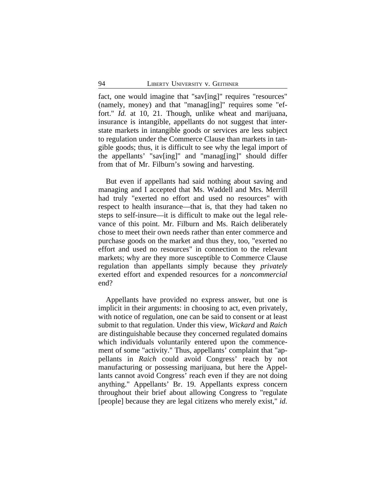fact, one would imagine that "sav[ing]" requires "resources" (namely, money) and that "manag[ing]" requires some "effort." *Id.* at 10, 21. Though, unlike wheat and marijuana, insurance is intangible, appellants do not suggest that interstate markets in intangible goods or services are less subject to regulation under the Commerce Clause than markets in tangible goods; thus, it is difficult to see why the legal import of the appellants' "sav[ing]" and "manag[ing]" should differ from that of Mr. Filburn's sowing and harvesting.

But even if appellants had said nothing about saving and managing and I accepted that Ms. Waddell and Mrs. Merrill had truly "exerted no effort and used no resources" with respect to health insurance—that is, that they had taken no steps to self-insure—it is difficult to make out the legal relevance of this point. Mr. Filburn and Ms. Raich deliberately chose to meet their own needs rather than enter commerce and purchase goods on the market and thus they, too, "exerted no effort and used no resources" in connection to the relevant markets; why are they more susceptible to Commerce Clause regulation than appellants simply because they *privately* exerted effort and expended resources for a *noncommercial* end?

Appellants have provided no express answer, but one is implicit in their arguments: in choosing to act, even privately, with notice of regulation, one can be said to consent or at least submit to that regulation. Under this view, *Wickard* and *Raich* are distinguishable because they concerned regulated domains which individuals voluntarily entered upon the commencement of some "activity." Thus, appellants' complaint that "appellants in *Raich* could avoid Congress' reach by not manufacturing or possessing marijuana, but here the Appellants cannot avoid Congress' reach even if they are not doing anything." Appellants' Br. 19. Appellants express concern throughout their brief about allowing Congress to "regulate [people] because they are legal citizens who merely exist," *id.*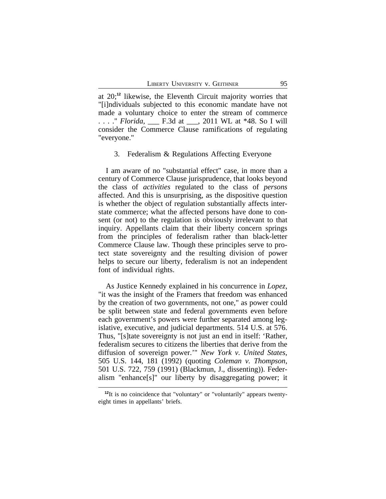at 20;**<sup>12</sup>** likewise, the Eleventh Circuit majority worries that "[i]ndividuals subjected to this economic mandate have not made a voluntary choice to enter the stream of commerce . . . ." *Florida*, \_\_\_ F.3d at \_\_\_, 2011 WL at \*48. So I will consider the Commerce Clause ramifications of regulating "everyone."

### 3. Federalism & Regulations Affecting Everyone

I am aware of no "substantial effect" case, in more than a century of Commerce Clause jurisprudence, that looks beyond the class of *activities* regulated to the class of *persons* affected. And this is unsurprising, as the dispositive question is whether the object of regulation substantially affects interstate commerce; what the affected persons have done to consent (or not) to the regulation is obviously irrelevant to that inquiry. Appellants claim that their liberty concern springs from the principles of federalism rather than black-letter Commerce Clause law. Though these principles serve to protect state sovereignty and the resulting division of power helps to secure our liberty, federalism is not an independent font of individual rights.

As Justice Kennedy explained in his concurrence in *Lopez*, "it was the insight of the Framers that freedom was enhanced by the creation of two governments, not one," as power could be split between state and federal governments even before each government's powers were further separated among legislative, executive, and judicial departments. 514 U.S. at 576. Thus, "[s]tate sovereignty is not just an end in itself: 'Rather, federalism secures to citizens the liberties that derive from the diffusion of sovereign power.'" *New York v. United States*, 505 U.S. 144, 181 (1992) (quoting *Coleman v. Thompson*, 501 U.S. 722, 759 (1991) (Blackmun, J., dissenting)). Federalism "enhance[s]" our liberty by disaggregating power; it

**<sup>12</sup>**It is no coincidence that "voluntary" or "voluntarily" appears twentyeight times in appellants' briefs.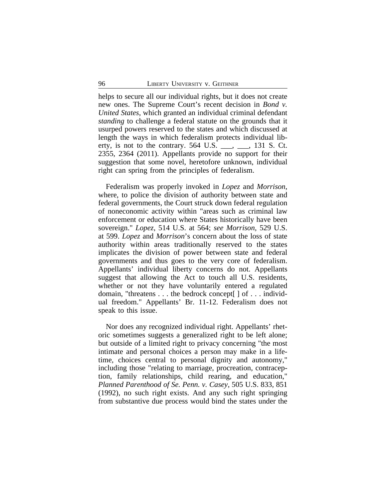helps to secure all our individual rights, but it does not create new ones. The Supreme Court's recent decision in *Bond v. United States*, which granted an individual criminal defendant *standing* to challenge a federal statute on the grounds that it usurped powers reserved to the states and which discussed at length the ways in which federalism protects individual liberty, is not to the contrary.  $564$  U.S.  $\_\_\_\_\_\_\_\_\_$  131 S. Ct. 2355, 2364 (2011). Appellants provide no support for their suggestion that some novel, heretofore unknown, individual right can spring from the principles of federalism.

Federalism was properly invoked in *Lopez* and *Morrison*, where, to police the division of authority between state and federal governments, the Court struck down federal regulation of noneconomic activity within "areas such as criminal law enforcement or education where States historically have been sovereign." *Lopez*, 514 U.S. at 564; *see Morrison*, 529 U.S. at 599. *Lopez* and *Morrison*'s concern about the loss of state authority within areas traditionally reserved to the states implicates the division of power between state and federal governments and thus goes to the very core of federalism. Appellants' individual liberty concerns do not. Appellants suggest that allowing the Act to touch all U.S. residents, whether or not they have voluntarily entered a regulated domain, "threatens . . . the bedrock concept[ ] of . . . individual freedom." Appellants' Br. 11-12. Federalism does not speak to this issue.

Nor does any recognized individual right. Appellants' rhetoric sometimes suggests a generalized right to be left alone; but outside of a limited right to privacy concerning "the most intimate and personal choices a person may make in a lifetime, choices central to personal dignity and autonomy," including those "relating to marriage, procreation, contraception, family relationships, child rearing, and education," *Planned Parenthood of Se. Penn. v. Casey*, 505 U.S. 833, 851 (1992), no such right exists. And any such right springing from substantive due process would bind the states under the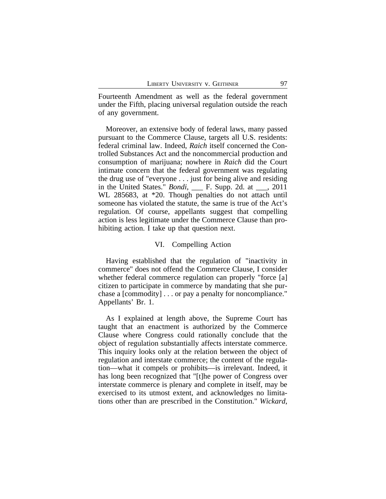Fourteenth Amendment as well as the federal government under the Fifth, placing universal regulation outside the reach of any government.

Moreover, an extensive body of federal laws, many passed pursuant to the Commerce Clause, targets all U.S. residents: federal criminal law. Indeed, *Raich* itself concerned the Controlled Substances Act and the noncommercial production and consumption of marijuana; nowhere in *Raich* did the Court intimate concern that the federal government was regulating the drug use of "everyone . . . just for being alive and residing in the United States." *Bondi*, \_\_\_ F. Supp. 2d. at \_\_\_, 2011 WL 285683, at \*20. Though penalties do not attach until someone has violated the statute, the same is true of the Act's regulation. Of course, appellants suggest that compelling action is less legitimate under the Commerce Clause than prohibiting action. I take up that question next.

### VI. Compelling Action

Having established that the regulation of "inactivity in commerce" does not offend the Commerce Clause, I consider whether federal commerce regulation can properly "force [a] citizen to participate in commerce by mandating that she purchase a [commodity] . . . or pay a penalty for noncompliance." Appellants' Br. 1.

As I explained at length above, the Supreme Court has taught that an enactment is authorized by the Commerce Clause where Congress could rationally conclude that the object of regulation substantially affects interstate commerce. This inquiry looks only at the relation between the object of regulation and interstate commerce; the content of the regulation—what it compels or prohibits—is irrelevant. Indeed, it has long been recognized that "[t]he power of Congress over interstate commerce is plenary and complete in itself, may be exercised to its utmost extent, and acknowledges no limitations other than are prescribed in the Constitution." *Wickard*,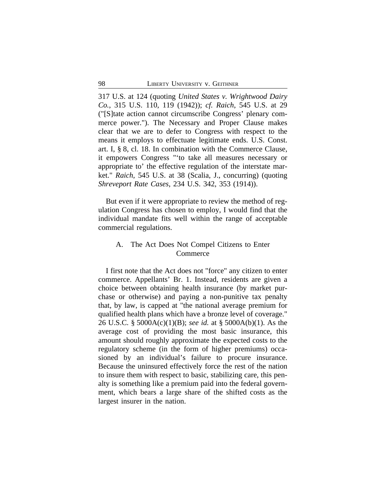317 U.S. at 124 (quoting *United States v. Wrightwood Dairy Co.*, 315 U.S. 110, 119 (1942)); *cf. Raich*, 545 U.S. at 29 ("[S]tate action cannot circumscribe Congress' plenary commerce power."). The Necessary and Proper Clause makes clear that we are to defer to Congress with respect to the means it employs to effectuate legitimate ends. U.S. Const. art. I, § 8, cl. 18. In combination with the Commerce Clause, it empowers Congress "'to take all measures necessary or appropriate to' the effective regulation of the interstate market." *Raich*, 545 U.S. at 38 (Scalia, J., concurring) (quoting *Shreveport Rate Cases*, 234 U.S. 342, 353 (1914)).

But even if it were appropriate to review the method of regulation Congress has chosen to employ, I would find that the individual mandate fits well within the range of acceptable commercial regulations.

# A. The Act Does Not Compel Citizens to Enter Commerce

I first note that the Act does not "force" any citizen to enter commerce. Appellants' Br. 1. Instead, residents are given a choice between obtaining health insurance (by market purchase or otherwise) and paying a non-punitive tax penalty that, by law, is capped at "the national average premium for qualified health plans which have a bronze level of coverage." 26 U.S.C. § 5000A(c)(1)(B); *see id.* at § 5000A(b)(1). As the average cost of providing the most basic insurance, this amount should roughly approximate the expected costs to the regulatory scheme (in the form of higher premiums) occasioned by an individual's failure to procure insurance. Because the uninsured effectively force the rest of the nation to insure them with respect to basic, stabilizing care, this penalty is something like a premium paid into the federal government, which bears a large share of the shifted costs as the largest insurer in the nation.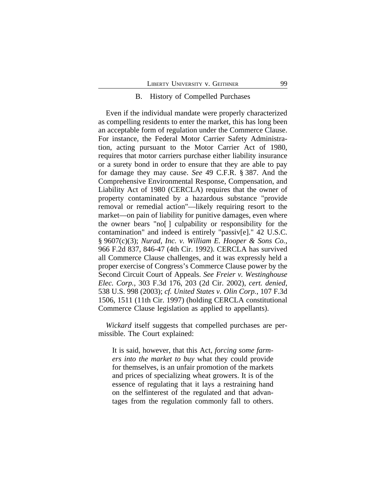#### B. History of Compelled Purchases

Even if the individual mandate were properly characterized as compelling residents to enter the market, this has long been an acceptable form of regulation under the Commerce Clause. For instance, the Federal Motor Carrier Safety Administration, acting pursuant to the Motor Carrier Act of 1980, requires that motor carriers purchase either liability insurance or a surety bond in order to ensure that they are able to pay for damage they may cause. *See* 49 C.F.R. § 387. And the Comprehensive Environmental Response, Compensation, and Liability Act of 1980 (CERCLA) requires that the owner of property contaminated by a hazardous substance "provide removal or remedial action"—likely requiring resort to the market—on pain of liability for punitive damages, even where the owner bears "no[ ] culpability or responsibility for the contamination" and indeed is entirely "passiv[e]." 42 U.S.C. § 9607(c)(3); *Nurad, Inc. v. William E. Hooper & Sons Co.*, 966 F.2d 837, 846-47 (4th Cir. 1992). CERCLA has survived all Commerce Clause challenges, and it was expressly held a proper exercise of Congress's Commerce Clause power by the Second Circuit Court of Appeals. *See Freier v. Westinghouse Elec. Corp.*, 303 F.3d 176, 203 (2d Cir. 2002), *cert. denied*, 538 U.S. 998 (2003); *cf. United States v. Olin Corp.*, 107 F.3d 1506, 1511 (11th Cir. 1997) (holding CERCLA constitutional Commerce Clause legislation as applied to appellants).

*Wickard* itself suggests that compelled purchases are permissible. The Court explained:

It is said, however, that this Act, *forcing some farmers into the market to buy* what they could provide for themselves, is an unfair promotion of the markets and prices of specializing wheat growers. It is of the essence of regulating that it lays a restraining hand on the selfinterest of the regulated and that advantages from the regulation commonly fall to others.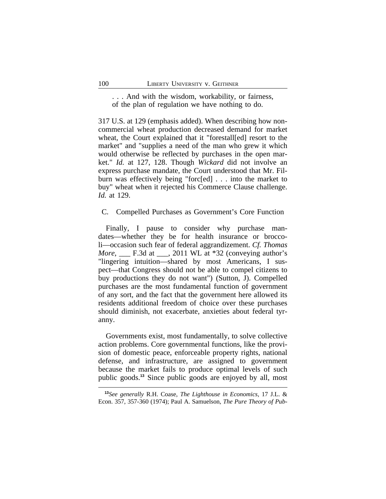. . . And with the wisdom, workability, or fairness, of the plan of regulation we have nothing to do.

317 U.S. at 129 (emphasis added). When describing how noncommercial wheat production decreased demand for market wheat, the Court explained that it "forestall[ed] resort to the market" and "supplies a need of the man who grew it which would otherwise be reflected by purchases in the open market." *Id.* at 127, 128. Though *Wickard* did not involve an express purchase mandate, the Court understood that Mr. Filburn was effectively being "forc[ed] . . . into the market to buy" wheat when it rejected his Commerce Clause challenge. *Id.* at 129.

C. Compelled Purchases as Government's Core Function

Finally, I pause to consider why purchase mandates—whether they be for health insurance or broccoli—occasion such fear of federal aggrandizement. *Cf. Thomas More*, F.3d at , 2011 WL at \*32 (conveying author's "lingering intuition—shared by most Americans, I suspect—that Congress should not be able to compel citizens to buy productions they do not want") (Sutton, J). Compelled purchases are the most fundamental function of government of any sort, and the fact that the government here allowed its residents additional freedom of choice over these purchases should diminish, not exacerbate, anxieties about federal tyranny.

Governments exist, most fundamentally, to solve collective action problems. Core governmental functions, like the provision of domestic peace, enforceable property rights, national defense, and infrastructure, are assigned to government because the market fails to produce optimal levels of such public goods.**<sup>13</sup>** Since public goods are enjoyed by all, most

**<sup>13</sup>***See generally* R.H. Coase, *The Lighthouse in Economics*, 17 J.L. & Econ. 357, 357-360 (1974); Paul A. Samuelson, *The Pure Theory of Pub-*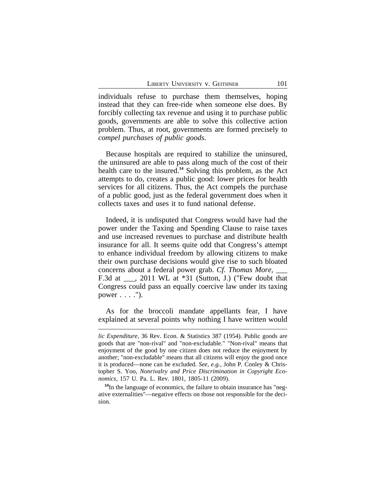individuals refuse to purchase them themselves, hoping instead that they can free-ride when someone else does. By forcibly collecting tax revenue and using it to purchase public goods, governments are able to solve this collective action problem. Thus, at root, governments are formed precisely to *compel purchases of public goods*.

Because hospitals are required to stabilize the uninsured, the uninsured are able to pass along much of the cost of their health care to the insured.**<sup>14</sup>** Solving this problem, as the Act attempts to do, creates a public good: lower prices for health services for all citizens. Thus, the Act compels the purchase of a public good, just as the federal government does when it collects taxes and uses it to fund national defense.

Indeed, it is undisputed that Congress would have had the power under the Taxing and Spending Clause to raise taxes and use increased revenues to purchase and distribute health insurance for all. It seems quite odd that Congress's attempt to enhance individual freedom by allowing citizens to make their own purchase decisions would give rise to such bloated concerns about a federal power grab. *Cf. Thomas More*, \_\_\_ F.3d at \_\_\_, 2011 WL at \*31 (Sutton, J.) ("Few doubt that Congress could pass an equally coercive law under its taxing power  $\dots$ .").

As for the broccoli mandate appellants fear, I have explained at several points why nothing I have written would

*lic Expenditure*, 36 Rev. Econ. & Statistics 387 (1954). Public goods are goods that are "non-rival" and "non-excludable." "Non-rival" means that enjoyment of the good by one citizen does not reduce the enjoyment by another; "non-excludable" means that all citizens will enjoy the good once it is produced—none can be excluded. *See, e.g.,* John P. Conley & Christopher S. Yoo, *Nonrivalry and Price Discrimination in Copyright Economics*, 157 U. Pa. L. Rev. 1801, 1805-11 (2009).

**<sup>14</sup>**In the language of economics, the failure to obtain insurance has "negative externalities"—negative effects on those not responsible for the decision.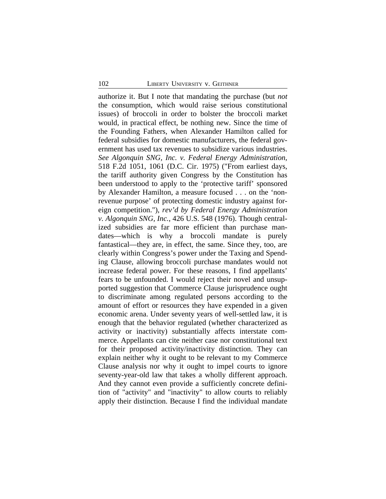authorize it. But I note that mandating the purchase (but *not* the consumption, which would raise serious constitutional issues) of broccoli in order to bolster the broccoli market would, in practical effect, be nothing new. Since the time of the Founding Fathers, when Alexander Hamilton called for federal subsidies for domestic manufacturers, the federal government has used tax revenues to subsidize various industries. *See Algonquin SNG, Inc. v. Federal Energy Administration*, 518 F.2d 1051, 1061 (D.C. Cir. 1975) ("From earliest days, the tariff authority given Congress by the Constitution has been understood to apply to the 'protective tariff' sponsored by Alexander Hamilton, a measure focused . . . on the 'nonrevenue purpose' of protecting domestic industry against foreign competition."), *rev'd by Federal Energy Administration v. Algonquin SNG, Inc.*, 426 U.S. 548 (1976). Though centralized subsidies are far more efficient than purchase mandates—which is why a broccoli mandate is purely fantastical—they are, in effect, the same. Since they, too, are clearly within Congress's power under the Taxing and Spending Clause, allowing broccoli purchase mandates would not increase federal power. For these reasons, I find appellants' fears to be unfounded. I would reject their novel and unsupported suggestion that Commerce Clause jurisprudence ought to discriminate among regulated persons according to the amount of effort or resources they have expended in a given economic arena. Under seventy years of well-settled law, it is enough that the behavior regulated (whether characterized as activity or inactivity) substantially affects interstate commerce. Appellants can cite neither case nor constitutional text for their proposed activity/inactivity distinction. They can explain neither why it ought to be relevant to my Commerce Clause analysis nor why it ought to impel courts to ignore seventy-year-old law that takes a wholly different approach. And they cannot even provide a sufficiently concrete definition of "activity" and "inactivity" to allow courts to reliably apply their distinction. Because I find the individual mandate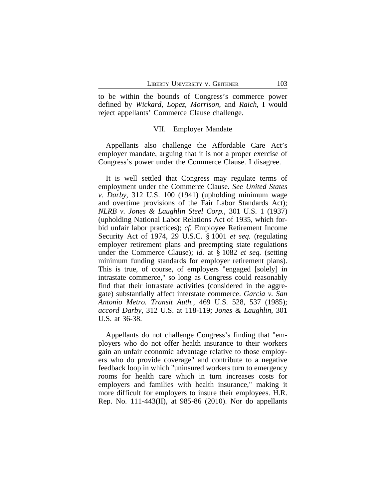to be within the bounds of Congress's commerce power defined by *Wickard*, *Lopez*, *Morrison*, and *Raich*, I would reject appellants' Commerce Clause challenge.

### VII. Employer Mandate

Appellants also challenge the Affordable Care Act's employer mandate, arguing that it is not a proper exercise of Congress's power under the Commerce Clause. I disagree.

It is well settled that Congress may regulate terms of employment under the Commerce Clause. *See United States v. Darby*, 312 U.S. 100 (1941) (upholding minimum wage and overtime provisions of the Fair Labor Standards Act); *NLRB v. Jones & Laughlin Steel Corp.*, 301 U.S. 1 (1937) (upholding National Labor Relations Act of 1935, which forbid unfair labor practices); *cf.* Employee Retirement Income Security Act of 1974, 29 U.S.C. § 1001 *et seq.* (regulating employer retirement plans and preempting state regulations under the Commerce Clause); *id.* at § 1082 *et seq.* (setting minimum funding standards for employer retirement plans). This is true, of course, of employers "engaged [solely] in intrastate commerce," so long as Congress could reasonably find that their intrastate activities (considered in the aggregate) substantially affect interstate commerce. *Garcia v. San Antonio Metro. Transit Auth.*, 469 U.S. 528, 537 (1985); *accord Darby*, 312 U.S. at 118-119; *Jones & Laughlin*, 301 U.S. at 36-38.

Appellants do not challenge Congress's finding that "employers who do not offer health insurance to their workers gain an unfair economic advantage relative to those employers who do provide coverage" and contribute to a negative feedback loop in which "uninsured workers turn to emergency rooms for health care which in turn increases costs for employers and families with health insurance," making it more difficult for employers to insure their employees. H.R. Rep. No. 111-443(II), at 985-86 (2010). Nor do appellants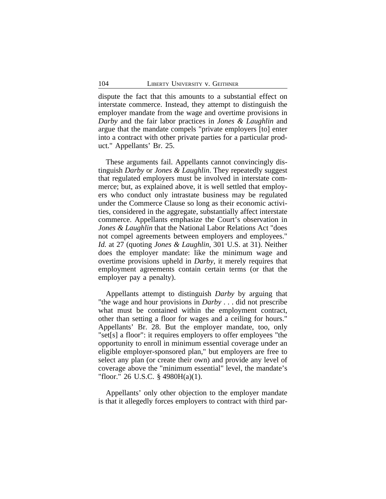dispute the fact that this amounts to a substantial effect on interstate commerce. Instead, they attempt to distinguish the employer mandate from the wage and overtime provisions in *Darby* and the fair labor practices in *Jones & Laughlin* and argue that the mandate compels "private employers [to] enter into a contract with other private parties for a particular product." Appellants' Br. 25.

These arguments fail. Appellants cannot convincingly distinguish *Darby* or *Jones & Laughlin*. They repeatedly suggest that regulated employers must be involved in interstate commerce; but, as explained above, it is well settled that employers who conduct only intrastate business may be regulated under the Commerce Clause so long as their economic activities, considered in the aggregate, substantially affect interstate commerce. Appellants emphasize the Court's observation in *Jones & Laughlin* that the National Labor Relations Act "does not compel agreements between employers and employees." *Id.* at 27 (quoting *Jones & Laughlin*, 301 U.S. at 31). Neither does the employer mandate: like the minimum wage and overtime provisions upheld in *Darby*, it merely requires that employment agreements contain certain terms (or that the employer pay a penalty).

Appellants attempt to distinguish *Darby* by arguing that "the wage and hour provisions in *Darby* . . . did not prescribe what must be contained within the employment contract, other than setting a floor for wages and a ceiling for hours." Appellants' Br. 28. But the employer mandate, too, only "set[s] a floor": it requires employers to offer employees "the opportunity to enroll in minimum essential coverage under an eligible employer-sponsored plan," but employers are free to select any plan (or create their own) and provide any level of coverage above the "minimum essential" level, the mandate's "floor." 26 U.S.C. § 4980H(a)(1).

Appellants' only other objection to the employer mandate is that it allegedly forces employers to contract with third par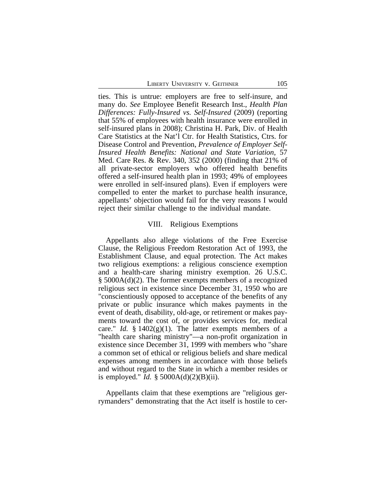ties. This is untrue: employers are free to self-insure, and many do. *See* Employee Benefit Research Inst., *Health Plan Differences: Fully-Insured vs. Self-Insured* (2009) (reporting that 55% of employees with health insurance were enrolled in self-insured plans in 2008); Christina H. Park, Div. of Health Care Statistics at the Nat'l Ctr. for Health Statistics, Ctrs. for Disease Control and Prevention, *Prevalence of Employer Self-Insured Health Benefits: National and State Variation*, 57 Med. Care Res. & Rev. 340, 352 (2000) (finding that 21% of all private-sector employers who offered health benefits offered a self-insured health plan in 1993; 49% of employees were enrolled in self-insured plans). Even if employers were compelled to enter the market to purchase health insurance, appellants' objection would fail for the very reasons I would reject their similar challenge to the individual mandate.

#### VIII. Religious Exemptions

Appellants also allege violations of the Free Exercise Clause, the Religious Freedom Restoration Act of 1993, the Establishment Clause, and equal protection. The Act makes two religious exemptions: a religious conscience exemption and a health-care sharing ministry exemption. 26 U.S.C. § 5000A(d)(2). The former exempts members of a recognized religious sect in existence since December 31, 1950 who are "conscientiously opposed to acceptance of the benefits of any private or public insurance which makes payments in the event of death, disability, old-age, or retirement or makes payments toward the cost of, or provides services for, medical care." *Id.*  $\S 1402(g)(1)$ . The latter exempts members of a "health care sharing ministry"—a non-profit organization in existence since December 31, 1999 with members who "share a common set of ethical or religious beliefs and share medical expenses among members in accordance with those beliefs and without regard to the State in which a member resides or is employed." *Id.* § 5000A(d)(2)(B)(ii).

Appellants claim that these exemptions are "religious gerrymanders" demonstrating that the Act itself is hostile to cer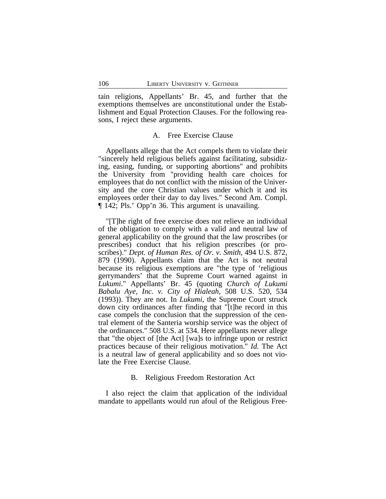tain religions, Appellants' Br. 45, and further that the exemptions themselves are unconstitutional under the Establishment and Equal Protection Clauses. For the following reasons, I reject these arguments.

### A. Free Exercise Clause

Appellants allege that the Act compels them to violate their "sincerely held religious beliefs against facilitating, subsidizing, easing, funding, or supporting abortions" and prohibits the University from "providing health care choices for employees that do not conflict with the mission of the University and the core Christian values under which it and its employees order their day to day lives." Second Am. Compl. ¶ 142; Pls.' Opp'n 36. This argument is unavailing.

"[T]he right of free exercise does not relieve an individual of the obligation to comply with a valid and neutral law of general applicability on the ground that the law proscribes (or prescribes) conduct that his religion prescribes (or proscribes)." *Dept. of Human Res. of Or. v. Smith*, 494 U.S. 872, 879 (1990). Appellants claim that the Act is not neutral because its religious exemptions are "the type of 'religious gerrymanders' that the Supreme Court warned against in *Lukumi*." Appellants' Br. 45 (quoting *Church of Lukumi Babalu Aye, Inc. v. City of Hialeah*, 508 U.S. 520, 534 (1993)). They are not. In *Lukumi*, the Supreme Court struck down city ordinances after finding that "[t]he record in this case compels the conclusion that the suppression of the central element of the Santeria worship service was the object of the ordinances." 508 U.S. at 534. Here appellants never allege that "the object of [the Act] [wa]s to infringe upon or restrict practices because of their religious motivation." *Id.* The Act is a neutral law of general applicability and so does not violate the Free Exercise Clause.

# B. Religious Freedom Restoration Act

I also reject the claim that application of the individual mandate to appellants would run afoul of the Religious Free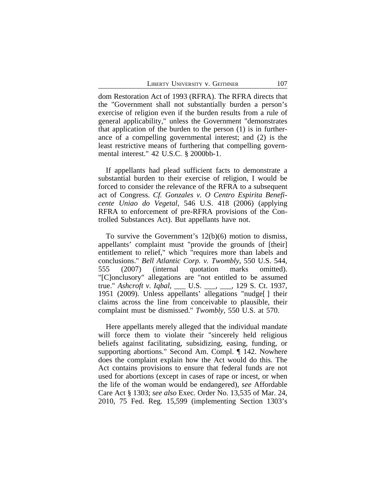dom Restoration Act of 1993 (RFRA). The RFRA directs that the "Government shall not substantially burden a person's exercise of religion even if the burden results from a rule of general applicability," unless the Government "demonstrates that application of the burden to the person (1) is in furtherance of a compelling governmental interest; and (2) is the least restrictive means of furthering that compelling governmental interest." 42 U.S.C. § 2000bb-1.

If appellants had plead sufficient facts to demonstrate a substantial burden to their exercise of religion, I would be forced to consider the relevance of the RFRA to a subsequent act of Congress. *Cf. Gonzales v. O Centro Espirita Beneficente Uniao do Vegetal*, 546 U.S. 418 (2006) (applying RFRA to enforcement of pre-RFRA provisions of the Controlled Substances Act). But appellants have not.

To survive the Government's 12(b)(6) motion to dismiss, appellants' complaint must "provide the grounds of [their] entitlement to relief," which "requires more than labels and conclusions." *Bell Atlantic Corp. v. Twombly*, 550 U.S. 544, 555 (2007) (internal quotation marks omitted). "[C]onclusory" allegations are "not entitled to be assumed true." *Ashcroft v. Iqbal*, \_\_\_ U.S. \_\_\_, \_\_\_, 129 S. Ct. 1937, 1951 (2009). Unless appellants' allegations "nudge[ ] their claims across the line from conceivable to plausible, their complaint must be dismissed." *Twombly*, 550 U.S. at 570.

Here appellants merely alleged that the individual mandate will force them to violate their "sincerely held religious beliefs against facilitating, subsidizing, easing, funding, or supporting abortions." Second Am. Compl. ¶ 142. Nowhere does the complaint explain how the Act would do this. The Act contains provisions to ensure that federal funds are not used for abortions (except in cases of rape or incest, or when the life of the woman would be endangered), *see* Affordable Care Act § 1303; *see also* Exec. Order No. 13,535 of Mar. 24, 2010, 75 Fed. Reg. 15,599 (implementing Section 1303's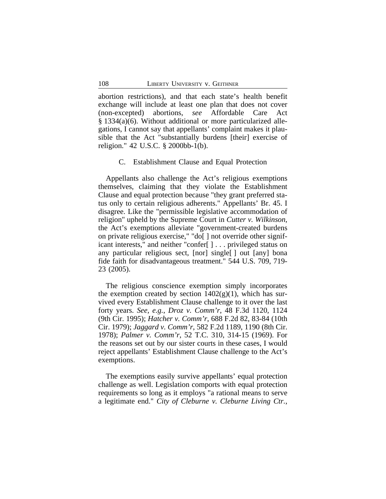abortion restrictions), and that each state's health benefit exchange will include at least one plan that does not cover (non-excepted) abortions, *see* Affordable Care Act § 1334(a)(6). Without additional or more particularized allegations, I cannot say that appellants' complaint makes it plausible that the Act "substantially burdens [their] exercise of religion." 42 U.S.C. § 2000bb-1(b).

C. Establishment Clause and Equal Protection

Appellants also challenge the Act's religious exemptions themselves, claiming that they violate the Establishment Clause and equal protection because "they grant preferred status only to certain religious adherents." Appellants' Br. 45. I disagree. Like the "permissible legislative accommodation of religion" upheld by the Supreme Court in *Cutter v. Wilkinson*, the Act's exemptions alleviate "government-created burdens on private religious exercise," "do[ ] not override other significant interests," and neither "confer[ ] . . . privileged status on any particular religious sect, [nor] single[ ] out [any] bona fide faith for disadvantageous treatment." 544 U.S. 709, 719- 23 (2005).

The religious conscience exemption simply incorporates the exemption created by section  $1402(g)(1)$ , which has survived every Establishment Clause challenge to it over the last forty years. *See, e.g.*, *Droz v. Comm'r*, 48 F.3d 1120, 1124 (9th Cir. 1995); *Hatcher v. Comm'r*, 688 F.2d 82, 83-84 (10th Cir. 1979); *Jaggard v. Comm'r*, 582 F.2d 1189, 1190 (8th Cir. 1978); *Palmer v. Comm'r*, 52 T.C. 310, 314-15 (1969). For the reasons set out by our sister courts in these cases, I would reject appellants' Establishment Clause challenge to the Act's exemptions.

The exemptions easily survive appellants' equal protection challenge as well. Legislation comports with equal protection requirements so long as it employs "a rational means to serve a legitimate end." *City of Cleburne v. Cleburne Living Ctr.*,